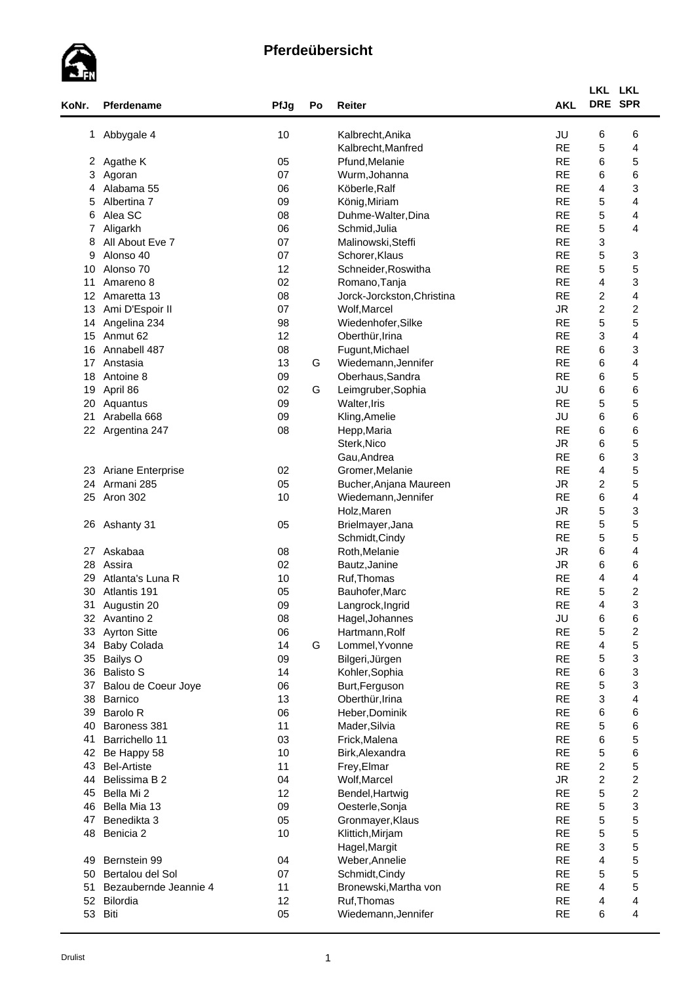

| KoNr.           | Pferdename                           | PfJg     | Po | Reiter                                  | <b>AKL</b>              | LKL LKL<br>DRE SPR        |                         |  |
|-----------------|--------------------------------------|----------|----|-----------------------------------------|-------------------------|---------------------------|-------------------------|--|
|                 | 1 Abbygale 4                         | 10       |    | Kalbrecht, Anika                        | JU                      | 6                         | 6                       |  |
|                 |                                      |          |    | Kalbrecht, Manfred                      | <b>RE</b>               | 5                         | 4                       |  |
| 2               | Agathe K                             | 05       |    | Pfund, Melanie                          | <b>RE</b>               | 6                         | 5                       |  |
| 3               | Agoran                               | 07       |    | Wurm, Johanna                           | <b>RE</b>               | 6                         | 6                       |  |
| 4               | Alabama 55                           | 06       |    | Köberle, Ralf                           | <b>RE</b>               | 4                         | 3                       |  |
| 5               | Albertina 7                          | 09       |    | König, Miriam                           | <b>RE</b>               | 5                         | 4                       |  |
| 6               | Alea SC                              | 08       |    | Duhme-Walter, Dina                      | <b>RE</b>               | $\mathbf 5$               | 4                       |  |
| 7               | Aligarkh                             | 06       |    | Schmid, Julia                           | <b>RE</b>               | 5                         | 4                       |  |
| 8               | All About Eve 7                      | 07       |    | Malinowski, Steffi                      | <b>RE</b>               | 3                         |                         |  |
| 9               | Alonso 40                            | 07       |    | Schorer, Klaus                          | <b>RE</b>               | 5                         | 3                       |  |
| 10              | Alonso 70                            | 12       |    | Schneider, Roswitha                     | <b>RE</b>               | 5                         | 5                       |  |
| 11              | Amareno 8                            | 02       |    | Romano, Tanja                           | <b>RE</b>               | 4                         | 3                       |  |
| 12 <sup>°</sup> | Amaretta 13                          | 08       |    | Jorck-Jorckston, Christina              | <b>RE</b>               | $\overline{c}$            | 4                       |  |
| 13              | Ami D'Espoir II                      | 07       |    | Wolf, Marcel                            | <b>JR</b>               | $\overline{c}$            | $\overline{\mathbf{c}}$ |  |
| 14              | Angelina 234                         | 98       |    | Wiedenhofer, Silke                      | <b>RE</b>               | 5                         | 5                       |  |
| 15              | Anmut 62                             | 12       |    | Oberthür, Irina                         | <b>RE</b>               | $\ensuremath{\mathsf{3}}$ | 4                       |  |
| 16              | Annabell 487                         | 08       |    | Fugunt, Michael                         | <b>RE</b>               | 6                         | 3                       |  |
| 17              | Anstasia                             | 13       | G  | Wiedemann, Jennifer                     | <b>RE</b>               | 6                         | 4                       |  |
| 18              | Antoine 8                            | 09       |    | Oberhaus, Sandra                        | <b>RE</b>               | 6                         | 5                       |  |
| 19              | April 86                             | 02       | G  | Leimgruber, Sophia                      | JU                      | 6                         | 6                       |  |
| 20              | Aquantus                             | 09       |    | Walter, Iris                            | <b>RE</b>               | $\mathbf 5$               | 5                       |  |
| 21              | Arabella 668                         | 09       |    | Kling, Amelie                           | JU                      | 6                         | 6                       |  |
|                 | 22 Argentina 247                     | 08       |    | Hepp, Maria                             | <b>RE</b>               | 6                         | 6                       |  |
|                 |                                      |          |    | Sterk, Nico                             | <b>JR</b>               | 6                         | 5                       |  |
|                 |                                      |          |    | Gau, Andrea                             | <b>RE</b>               | 6                         | 3                       |  |
|                 | 23 Ariane Enterprise                 | 02       |    | Gromer, Melanie                         | <b>RE</b>               | 4                         | 5                       |  |
|                 | 24 Armani 285                        | 05       |    | Bucher, Anjana Maureen                  | <b>JR</b>               | 2                         | 5                       |  |
| 25              | Aron 302                             | 10       |    | Wiedemann, Jennifer                     | <b>RE</b>               | 6                         | 4                       |  |
|                 |                                      |          |    | Holz, Maren                             | <b>JR</b>               | 5                         | 3                       |  |
|                 | 26 Ashanty 31                        | 05       |    | Brielmayer, Jana                        | <b>RE</b>               | 5                         | 5                       |  |
|                 |                                      |          |    | Schmidt, Cindy                          | <b>RE</b>               | $\mathbf 5$               | 5                       |  |
| 27              | Askabaa                              | 08       |    | Roth, Melanie                           | <b>JR</b>               | 6                         | 4                       |  |
| 28              | Assira                               | 02       |    | Bautz, Janine                           | ${\sf JR}$              | 6                         | 6                       |  |
| 29              | Atlanta's Luna R                     | 10       |    | Ruf, Thomas                             | <b>RE</b>               | 4                         | 4                       |  |
| 30              | Atlantis 191                         | 05       |    | Bauhofer, Marc                          | <b>RE</b>               | 5                         | $\overline{\mathbf{c}}$ |  |
| 31              | Augustin 20                          | 09       |    | Langrock, Ingrid                        | <b>RE</b>               | 4                         | 3                       |  |
|                 | 32 Avantino 2                        | 08       |    | Hagel, Johannes                         | JU                      | 6                         | 6                       |  |
| 33              | <b>Ayrton Sitte</b>                  | 06       |    | Hartmann, Rolf                          | <b>RE</b>               | 5                         | $\overline{\mathbf{c}}$ |  |
| 34              | <b>Baby Colada</b>                   | 14       | G  | Lommel, Yvonne                          | <b>RE</b>               | 4                         | 5                       |  |
| 35              | Bailys O                             | 09       |    | Bilgeri, Jürgen                         | <b>RE</b>               | 5                         | 3                       |  |
| 36              | <b>Balisto S</b>                     | 14       |    | Kohler, Sophia                          | <b>RE</b>               | 6                         | 3                       |  |
| 37              | Balou de Coeur Joye                  | 06       |    | Burt, Ferguson                          | <b>RE</b>               | 5                         | 3                       |  |
| 38              | Barnico                              | 13       |    | Oberthür, Irina                         | <b>RE</b>               | 3                         | 4                       |  |
| 39              | Barolo R                             | 06       |    | Heber, Dominik                          | <b>RE</b>               | 6                         | 6                       |  |
| 40              | Baroness 381                         | 11       |    | Mader, Silvia                           | <b>RE</b>               | $\mathbf 5$               | 6                       |  |
| 41              | Barrichello 11                       | 03       |    | Frick, Malena                           | <b>RE</b>               | 6                         | 5                       |  |
| 42              | Be Happy 58                          | 10       |    | Birk, Alexandra                         | <b>RE</b><br><b>RE</b>  | 5                         | 6                       |  |
| 43              | <b>Bel-Artiste</b>                   | 11       |    | Frey, Elmar                             |                         | $\boldsymbol{2}$          | 5                       |  |
| 44              | Belissima B 2                        | 04       |    | Wolf, Marcel                            | ${\sf JR}$<br><b>RE</b> | $\overline{c}$            | $\overline{\mathbf{c}}$ |  |
| 45              | Bella Mi 2                           | 12       |    | Bendel, Hartwig                         |                         | $\mathbf 5$               | $\overline{\mathbf{c}}$ |  |
| 46              | Bella Mia 13                         | 09       |    | Oesterle, Sonja                         | <b>RE</b><br><b>RE</b>  | 5                         | 3                       |  |
| 47              | Benedikta 3                          | 05       |    | Gronmayer, Klaus                        | <b>RE</b>               | 5<br>5                    | 5<br>5                  |  |
| 48              | Benicia <sub>2</sub>                 | 10       |    | Klittich, Mirjam                        | <b>RE</b>               |                           |                         |  |
|                 |                                      |          |    | Hagel, Margit                           |                         | 3                         | 5                       |  |
| 49              | Bernstein 99                         | 04       |    | Weber, Annelie                          | <b>RE</b><br><b>RE</b>  | 4<br>5                    | 5<br>5                  |  |
| 50<br>51        | Bertalou del Sol                     | 07<br>11 |    | Schmidt, Cindy<br>Bronewski, Martha von | <b>RE</b>               | 4                         |                         |  |
|                 | Bezaubernde Jeannie 4<br>52 Bilordia | 12       |    |                                         | <b>RE</b>               | 4                         | 5                       |  |
|                 | 53 Biti                              | 05       |    | Ruf, Thomas<br>Wiedemann, Jennifer      | <b>RE</b>               | 6                         | 4<br>4                  |  |
|                 |                                      |          |    |                                         |                         |                           |                         |  |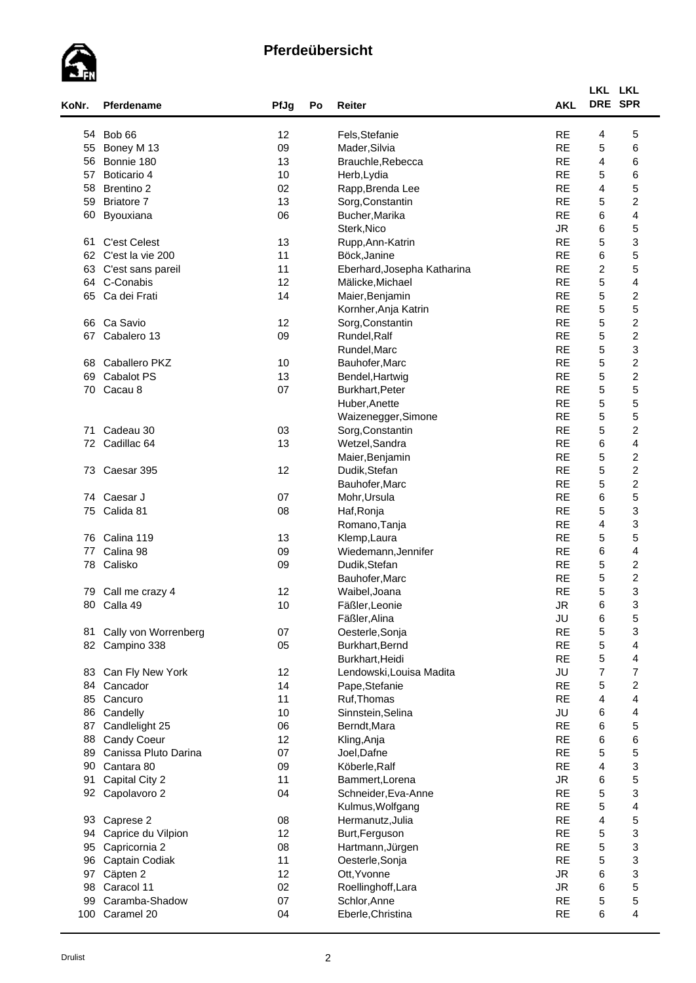

| KoNr. | Pferdename             | PfJg | Po | Reiter                      | <b>AKL</b> | LKL LKL<br>DRE SPR      |                         |  |
|-------|------------------------|------|----|-----------------------------|------------|-------------------------|-------------------------|--|
| 54    | Bob 66                 | 12   |    | Fels, Stefanie              | <b>RE</b>  | 4                       | 5                       |  |
| 55    | Boney M 13             | 09   |    | Mader, Silvia               | <b>RE</b>  | 5                       | 6                       |  |
| 56    | Bonnie 180             | 13   |    | Brauchle, Rebecca           | <b>RE</b>  | 4                       | 6                       |  |
| 57    | Boticario 4            | 10   |    | Herb, Lydia                 | <b>RE</b>  | $\mathbf 5$             | 6                       |  |
| 58    | <b>Brentino 2</b>      | 02   |    |                             | <b>RE</b>  | 4                       | 5                       |  |
|       |                        |      |    | Rapp, Brenda Lee            |            |                         |                         |  |
| 59    | <b>Briatore 7</b>      | 13   |    | Sorg, Constantin            | <b>RE</b>  | 5                       | $\overline{\mathbf{c}}$ |  |
| 60    | Byouxiana              | 06   |    | Bucher, Marika              | <b>RE</b>  | 6                       | 4                       |  |
|       |                        |      |    | Sterk, Nico                 | <b>JR</b>  | 6                       | 5                       |  |
| 61    | <b>C'est Celest</b>    | 13   |    | Rupp, Ann-Katrin            | <b>RE</b>  | 5                       | 3                       |  |
| 62    | C'est la vie 200       | 11   |    | Böck, Janine                | <b>RE</b>  | 6                       | 5                       |  |
| 63    | C'est sans pareil      | 11   |    | Eberhard, Josepha Katharina | <b>RE</b>  | $\overline{c}$          | 5                       |  |
| 64    | C-Conabis              | 12   |    | Mälicke, Michael            | <b>RE</b>  | 5                       | $\overline{\mathbf{4}}$ |  |
| 65    | Ca dei Frati           | 14   |    | Maier, Benjamin             | <b>RE</b>  | $\mathbf 5$             | $\boldsymbol{2}$        |  |
|       |                        |      |    | Kornher, Anja Katrin        | <b>RE</b>  | $\mathbf 5$             | 5                       |  |
| 66    | Ca Savio               | 12   |    | Sorg, Constantin            | <b>RE</b>  | $\mathbf 5$             | $\boldsymbol{2}$        |  |
| 67    | Cabalero 13            | 09   |    | Rundel, Ralf                | <b>RE</b>  | $\mathbf 5$             | $\overline{\mathbf{c}}$ |  |
|       |                        |      |    | Rundel, Marc                | <b>RE</b>  | 5                       | 3                       |  |
| 68    | Caballero PKZ          | 10   |    | Bauhofer, Marc              | <b>RE</b>  | 5                       | $\overline{\mathbf{c}}$ |  |
| 69    | Cabalot PS             | 13   |    | Bendel, Hartwig             | <b>RE</b>  | 5                       | $\boldsymbol{2}$        |  |
| 70    | Cacau 8                | 07   |    | Burkhart, Peter             | <b>RE</b>  | 5                       | 5                       |  |
|       |                        |      |    | Huber, Anette               | <b>RE</b>  | 5                       | 5                       |  |
|       |                        |      |    | Waizenegger, Simone         | <b>RE</b>  | $\mathbf 5$             | 5                       |  |
| 71    | Cadeau 30              | 03   |    | Sorg, Constantin            | <b>RE</b>  | 5                       | $\overline{\mathbf{c}}$ |  |
| 72    | Cadillac <sub>64</sub> | 13   |    | Wetzel, Sandra              | <b>RE</b>  | 6                       | $\overline{\mathbf{4}}$ |  |
|       |                        |      |    | Maier, Benjamin             | <b>RE</b>  | 5                       | $\boldsymbol{2}$        |  |
| 73    | Caesar 395             | 12   |    | Dudik, Stefan               | <b>RE</b>  | 5                       | $\boldsymbol{2}$        |  |
|       |                        |      |    | Bauhofer, Marc              | <b>RE</b>  | $\mathbf 5$             | $\boldsymbol{2}$        |  |
|       | 74 Caesar J            | 07   |    | Mohr, Ursula                | <b>RE</b>  | 6                       | 5                       |  |
| 75    | Calida 81              | 08   |    | Haf, Ronja                  | <b>RE</b>  | 5                       | 3                       |  |
|       |                        |      |    | Romano, Tanja               | <b>RE</b>  | 4                       | 3                       |  |
| 76    | Calina 119             | 13   |    | Klemp, Laura                | <b>RE</b>  | 5                       | 5                       |  |
| 77    | Calina 98              | 09   |    | Wiedemann, Jennifer         | <b>RE</b>  | 6                       | 4                       |  |
| 78    | Calisko                | 09   |    | Dudik, Stefan               | <b>RE</b>  | 5                       | $\overline{\mathbf{c}}$ |  |
|       |                        |      |    | Bauhofer, Marc              | <b>RE</b>  | $\mathbf 5$             | $\boldsymbol{2}$        |  |
|       |                        |      |    |                             | <b>RE</b>  | 5                       | 3                       |  |
| 79    | Call me crazy 4        | 12   |    | Waibel, Joana               | <b>JR</b>  | 6                       | 3                       |  |
| 80    | Calla 49               | 10   |    | Fäßler, Leonie              |            |                         |                         |  |
|       |                        |      |    | Fäßler, Alina               | JU         | 6                       | 5                       |  |
| 81    | Cally von Worrenberg   | 07   |    | Oesterle, Sonja             | <b>RE</b>  | 5                       | 3                       |  |
|       | 82 Campino 338         | 05   |    | Burkhart, Bernd             | <b>RE</b>  | $\mathbf 5$             | 4                       |  |
|       |                        |      |    | Burkhart, Heidi             | <b>RE</b>  | $\mathbf 5$             | 4                       |  |
| 83    | Can Fly New York       | 12   |    | Lendowski, Louisa Madita    | JU         | $\overline{7}$          | 7                       |  |
| 84    | Cancador               | 14   |    | Pape, Stefanie              | <b>RE</b>  | 5                       | $\boldsymbol{2}$        |  |
| 85    | Cancuro                | 11   |    | Ruf, Thomas                 | <b>RE</b>  | 4                       | 4                       |  |
| 86    | Candelly               | 10   |    | Sinnstein, Selina           | JU         | 6                       | 4                       |  |
| 87    | Candlelight 25         | 06   |    | Berndt, Mara                | <b>RE</b>  | 6                       | 5                       |  |
| 88    | Candy Coeur            | 12   |    | Kling, Anja                 | <b>RE</b>  | 6                       | 6                       |  |
| 89    | Canissa Pluto Darina   | 07   |    | Joel, Dafne                 | <b>RE</b>  | 5                       | 5                       |  |
| 90    | Cantara 80             | 09   |    | Köberle, Ralf               | <b>RE</b>  | $\overline{\mathbf{4}}$ | 3                       |  |
| 91    | Capital City 2         | 11   |    | Bammert, Lorena             | <b>JR</b>  | 6                       | 5                       |  |
| 92    | Capolavoro 2           | 04   |    | Schneider, Eva-Anne         | <b>RE</b>  | $\mathbf 5$             | 3                       |  |
|       |                        |      |    | Kulmus, Wolfgang            | <b>RE</b>  | $\mathbf 5$             | $\overline{\mathbf{4}}$ |  |
| 93    | Caprese 2              | 08   |    | Hermanutz, Julia            | <b>RE</b>  | 4                       | 5                       |  |
| 94    | Caprice du Vilpion     | 12   |    | Burt, Ferguson              | <b>RE</b>  | 5                       | 3                       |  |
| 95    | Capricornia 2          | 08   |    | Hartmann, Jürgen            | <b>RE</b>  | 5                       | 3                       |  |
| 96    | Captain Codiak         | 11   |    | Oesterle, Sonja             | <b>RE</b>  | 5                       | 3                       |  |
| 97    | Cäpten 2               | 12   |    | Ott, Yvonne                 | <b>JR</b>  | 6                       | 3                       |  |
| 98    | Caracol 11             | 02   |    | Roellinghoff, Lara          | JR.        | 6                       | 5                       |  |
| 99    | Caramba-Shadow         | 07   |    | Schlor, Anne                | <b>RE</b>  | $\mathbf 5$             | 5                       |  |
| 100   | Caramel 20             | 04   |    | Eberle, Christina           | <b>RE</b>  | 6                       | 4                       |  |
|       |                        |      |    |                             |            |                         |                         |  |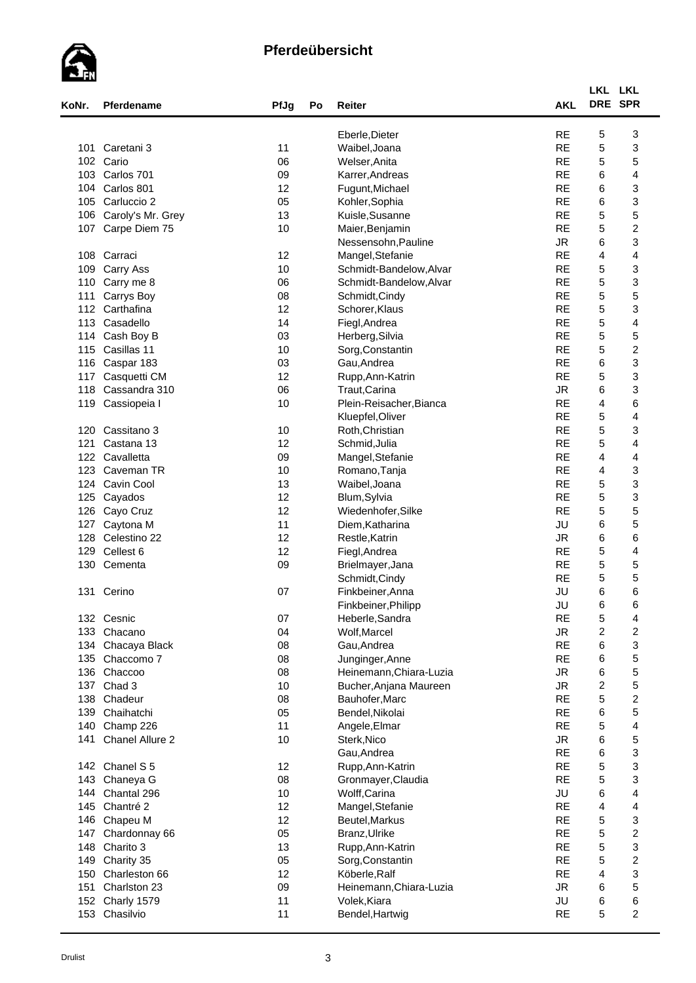

|       |                   |      |    |                         |            | LKL LKL          |                         |
|-------|-------------------|------|----|-------------------------|------------|------------------|-------------------------|
| KoNr. | Pferdename        | PfJg | Po | Reiter                  | <b>AKL</b> | DRE SPR          |                         |
|       |                   |      |    | Eberle, Dieter          | <b>RE</b>  | 5                | 3                       |
| 101   | Caretani 3        | 11   |    | Waibel, Joana           | <b>RE</b>  | 5                | 3                       |
| 102   | Cario             | 06   |    | Welser, Anita           | <b>RE</b>  | 5                | 5                       |
| 103   | Carlos 701        | 09   |    | Karrer, Andreas         | <b>RE</b>  | 6                | 4                       |
| 104   | Carlos 801        | 12   |    | Fugunt, Michael         | <b>RE</b>  | 6                | 3                       |
| 105   | Carluccio 2       | 05   |    | Kohler, Sophia          | <b>RE</b>  | 6                | 3                       |
| 106   | Caroly's Mr. Grey | 13   |    | Kuisle, Susanne         | <b>RE</b>  | 5                | 5                       |
| 107   | Carpe Diem 75     | 10   |    | Maier, Benjamin         | <b>RE</b>  | 5                | $\boldsymbol{2}$        |
|       |                   |      |    | Nessensohn, Pauline     | <b>JR</b>  | 6                | 3                       |
| 108   | Carraci           | 12   |    | Mangel, Stefanie        | <b>RE</b>  | 4                | 4                       |
| 109   | Carry Ass         | 10   |    | Schmidt-Bandelow, Alvar | <b>RE</b>  | 5                | 3                       |
| 110   | Carry me 8        | 06   |    | Schmidt-Bandelow, Alvar | <b>RE</b>  | 5                | 3                       |
| 111   | Carrys Boy        | 08   |    | Schmidt, Cindy          | <b>RE</b>  | 5                | 5                       |
| 112   | Carthafina        | 12   |    | Schorer, Klaus          | <b>RE</b>  | 5                | 3                       |
| 113   | Casadello         | 14   |    | Fiegl, Andrea           | <b>RE</b>  | 5                | 4                       |
| 114   | Cash Boy B        | 03   |    | Herberg, Silvia         | <b>RE</b>  | 5                | 5                       |
| 115   | Casillas 11       | 10   |    | Sorg, Constantin        | <b>RE</b>  | 5                | $\boldsymbol{2}$        |
| 116   | Caspar 183        | 03   |    | Gau, Andrea             | <b>RE</b>  | 6                | 3                       |
| 117   | Casquetti CM      | 12   |    | Rupp, Ann-Katrin        | <b>RE</b>  | 5                | 3                       |
| 118   | Cassandra 310     | 06   |    | Traut, Carina           | <b>JR</b>  | 6                | 3                       |
| 119   | Cassiopeia I      | 10   |    | Plein-Reisacher, Bianca | <b>RE</b>  | 4                | 6                       |
|       |                   |      |    | Kluepfel, Oliver        | <b>RE</b>  | 5                | 4                       |
| 120   | Cassitano 3       | 10   |    | Roth, Christian         | <b>RE</b>  | 5                | 3                       |
| 121   | Castana 13        | 12   |    | Schmid, Julia           | <b>RE</b>  | 5                | 4                       |
| 122   | Cavalletta        | 09   |    | Mangel, Stefanie        | <b>RE</b>  | 4                | 4                       |
| 123   | Caveman TR        | 10   |    | Romano, Tanja           | <b>RE</b>  | 4                | 3                       |
| 124   | Cavin Cool        | 13   |    | Waibel, Joana           | <b>RE</b>  | 5                | 3                       |
|       | Cayados           | 12   |    | Blum, Sylvia            | <b>RE</b>  | 5                | 3                       |
| 125   |                   | 12   |    |                         | <b>RE</b>  | 5                | 5                       |
| 126   | Cayo Cruz         |      |    | Wiedenhofer, Silke      |            |                  |                         |
| 127   | Caytona M         | 11   |    | Diem, Katharina         | JU         | 6                | 5                       |
| 128   | Celestino 22      | 12   |    | Restle, Katrin          | <b>JR</b>  | 6                | 6                       |
| 129   | Cellest 6         | 12   |    | Fiegl, Andrea           | <b>RE</b>  | $\mathbf 5$      | 4                       |
| 130   | Cementa           | 09   |    | Brielmayer, Jana        | <b>RE</b>  | 5                | 5                       |
|       |                   |      |    | Schmidt, Cindy          | <b>RE</b>  | 5                | 5                       |
| 131   | Cerino            | 07   |    | Finkbeiner, Anna        | JU         | 6                | 6                       |
|       |                   |      |    | Finkbeiner, Philipp     | JU         | 6                | 6                       |
|       | 132 Cesnic        | 07   |    | Heberle, Sandra         | <b>RE</b>  | $\mathbf 5$      | 4                       |
| 133   | Chacano           | 04   |    | Wolf, Marcel            | <b>JR</b>  | $\overline{c}$   | $\boldsymbol{2}$        |
|       | 134 Chacaya Black | 08   |    | Gau, Andrea             | <b>RE</b>  | 6                | 3                       |
| 135   | Chaccomo 7        | 08   |    | Junginger, Anne         | <b>RE</b>  | 6                | 5                       |
| 136   | Chaccoo           | 08   |    | Heinemann, Chiara-Luzia | <b>JR</b>  | 6                | 5                       |
| 137   | Chad 3            | 10   |    | Bucher, Anjana Maureen  | ${\sf JR}$ | $\boldsymbol{2}$ | 5                       |
| 138   | Chadeur           | 08   |    | Bauhofer, Marc          | <b>RE</b>  | 5                | $\boldsymbol{2}$        |
| 139   | Chaihatchi        | 05   |    | Bendel, Nikolai         | <b>RE</b>  | 6                | 5                       |
| 140   | Champ 226         | 11   |    | Angele, Elmar           | <b>RE</b>  | $\mathbf 5$      | 4                       |
| 141   | Chanel Allure 2   | 10   |    | Sterk, Nico             | <b>JR</b>  | 6                | 5                       |
|       |                   |      |    | Gau, Andrea             | <b>RE</b>  | 6                | 3                       |
| 142   | Chanel S 5        | 12   |    | Rupp, Ann-Katrin        | <b>RE</b>  | 5                | 3                       |
| 143   | Chaneya G         | 08   |    | Gronmayer, Claudia      | <b>RE</b>  | 5                | 3                       |
| 144   | Chantal 296       | 10   |    | Wolff, Carina           | JU         | 6                | 4                       |
| 145   | Chantré 2         | 12   |    | Mangel, Stefanie        | <b>RE</b>  | 4                | 4                       |
| 146   | Chapeu M          | 12   |    | Beutel, Markus          | <b>RE</b>  | 5                | 3                       |
| 147   | Chardonnay 66     | 05   |    | Branz, Ulrike           | <b>RE</b>  | 5                | $\boldsymbol{2}$        |
| 148   | Charito 3         | 13   |    | Rupp, Ann-Katrin        | <b>RE</b>  | 5                | 3                       |
| 149   | Charity 35        | 05   |    | Sorg, Constantin        | <b>RE</b>  | 5                | $\boldsymbol{2}$        |
| 150   | Charleston 66     | 12   |    | Köberle, Ralf           | <b>RE</b>  | 4                | 3                       |
| 151   | Charlston 23      | 09   |    | Heinemann, Chiara-Luzia | JR.        | 6                | 5                       |
| 152   | Charly 1579       | 11   |    | Volek, Kiara            | JU         | 6                | 6                       |
|       | 153 Chasilvio     | 11   |    | Bendel, Hartwig         | <b>RE</b>  | 5                | $\overline{\mathbf{c}}$ |
|       |                   |      |    |                         |            |                  |                         |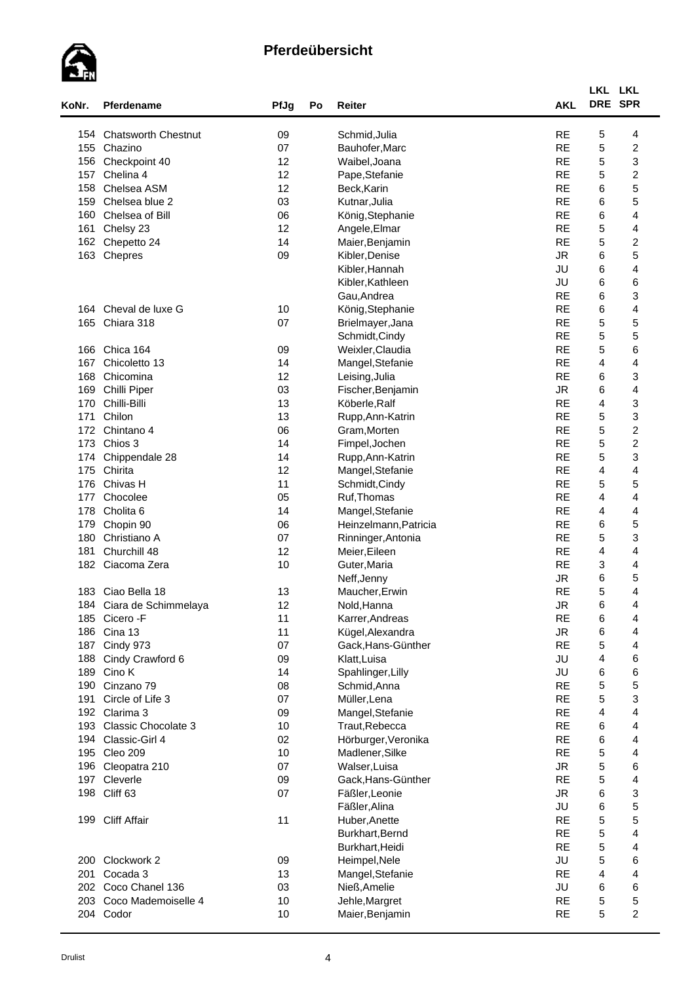

| KoNr. | Pferdename                 | PfJg     | Po | Reiter                | <b>AKL</b> | LKL LKL        | DRE SPR                 |
|-------|----------------------------|----------|----|-----------------------|------------|----------------|-------------------------|
| 154   | <b>Chatsworth Chestnut</b> | 09       |    | Schmid, Julia         | <b>RE</b>  | 5              | 4                       |
| 155   | Chazino                    | 07       |    | Bauhofer, Marc        | <b>RE</b>  | 5              | $\boldsymbol{2}$        |
| 156   | Checkpoint 40              | 12       |    | Waibel, Joana         | <b>RE</b>  | 5              | 3                       |
| 157   | Chelina 4                  | 12       |    | Pape, Stefanie        | <b>RE</b>  | 5              | $\overline{\mathbf{c}}$ |
| 158   | Chelsea ASM                | 12       |    | Beck, Karin           | <b>RE</b>  | 6              | 5                       |
| 159   | Chelsea blue 2             | 03       |    | Kutnar, Julia         | <b>RE</b>  | 6              | 5                       |
| 160   | Chelsea of Bill            | 06       |    | König, Stephanie      | <b>RE</b>  | 6              | 4                       |
| 161   | Chelsy 23                  | 12       |    | Angele, Elmar         | <b>RE</b>  | 5              | 4                       |
| 162   | Chepetto 24                | 14       |    | Maier, Benjamin       | <b>RE</b>  | 5              | $\overline{c}$          |
| 163   | Chepres                    | 09       |    | Kibler, Denise        | <b>JR</b>  | 6              | 5                       |
|       |                            |          |    | Kibler, Hannah        | JU         | 6              | 4                       |
|       |                            |          |    | Kibler, Kathleen      | JU         | 6              | 6                       |
|       |                            |          |    | Gau, Andrea           | <b>RE</b>  | 6              | 3                       |
|       | 164 Cheval de luxe G       |          |    |                       | <b>RE</b>  | 6              | 4                       |
|       | Chiara 318                 | 10<br>07 |    | König, Stephanie      | <b>RE</b>  |                |                         |
| 165   |                            |          |    | Brielmayer, Jana      |            | 5              | 5                       |
|       |                            |          |    | Schmidt, Cindy        | <b>RE</b>  | 5              | 5                       |
| 166   | Chica 164                  | 09       |    | Weixler, Claudia      | <b>RE</b>  | 5              | 6                       |
| 167   | Chicoletto 13              | 14       |    | Mangel, Stefanie      | <b>RE</b>  | $\overline{4}$ | 4                       |
| 168   | Chicomina                  | 12       |    | Leising, Julia        | <b>RE</b>  | 6              | 3                       |
| 169   | Chilli Piper               | 03       |    | Fischer, Benjamin     | <b>JR</b>  | 6              | 4                       |
| 170   | Chilli-Billi               | 13       |    | Köberle, Ralf         | <b>RE</b>  | $\overline{4}$ | 3                       |
| 171   | Chilon                     | 13       |    | Rupp, Ann-Katrin      | <b>RE</b>  | 5              | 3                       |
| 172   | Chintano 4                 | 06       |    | Gram, Morten          | <b>RE</b>  | 5              | $\boldsymbol{2}$        |
| 173   | Chios 3                    | 14       |    | Fimpel, Jochen        | <b>RE</b>  | 5              | $\boldsymbol{2}$        |
| 174   | Chippendale 28             | 14       |    | Rupp, Ann-Katrin      | <b>RE</b>  | 5              | 3                       |
| 175   | Chirita                    | 12       |    | Mangel, Stefanie      | <b>RE</b>  | 4              | 4                       |
| 176   | Chivas H                   | 11       |    | Schmidt, Cindy        | <b>RE</b>  | 5              | 5                       |
| 177   | Chocolee                   | 05       |    | Ruf, Thomas           | <b>RE</b>  | 4              | 4                       |
| 178   | Cholita <sub>6</sub>       | 14       |    | Mangel, Stefanie      | <b>RE</b>  | 4              | 4                       |
| 179   | Chopin 90                  | 06       |    | Heinzelmann, Patricia | <b>RE</b>  | 6              | 5                       |
| 180   | Christiano A               | 07       |    | Rinninger, Antonia    | <b>RE</b>  | 5              | 3                       |
| 181   | Churchill 48               | 12       |    | Meier, Eileen         | <b>RE</b>  | 4              | 4                       |
| 182   | Ciacoma Zera               | 10       |    | Guter, Maria          | <b>RE</b>  | 3              | 4                       |
|       |                            |          |    | Neff, Jenny           | ${\sf JR}$ | 6              | 5                       |
| 183   | Ciao Bella 18              | 13       |    | Maucher, Erwin        | <b>RE</b>  | 5              | 4                       |
|       | 184 Ciara de Schimmelaya   | 12       |    | Nold, Hanna           | <b>JR</b>  | 6              | 4                       |
| 185   | Cicero - F                 | 11       |    | Karrer, Andreas       | <b>RE</b>  | 6              | 4                       |
| 186   | Cina 13                    | 11       |    | Kügel, Alexandra      | <b>JR</b>  | 6              | 4                       |
| 187   | Cindy 973                  | 07       |    | Gack, Hans-Günther    | <b>RE</b>  | 5              | 4                       |
| 188   | Cindy Crawford 6           | 09       |    | Klatt, Luisa          | JU         | 4              | 6                       |
| 189   | Cino K                     | 14       |    | Spahlinger, Lilly     | JU         | 6              | 6                       |
| 190   | Cinzano 79                 | 08       |    | Schmid, Anna          | <b>RE</b>  | 5              | 5                       |
| 191   | Circle of Life 3           | 07       |    | Müller, Lena          | <b>RE</b>  | 5              | 3                       |
|       | 192 Clarima 3              | 09       |    | Mangel, Stefanie      | <b>RE</b>  | 4              | 4                       |
| 193   | <b>Classic Chocolate 3</b> | 10       |    | Traut, Rebecca        | <b>RE</b>  | 6              | $\overline{\mathbf{4}}$ |
| 194   | Classic-Girl 4             | 02       |    | Hörburger, Veronika   | <b>RE</b>  | 6              | $\overline{\mathbf{4}}$ |
|       | 195 Cleo 209               | 10       |    | Madlener, Silke       | <b>RE</b>  | $\mathbf 5$    | 4                       |
| 196   | Cleopatra 210              | 07       |    | Walser, Luisa         | <b>JR</b>  | $\mathbf 5$    | 6                       |
|       | 197 Cleverle               | 09       |    | Gack, Hans-Günther    | <b>RE</b>  | $\mathbf 5$    | 4                       |
| 198   | Cliff 63                   | 07       |    | Fäßler, Leonie        | <b>JR</b>  | 6              | 3                       |
|       |                            |          |    | Fäßler, Alina         | JU         | 6              | 5                       |
| 199   | <b>Cliff Affair</b>        | 11       |    | Huber, Anette         | <b>RE</b>  | 5              | 5                       |
|       |                            |          |    | Burkhart, Bernd       | <b>RE</b>  | 5              | 4                       |
|       |                            |          |    |                       | <b>RE</b>  | 5              |                         |
|       |                            |          |    | Burkhart, Heidi       |            |                | 4                       |
| 200   | Clockwork 2                | 09       |    | Heimpel, Nele         | JU         | 5              | 6                       |
| 201   | Cocada 3                   | 13       |    | Mangel, Stefanie      | <b>RE</b>  | 4              | 4                       |
| 202   | Coco Chanel 136            | 03       |    | Nieß, Amelie          | JU         | 6              | 6                       |
| 203   | Coco Mademoiselle 4        | 10       |    | Jehle, Margret        | <b>RE</b>  | 5              | 5                       |
|       | 204 Codor                  | 10       |    | Maier, Benjamin       | <b>RE</b>  | 5              | $\overline{c}$          |
|       |                            |          |    |                       |            |                |                         |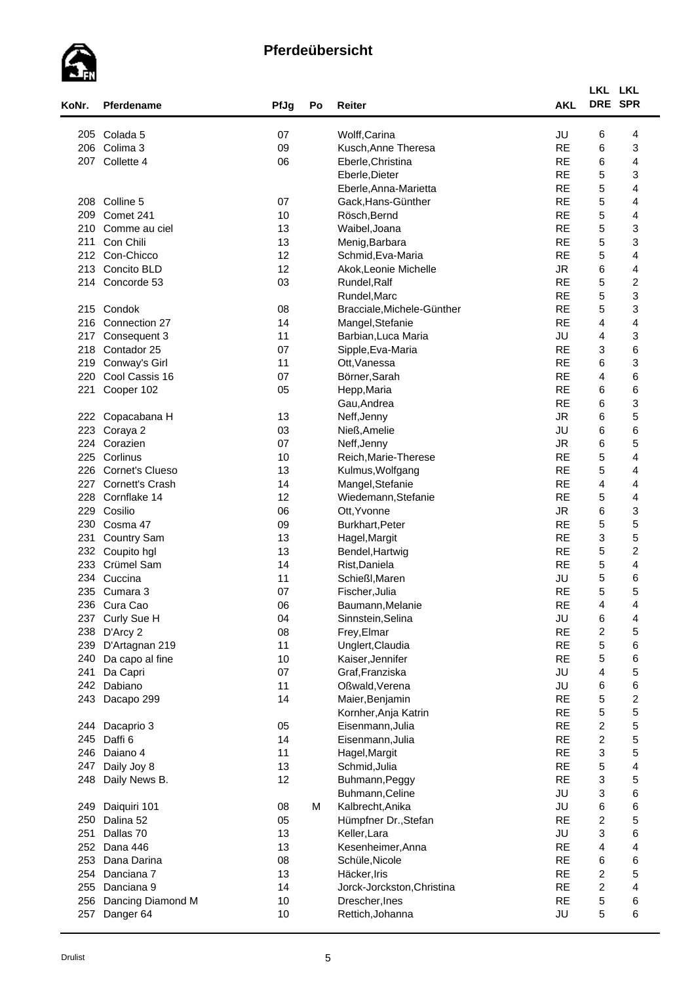

| Colada <sub>5</sub><br>07<br>Wolff, Carina<br>JU<br>6<br>205<br>4<br><b>RE</b><br>Colima 3<br>6<br>3<br>206<br>09<br>Kusch, Anne Theresa<br>Collette 4<br><b>RE</b><br>6<br>06<br>4<br>207<br>Eberle, Christina<br><b>RE</b><br>5<br>3<br>Eberle, Dieter<br><b>RE</b><br>5<br>4<br>Eberle, Anna-Marietta<br>5<br><b>RE</b><br>Colline 5<br>07<br>Gack, Hans-Günther<br>4<br>208<br>5<br><b>RE</b><br>209<br>Comet 241<br>10<br>4<br>Rösch, Bernd<br><b>RE</b><br>5<br>3<br>13<br>210<br>Comme au ciel<br>Waibel, Joana<br><b>RE</b><br>5<br>3<br>Con Chili<br>13<br>211<br>Menig, Barbara<br>5<br>$\overline{\mathbf{4}}$<br><b>RE</b><br>212<br>Con-Chicco<br>12<br>Schmid, Eva-Maria<br>6<br>12<br><b>JR</b><br>4<br>213<br>Concito BLD<br>Akok, Leonie Michelle<br>5<br>$\boldsymbol{2}$<br>03<br>Concorde 53<br>Rundel, Ralf<br><b>RE</b><br>214<br>5<br>3<br><b>RE</b><br>Rundel, Marc<br>5<br>3<br><b>RE</b><br>215<br>Condok<br>08<br>Bracciale, Michele-Günther<br><b>RE</b><br>216<br>Connection 27<br>14<br>4<br>4<br>Mangel, Stefanie<br>217<br>11<br>JU<br>4<br>3<br>Consequent 3<br>Barbian, Luca Maria<br>6<br><b>RE</b><br>3<br>218<br>07<br>Contador 25<br>Sipple, Eva-Maria<br>6<br>3<br>11<br><b>RE</b><br>219<br>Conway's Girl<br>Ott, Vanessa<br><b>RE</b><br>$\overline{4}$<br>6<br>220<br>Cool Cassis 16<br>07<br>Börner, Sarah<br>6<br>6<br><b>RE</b><br>221<br>Cooper 102<br>05<br>Hepp, Maria<br>3<br><b>RE</b><br>6<br>Gau, Andrea<br>5<br><b>JR</b><br>6<br>13<br>222<br>Copacabana H<br>Neff, Jenny<br>6<br>6<br>223<br>JU<br>Coraya 2<br>03<br>Nieß, Amelie<br>5<br><b>JR</b><br>6<br>224<br>Corazien<br>07<br>Neff, Jenny<br>$\mathbf 5$<br><b>RE</b><br>4<br>225<br>Corlinus<br>10<br>Reich, Marie-Therese<br><b>RE</b><br>5<br>Cornet's Clueso<br>4<br>226<br>13<br>Kulmus, Wolfgang<br><b>RE</b><br>$\overline{4}$<br>227<br>Cornett's Crash<br>14<br>Mangel, Stefanie<br>4<br><b>RE</b><br>5<br>228<br>Cornflake 14<br>12<br>Wiedemann, Stefanie<br>4<br>6<br>3<br>229<br><b>JR</b><br>Cosilio<br>06<br>Ott, Yvonne<br>5<br>5<br>230<br>09<br><b>RE</b><br>Cosma 47<br>Burkhart, Peter<br>$\ensuremath{\mathsf{3}}$<br>5<br><b>RE</b><br>13<br>231<br><b>Country Sam</b><br>Hagel, Margit<br>5<br>$\overline{c}$<br><b>RE</b><br>232<br>Coupito hgl<br>13<br>Bendel, Hartwig<br>5<br>$\overline{\mathbf{4}}$<br><b>RE</b><br>233<br>Crümel Sam<br>14<br>Rist, Daniela<br>5<br>JU<br>Cuccina<br>11<br>Schießl, Maren<br>6<br>234<br>5<br>5<br>235<br><b>RE</b><br>Cumara 3<br>07<br>Fischer, Julia<br><b>RE</b><br>4<br>236<br>Cura Cao<br>06<br>4<br>Baumann, Melanie<br>JU<br>Curly Sue H<br>04<br>Sinnstein, Selina<br>6<br>4<br>237<br><b>RE</b><br>$\overline{\mathbf{c}}$<br>5<br>238<br>D'Arcy 2<br>08<br>Frey, Elmar<br><b>RE</b><br>5<br>6<br>239<br>D'Artagnan 219<br>11<br>Unglert, Claudia<br><b>RE</b><br>5<br>Da capo al fine<br>10<br>Kaiser, Jennifer<br>6<br>240<br>4<br>5<br>07<br>JU<br>241<br>Da Capri<br>Graf, Franziska<br>6<br>6<br>242<br>Dabiano<br>11<br>Oßwald, Verena<br>JU<br>$\mathbf 5$<br><b>RE</b><br>$\overline{\mathbf{c}}$<br>14<br>243 Dacapo 299<br>Maier, Benjamin<br>5<br>5<br><b>RE</b><br>Kornher, Anja Katrin<br>5<br><b>RE</b><br>$\overline{c}$<br>244 Dacaprio 3<br>05<br>Eisenmann, Julia<br>$\boldsymbol{2}$<br>5<br><b>RE</b><br>245 Daffi 6<br>14<br>Eisenmann, Julia<br>3<br>5<br>246<br><b>RE</b><br>Daiano 4<br>11<br>Hagel, Margit<br>$\mathbf 5$<br><b>RE</b><br>4<br>247<br>Daily Joy 8<br>13<br>Schmid, Julia<br>3<br>5<br><b>RE</b><br>12<br>248<br>Daily News B.<br>Buhmann, Peggy<br>3<br>6<br>JU<br>Buhmann, Celine<br>JU<br>6<br>6<br>Daiquiri 101<br>08<br>M<br>Kalbrecht, Anika<br>249<br><b>RE</b><br>$\overline{c}$<br>5<br>Dalina 52<br>05<br>Hümpfner Dr., Stefan<br>250<br>3<br>6<br>JU<br>251<br>Dallas 70<br>13<br>Keller, Lara<br><b>RE</b><br>4<br>252<br>13<br>4<br>Dana 446<br>Kesenheimer, Anna<br>253<br>08<br><b>RE</b><br>6<br>6<br>Dana Darina<br>Schüle, Nicole<br>5<br><b>RE</b><br>$\overline{c}$<br>254<br>Danciana 7<br>13<br>Häcker, Iris<br><b>RE</b><br>$\overline{c}$<br>$\overline{\mathbf{4}}$<br>255<br>14<br>Danciana 9<br>Jorck-Jorckston, Christina<br>$\mathbf 5$<br><b>RE</b><br>6<br>256<br>Dancing Diamond M<br>10<br>Drescher, Ines | KoNr. | Pferdename | PfJg | Po | Reiter           | <b>AKL</b> | LKL LKL<br>DRE SPR |   |  |
|--------------------------------------------------------------------------------------------------------------------------------------------------------------------------------------------------------------------------------------------------------------------------------------------------------------------------------------------------------------------------------------------------------------------------------------------------------------------------------------------------------------------------------------------------------------------------------------------------------------------------------------------------------------------------------------------------------------------------------------------------------------------------------------------------------------------------------------------------------------------------------------------------------------------------------------------------------------------------------------------------------------------------------------------------------------------------------------------------------------------------------------------------------------------------------------------------------------------------------------------------------------------------------------------------------------------------------------------------------------------------------------------------------------------------------------------------------------------------------------------------------------------------------------------------------------------------------------------------------------------------------------------------------------------------------------------------------------------------------------------------------------------------------------------------------------------------------------------------------------------------------------------------------------------------------------------------------------------------------------------------------------------------------------------------------------------------------------------------------------------------------------------------------------------------------------------------------------------------------------------------------------------------------------------------------------------------------------------------------------------------------------------------------------------------------------------------------------------------------------------------------------------------------------------------------------------------------------------------------------------------------------------------------------------------------------------------------------------------------------------------------------------------------------------------------------------------------------------------------------------------------------------------------------------------------------------------------------------------------------------------------------------------------------------------------------------------------------------------------------------------------------------------------------------------------------------------------------------------------------------------------------------------------------------------------------------------------------------------------------------------------------------------------------------------------------------------------------------------------------------------------------------------------------------------------------------------------------------------------------------------------------------------------------------------------------------------------------------------------------------------------------------------------------------------------------------------------------------------------------------------------------------------------------------------------------------------------------------------------------------------------------------------------------------------------------------------------------------------------------------------------------------------------------------------------------------------------------------------------------------------------------------------|-------|------------|------|----|------------------|------------|--------------------|---|--|
|                                                                                                                                                                                                                                                                                                                                                                                                                                                                                                                                                                                                                                                                                                                                                                                                                                                                                                                                                                                                                                                                                                                                                                                                                                                                                                                                                                                                                                                                                                                                                                                                                                                                                                                                                                                                                                                                                                                                                                                                                                                                                                                                                                                                                                                                                                                                                                                                                                                                                                                                                                                                                                                                                                                                                                                                                                                                                                                                                                                                                                                                                                                                                                                                                                                                                                                                                                                                                                                                                                                                                                                                                                                                                                                                                                                                                                                                                                                                                                                                                                                                                                                                                                                                                                                                          |       |            |      |    |                  |            |                    |   |  |
|                                                                                                                                                                                                                                                                                                                                                                                                                                                                                                                                                                                                                                                                                                                                                                                                                                                                                                                                                                                                                                                                                                                                                                                                                                                                                                                                                                                                                                                                                                                                                                                                                                                                                                                                                                                                                                                                                                                                                                                                                                                                                                                                                                                                                                                                                                                                                                                                                                                                                                                                                                                                                                                                                                                                                                                                                                                                                                                                                                                                                                                                                                                                                                                                                                                                                                                                                                                                                                                                                                                                                                                                                                                                                                                                                                                                                                                                                                                                                                                                                                                                                                                                                                                                                                                                          |       |            |      |    |                  |            |                    |   |  |
|                                                                                                                                                                                                                                                                                                                                                                                                                                                                                                                                                                                                                                                                                                                                                                                                                                                                                                                                                                                                                                                                                                                                                                                                                                                                                                                                                                                                                                                                                                                                                                                                                                                                                                                                                                                                                                                                                                                                                                                                                                                                                                                                                                                                                                                                                                                                                                                                                                                                                                                                                                                                                                                                                                                                                                                                                                                                                                                                                                                                                                                                                                                                                                                                                                                                                                                                                                                                                                                                                                                                                                                                                                                                                                                                                                                                                                                                                                                                                                                                                                                                                                                                                                                                                                                                          |       |            |      |    |                  |            |                    |   |  |
|                                                                                                                                                                                                                                                                                                                                                                                                                                                                                                                                                                                                                                                                                                                                                                                                                                                                                                                                                                                                                                                                                                                                                                                                                                                                                                                                                                                                                                                                                                                                                                                                                                                                                                                                                                                                                                                                                                                                                                                                                                                                                                                                                                                                                                                                                                                                                                                                                                                                                                                                                                                                                                                                                                                                                                                                                                                                                                                                                                                                                                                                                                                                                                                                                                                                                                                                                                                                                                                                                                                                                                                                                                                                                                                                                                                                                                                                                                                                                                                                                                                                                                                                                                                                                                                                          |       |            |      |    |                  |            |                    |   |  |
|                                                                                                                                                                                                                                                                                                                                                                                                                                                                                                                                                                                                                                                                                                                                                                                                                                                                                                                                                                                                                                                                                                                                                                                                                                                                                                                                                                                                                                                                                                                                                                                                                                                                                                                                                                                                                                                                                                                                                                                                                                                                                                                                                                                                                                                                                                                                                                                                                                                                                                                                                                                                                                                                                                                                                                                                                                                                                                                                                                                                                                                                                                                                                                                                                                                                                                                                                                                                                                                                                                                                                                                                                                                                                                                                                                                                                                                                                                                                                                                                                                                                                                                                                                                                                                                                          |       |            |      |    |                  |            |                    |   |  |
|                                                                                                                                                                                                                                                                                                                                                                                                                                                                                                                                                                                                                                                                                                                                                                                                                                                                                                                                                                                                                                                                                                                                                                                                                                                                                                                                                                                                                                                                                                                                                                                                                                                                                                                                                                                                                                                                                                                                                                                                                                                                                                                                                                                                                                                                                                                                                                                                                                                                                                                                                                                                                                                                                                                                                                                                                                                                                                                                                                                                                                                                                                                                                                                                                                                                                                                                                                                                                                                                                                                                                                                                                                                                                                                                                                                                                                                                                                                                                                                                                                                                                                                                                                                                                                                                          |       |            |      |    |                  |            |                    |   |  |
|                                                                                                                                                                                                                                                                                                                                                                                                                                                                                                                                                                                                                                                                                                                                                                                                                                                                                                                                                                                                                                                                                                                                                                                                                                                                                                                                                                                                                                                                                                                                                                                                                                                                                                                                                                                                                                                                                                                                                                                                                                                                                                                                                                                                                                                                                                                                                                                                                                                                                                                                                                                                                                                                                                                                                                                                                                                                                                                                                                                                                                                                                                                                                                                                                                                                                                                                                                                                                                                                                                                                                                                                                                                                                                                                                                                                                                                                                                                                                                                                                                                                                                                                                                                                                                                                          |       |            |      |    |                  |            |                    |   |  |
|                                                                                                                                                                                                                                                                                                                                                                                                                                                                                                                                                                                                                                                                                                                                                                                                                                                                                                                                                                                                                                                                                                                                                                                                                                                                                                                                                                                                                                                                                                                                                                                                                                                                                                                                                                                                                                                                                                                                                                                                                                                                                                                                                                                                                                                                                                                                                                                                                                                                                                                                                                                                                                                                                                                                                                                                                                                                                                                                                                                                                                                                                                                                                                                                                                                                                                                                                                                                                                                                                                                                                                                                                                                                                                                                                                                                                                                                                                                                                                                                                                                                                                                                                                                                                                                                          |       |            |      |    |                  |            |                    |   |  |
|                                                                                                                                                                                                                                                                                                                                                                                                                                                                                                                                                                                                                                                                                                                                                                                                                                                                                                                                                                                                                                                                                                                                                                                                                                                                                                                                                                                                                                                                                                                                                                                                                                                                                                                                                                                                                                                                                                                                                                                                                                                                                                                                                                                                                                                                                                                                                                                                                                                                                                                                                                                                                                                                                                                                                                                                                                                                                                                                                                                                                                                                                                                                                                                                                                                                                                                                                                                                                                                                                                                                                                                                                                                                                                                                                                                                                                                                                                                                                                                                                                                                                                                                                                                                                                                                          |       |            |      |    |                  |            |                    |   |  |
|                                                                                                                                                                                                                                                                                                                                                                                                                                                                                                                                                                                                                                                                                                                                                                                                                                                                                                                                                                                                                                                                                                                                                                                                                                                                                                                                                                                                                                                                                                                                                                                                                                                                                                                                                                                                                                                                                                                                                                                                                                                                                                                                                                                                                                                                                                                                                                                                                                                                                                                                                                                                                                                                                                                                                                                                                                                                                                                                                                                                                                                                                                                                                                                                                                                                                                                                                                                                                                                                                                                                                                                                                                                                                                                                                                                                                                                                                                                                                                                                                                                                                                                                                                                                                                                                          |       |            |      |    |                  |            |                    |   |  |
|                                                                                                                                                                                                                                                                                                                                                                                                                                                                                                                                                                                                                                                                                                                                                                                                                                                                                                                                                                                                                                                                                                                                                                                                                                                                                                                                                                                                                                                                                                                                                                                                                                                                                                                                                                                                                                                                                                                                                                                                                                                                                                                                                                                                                                                                                                                                                                                                                                                                                                                                                                                                                                                                                                                                                                                                                                                                                                                                                                                                                                                                                                                                                                                                                                                                                                                                                                                                                                                                                                                                                                                                                                                                                                                                                                                                                                                                                                                                                                                                                                                                                                                                                                                                                                                                          |       |            |      |    |                  |            |                    |   |  |
|                                                                                                                                                                                                                                                                                                                                                                                                                                                                                                                                                                                                                                                                                                                                                                                                                                                                                                                                                                                                                                                                                                                                                                                                                                                                                                                                                                                                                                                                                                                                                                                                                                                                                                                                                                                                                                                                                                                                                                                                                                                                                                                                                                                                                                                                                                                                                                                                                                                                                                                                                                                                                                                                                                                                                                                                                                                                                                                                                                                                                                                                                                                                                                                                                                                                                                                                                                                                                                                                                                                                                                                                                                                                                                                                                                                                                                                                                                                                                                                                                                                                                                                                                                                                                                                                          |       |            |      |    |                  |            |                    |   |  |
|                                                                                                                                                                                                                                                                                                                                                                                                                                                                                                                                                                                                                                                                                                                                                                                                                                                                                                                                                                                                                                                                                                                                                                                                                                                                                                                                                                                                                                                                                                                                                                                                                                                                                                                                                                                                                                                                                                                                                                                                                                                                                                                                                                                                                                                                                                                                                                                                                                                                                                                                                                                                                                                                                                                                                                                                                                                                                                                                                                                                                                                                                                                                                                                                                                                                                                                                                                                                                                                                                                                                                                                                                                                                                                                                                                                                                                                                                                                                                                                                                                                                                                                                                                                                                                                                          |       |            |      |    |                  |            |                    |   |  |
|                                                                                                                                                                                                                                                                                                                                                                                                                                                                                                                                                                                                                                                                                                                                                                                                                                                                                                                                                                                                                                                                                                                                                                                                                                                                                                                                                                                                                                                                                                                                                                                                                                                                                                                                                                                                                                                                                                                                                                                                                                                                                                                                                                                                                                                                                                                                                                                                                                                                                                                                                                                                                                                                                                                                                                                                                                                                                                                                                                                                                                                                                                                                                                                                                                                                                                                                                                                                                                                                                                                                                                                                                                                                                                                                                                                                                                                                                                                                                                                                                                                                                                                                                                                                                                                                          |       |            |      |    |                  |            |                    |   |  |
|                                                                                                                                                                                                                                                                                                                                                                                                                                                                                                                                                                                                                                                                                                                                                                                                                                                                                                                                                                                                                                                                                                                                                                                                                                                                                                                                                                                                                                                                                                                                                                                                                                                                                                                                                                                                                                                                                                                                                                                                                                                                                                                                                                                                                                                                                                                                                                                                                                                                                                                                                                                                                                                                                                                                                                                                                                                                                                                                                                                                                                                                                                                                                                                                                                                                                                                                                                                                                                                                                                                                                                                                                                                                                                                                                                                                                                                                                                                                                                                                                                                                                                                                                                                                                                                                          |       |            |      |    |                  |            |                    |   |  |
|                                                                                                                                                                                                                                                                                                                                                                                                                                                                                                                                                                                                                                                                                                                                                                                                                                                                                                                                                                                                                                                                                                                                                                                                                                                                                                                                                                                                                                                                                                                                                                                                                                                                                                                                                                                                                                                                                                                                                                                                                                                                                                                                                                                                                                                                                                                                                                                                                                                                                                                                                                                                                                                                                                                                                                                                                                                                                                                                                                                                                                                                                                                                                                                                                                                                                                                                                                                                                                                                                                                                                                                                                                                                                                                                                                                                                                                                                                                                                                                                                                                                                                                                                                                                                                                                          |       |            |      |    |                  |            |                    |   |  |
|                                                                                                                                                                                                                                                                                                                                                                                                                                                                                                                                                                                                                                                                                                                                                                                                                                                                                                                                                                                                                                                                                                                                                                                                                                                                                                                                                                                                                                                                                                                                                                                                                                                                                                                                                                                                                                                                                                                                                                                                                                                                                                                                                                                                                                                                                                                                                                                                                                                                                                                                                                                                                                                                                                                                                                                                                                                                                                                                                                                                                                                                                                                                                                                                                                                                                                                                                                                                                                                                                                                                                                                                                                                                                                                                                                                                                                                                                                                                                                                                                                                                                                                                                                                                                                                                          |       |            |      |    |                  |            |                    |   |  |
|                                                                                                                                                                                                                                                                                                                                                                                                                                                                                                                                                                                                                                                                                                                                                                                                                                                                                                                                                                                                                                                                                                                                                                                                                                                                                                                                                                                                                                                                                                                                                                                                                                                                                                                                                                                                                                                                                                                                                                                                                                                                                                                                                                                                                                                                                                                                                                                                                                                                                                                                                                                                                                                                                                                                                                                                                                                                                                                                                                                                                                                                                                                                                                                                                                                                                                                                                                                                                                                                                                                                                                                                                                                                                                                                                                                                                                                                                                                                                                                                                                                                                                                                                                                                                                                                          |       |            |      |    |                  |            |                    |   |  |
|                                                                                                                                                                                                                                                                                                                                                                                                                                                                                                                                                                                                                                                                                                                                                                                                                                                                                                                                                                                                                                                                                                                                                                                                                                                                                                                                                                                                                                                                                                                                                                                                                                                                                                                                                                                                                                                                                                                                                                                                                                                                                                                                                                                                                                                                                                                                                                                                                                                                                                                                                                                                                                                                                                                                                                                                                                                                                                                                                                                                                                                                                                                                                                                                                                                                                                                                                                                                                                                                                                                                                                                                                                                                                                                                                                                                                                                                                                                                                                                                                                                                                                                                                                                                                                                                          |       |            |      |    |                  |            |                    |   |  |
|                                                                                                                                                                                                                                                                                                                                                                                                                                                                                                                                                                                                                                                                                                                                                                                                                                                                                                                                                                                                                                                                                                                                                                                                                                                                                                                                                                                                                                                                                                                                                                                                                                                                                                                                                                                                                                                                                                                                                                                                                                                                                                                                                                                                                                                                                                                                                                                                                                                                                                                                                                                                                                                                                                                                                                                                                                                                                                                                                                                                                                                                                                                                                                                                                                                                                                                                                                                                                                                                                                                                                                                                                                                                                                                                                                                                                                                                                                                                                                                                                                                                                                                                                                                                                                                                          |       |            |      |    |                  |            |                    |   |  |
|                                                                                                                                                                                                                                                                                                                                                                                                                                                                                                                                                                                                                                                                                                                                                                                                                                                                                                                                                                                                                                                                                                                                                                                                                                                                                                                                                                                                                                                                                                                                                                                                                                                                                                                                                                                                                                                                                                                                                                                                                                                                                                                                                                                                                                                                                                                                                                                                                                                                                                                                                                                                                                                                                                                                                                                                                                                                                                                                                                                                                                                                                                                                                                                                                                                                                                                                                                                                                                                                                                                                                                                                                                                                                                                                                                                                                                                                                                                                                                                                                                                                                                                                                                                                                                                                          |       |            |      |    |                  |            |                    |   |  |
|                                                                                                                                                                                                                                                                                                                                                                                                                                                                                                                                                                                                                                                                                                                                                                                                                                                                                                                                                                                                                                                                                                                                                                                                                                                                                                                                                                                                                                                                                                                                                                                                                                                                                                                                                                                                                                                                                                                                                                                                                                                                                                                                                                                                                                                                                                                                                                                                                                                                                                                                                                                                                                                                                                                                                                                                                                                                                                                                                                                                                                                                                                                                                                                                                                                                                                                                                                                                                                                                                                                                                                                                                                                                                                                                                                                                                                                                                                                                                                                                                                                                                                                                                                                                                                                                          |       |            |      |    |                  |            |                    |   |  |
|                                                                                                                                                                                                                                                                                                                                                                                                                                                                                                                                                                                                                                                                                                                                                                                                                                                                                                                                                                                                                                                                                                                                                                                                                                                                                                                                                                                                                                                                                                                                                                                                                                                                                                                                                                                                                                                                                                                                                                                                                                                                                                                                                                                                                                                                                                                                                                                                                                                                                                                                                                                                                                                                                                                                                                                                                                                                                                                                                                                                                                                                                                                                                                                                                                                                                                                                                                                                                                                                                                                                                                                                                                                                                                                                                                                                                                                                                                                                                                                                                                                                                                                                                                                                                                                                          |       |            |      |    |                  |            |                    |   |  |
|                                                                                                                                                                                                                                                                                                                                                                                                                                                                                                                                                                                                                                                                                                                                                                                                                                                                                                                                                                                                                                                                                                                                                                                                                                                                                                                                                                                                                                                                                                                                                                                                                                                                                                                                                                                                                                                                                                                                                                                                                                                                                                                                                                                                                                                                                                                                                                                                                                                                                                                                                                                                                                                                                                                                                                                                                                                                                                                                                                                                                                                                                                                                                                                                                                                                                                                                                                                                                                                                                                                                                                                                                                                                                                                                                                                                                                                                                                                                                                                                                                                                                                                                                                                                                                                                          |       |            |      |    |                  |            |                    |   |  |
|                                                                                                                                                                                                                                                                                                                                                                                                                                                                                                                                                                                                                                                                                                                                                                                                                                                                                                                                                                                                                                                                                                                                                                                                                                                                                                                                                                                                                                                                                                                                                                                                                                                                                                                                                                                                                                                                                                                                                                                                                                                                                                                                                                                                                                                                                                                                                                                                                                                                                                                                                                                                                                                                                                                                                                                                                                                                                                                                                                                                                                                                                                                                                                                                                                                                                                                                                                                                                                                                                                                                                                                                                                                                                                                                                                                                                                                                                                                                                                                                                                                                                                                                                                                                                                                                          |       |            |      |    |                  |            |                    |   |  |
|                                                                                                                                                                                                                                                                                                                                                                                                                                                                                                                                                                                                                                                                                                                                                                                                                                                                                                                                                                                                                                                                                                                                                                                                                                                                                                                                                                                                                                                                                                                                                                                                                                                                                                                                                                                                                                                                                                                                                                                                                                                                                                                                                                                                                                                                                                                                                                                                                                                                                                                                                                                                                                                                                                                                                                                                                                                                                                                                                                                                                                                                                                                                                                                                                                                                                                                                                                                                                                                                                                                                                                                                                                                                                                                                                                                                                                                                                                                                                                                                                                                                                                                                                                                                                                                                          |       |            |      |    |                  |            |                    |   |  |
|                                                                                                                                                                                                                                                                                                                                                                                                                                                                                                                                                                                                                                                                                                                                                                                                                                                                                                                                                                                                                                                                                                                                                                                                                                                                                                                                                                                                                                                                                                                                                                                                                                                                                                                                                                                                                                                                                                                                                                                                                                                                                                                                                                                                                                                                                                                                                                                                                                                                                                                                                                                                                                                                                                                                                                                                                                                                                                                                                                                                                                                                                                                                                                                                                                                                                                                                                                                                                                                                                                                                                                                                                                                                                                                                                                                                                                                                                                                                                                                                                                                                                                                                                                                                                                                                          |       |            |      |    |                  |            |                    |   |  |
|                                                                                                                                                                                                                                                                                                                                                                                                                                                                                                                                                                                                                                                                                                                                                                                                                                                                                                                                                                                                                                                                                                                                                                                                                                                                                                                                                                                                                                                                                                                                                                                                                                                                                                                                                                                                                                                                                                                                                                                                                                                                                                                                                                                                                                                                                                                                                                                                                                                                                                                                                                                                                                                                                                                                                                                                                                                                                                                                                                                                                                                                                                                                                                                                                                                                                                                                                                                                                                                                                                                                                                                                                                                                                                                                                                                                                                                                                                                                                                                                                                                                                                                                                                                                                                                                          |       |            |      |    |                  |            |                    |   |  |
|                                                                                                                                                                                                                                                                                                                                                                                                                                                                                                                                                                                                                                                                                                                                                                                                                                                                                                                                                                                                                                                                                                                                                                                                                                                                                                                                                                                                                                                                                                                                                                                                                                                                                                                                                                                                                                                                                                                                                                                                                                                                                                                                                                                                                                                                                                                                                                                                                                                                                                                                                                                                                                                                                                                                                                                                                                                                                                                                                                                                                                                                                                                                                                                                                                                                                                                                                                                                                                                                                                                                                                                                                                                                                                                                                                                                                                                                                                                                                                                                                                                                                                                                                                                                                                                                          |       |            |      |    |                  |            |                    |   |  |
|                                                                                                                                                                                                                                                                                                                                                                                                                                                                                                                                                                                                                                                                                                                                                                                                                                                                                                                                                                                                                                                                                                                                                                                                                                                                                                                                                                                                                                                                                                                                                                                                                                                                                                                                                                                                                                                                                                                                                                                                                                                                                                                                                                                                                                                                                                                                                                                                                                                                                                                                                                                                                                                                                                                                                                                                                                                                                                                                                                                                                                                                                                                                                                                                                                                                                                                                                                                                                                                                                                                                                                                                                                                                                                                                                                                                                                                                                                                                                                                                                                                                                                                                                                                                                                                                          |       |            |      |    |                  |            |                    |   |  |
|                                                                                                                                                                                                                                                                                                                                                                                                                                                                                                                                                                                                                                                                                                                                                                                                                                                                                                                                                                                                                                                                                                                                                                                                                                                                                                                                                                                                                                                                                                                                                                                                                                                                                                                                                                                                                                                                                                                                                                                                                                                                                                                                                                                                                                                                                                                                                                                                                                                                                                                                                                                                                                                                                                                                                                                                                                                                                                                                                                                                                                                                                                                                                                                                                                                                                                                                                                                                                                                                                                                                                                                                                                                                                                                                                                                                                                                                                                                                                                                                                                                                                                                                                                                                                                                                          |       |            |      |    |                  |            |                    |   |  |
|                                                                                                                                                                                                                                                                                                                                                                                                                                                                                                                                                                                                                                                                                                                                                                                                                                                                                                                                                                                                                                                                                                                                                                                                                                                                                                                                                                                                                                                                                                                                                                                                                                                                                                                                                                                                                                                                                                                                                                                                                                                                                                                                                                                                                                                                                                                                                                                                                                                                                                                                                                                                                                                                                                                                                                                                                                                                                                                                                                                                                                                                                                                                                                                                                                                                                                                                                                                                                                                                                                                                                                                                                                                                                                                                                                                                                                                                                                                                                                                                                                                                                                                                                                                                                                                                          |       |            |      |    |                  |            |                    |   |  |
|                                                                                                                                                                                                                                                                                                                                                                                                                                                                                                                                                                                                                                                                                                                                                                                                                                                                                                                                                                                                                                                                                                                                                                                                                                                                                                                                                                                                                                                                                                                                                                                                                                                                                                                                                                                                                                                                                                                                                                                                                                                                                                                                                                                                                                                                                                                                                                                                                                                                                                                                                                                                                                                                                                                                                                                                                                                                                                                                                                                                                                                                                                                                                                                                                                                                                                                                                                                                                                                                                                                                                                                                                                                                                                                                                                                                                                                                                                                                                                                                                                                                                                                                                                                                                                                                          |       |            |      |    |                  |            |                    |   |  |
|                                                                                                                                                                                                                                                                                                                                                                                                                                                                                                                                                                                                                                                                                                                                                                                                                                                                                                                                                                                                                                                                                                                                                                                                                                                                                                                                                                                                                                                                                                                                                                                                                                                                                                                                                                                                                                                                                                                                                                                                                                                                                                                                                                                                                                                                                                                                                                                                                                                                                                                                                                                                                                                                                                                                                                                                                                                                                                                                                                                                                                                                                                                                                                                                                                                                                                                                                                                                                                                                                                                                                                                                                                                                                                                                                                                                                                                                                                                                                                                                                                                                                                                                                                                                                                                                          |       |            |      |    |                  |            |                    |   |  |
|                                                                                                                                                                                                                                                                                                                                                                                                                                                                                                                                                                                                                                                                                                                                                                                                                                                                                                                                                                                                                                                                                                                                                                                                                                                                                                                                                                                                                                                                                                                                                                                                                                                                                                                                                                                                                                                                                                                                                                                                                                                                                                                                                                                                                                                                                                                                                                                                                                                                                                                                                                                                                                                                                                                                                                                                                                                                                                                                                                                                                                                                                                                                                                                                                                                                                                                                                                                                                                                                                                                                                                                                                                                                                                                                                                                                                                                                                                                                                                                                                                                                                                                                                                                                                                                                          |       |            |      |    |                  |            |                    |   |  |
|                                                                                                                                                                                                                                                                                                                                                                                                                                                                                                                                                                                                                                                                                                                                                                                                                                                                                                                                                                                                                                                                                                                                                                                                                                                                                                                                                                                                                                                                                                                                                                                                                                                                                                                                                                                                                                                                                                                                                                                                                                                                                                                                                                                                                                                                                                                                                                                                                                                                                                                                                                                                                                                                                                                                                                                                                                                                                                                                                                                                                                                                                                                                                                                                                                                                                                                                                                                                                                                                                                                                                                                                                                                                                                                                                                                                                                                                                                                                                                                                                                                                                                                                                                                                                                                                          |       |            |      |    |                  |            |                    |   |  |
|                                                                                                                                                                                                                                                                                                                                                                                                                                                                                                                                                                                                                                                                                                                                                                                                                                                                                                                                                                                                                                                                                                                                                                                                                                                                                                                                                                                                                                                                                                                                                                                                                                                                                                                                                                                                                                                                                                                                                                                                                                                                                                                                                                                                                                                                                                                                                                                                                                                                                                                                                                                                                                                                                                                                                                                                                                                                                                                                                                                                                                                                                                                                                                                                                                                                                                                                                                                                                                                                                                                                                                                                                                                                                                                                                                                                                                                                                                                                                                                                                                                                                                                                                                                                                                                                          |       |            |      |    |                  |            |                    |   |  |
|                                                                                                                                                                                                                                                                                                                                                                                                                                                                                                                                                                                                                                                                                                                                                                                                                                                                                                                                                                                                                                                                                                                                                                                                                                                                                                                                                                                                                                                                                                                                                                                                                                                                                                                                                                                                                                                                                                                                                                                                                                                                                                                                                                                                                                                                                                                                                                                                                                                                                                                                                                                                                                                                                                                                                                                                                                                                                                                                                                                                                                                                                                                                                                                                                                                                                                                                                                                                                                                                                                                                                                                                                                                                                                                                                                                                                                                                                                                                                                                                                                                                                                                                                                                                                                                                          |       |            |      |    |                  |            |                    |   |  |
|                                                                                                                                                                                                                                                                                                                                                                                                                                                                                                                                                                                                                                                                                                                                                                                                                                                                                                                                                                                                                                                                                                                                                                                                                                                                                                                                                                                                                                                                                                                                                                                                                                                                                                                                                                                                                                                                                                                                                                                                                                                                                                                                                                                                                                                                                                                                                                                                                                                                                                                                                                                                                                                                                                                                                                                                                                                                                                                                                                                                                                                                                                                                                                                                                                                                                                                                                                                                                                                                                                                                                                                                                                                                                                                                                                                                                                                                                                                                                                                                                                                                                                                                                                                                                                                                          |       |            |      |    |                  |            |                    |   |  |
|                                                                                                                                                                                                                                                                                                                                                                                                                                                                                                                                                                                                                                                                                                                                                                                                                                                                                                                                                                                                                                                                                                                                                                                                                                                                                                                                                                                                                                                                                                                                                                                                                                                                                                                                                                                                                                                                                                                                                                                                                                                                                                                                                                                                                                                                                                                                                                                                                                                                                                                                                                                                                                                                                                                                                                                                                                                                                                                                                                                                                                                                                                                                                                                                                                                                                                                                                                                                                                                                                                                                                                                                                                                                                                                                                                                                                                                                                                                                                                                                                                                                                                                                                                                                                                                                          |       |            |      |    |                  |            |                    |   |  |
|                                                                                                                                                                                                                                                                                                                                                                                                                                                                                                                                                                                                                                                                                                                                                                                                                                                                                                                                                                                                                                                                                                                                                                                                                                                                                                                                                                                                                                                                                                                                                                                                                                                                                                                                                                                                                                                                                                                                                                                                                                                                                                                                                                                                                                                                                                                                                                                                                                                                                                                                                                                                                                                                                                                                                                                                                                                                                                                                                                                                                                                                                                                                                                                                                                                                                                                                                                                                                                                                                                                                                                                                                                                                                                                                                                                                                                                                                                                                                                                                                                                                                                                                                                                                                                                                          |       |            |      |    |                  |            |                    |   |  |
|                                                                                                                                                                                                                                                                                                                                                                                                                                                                                                                                                                                                                                                                                                                                                                                                                                                                                                                                                                                                                                                                                                                                                                                                                                                                                                                                                                                                                                                                                                                                                                                                                                                                                                                                                                                                                                                                                                                                                                                                                                                                                                                                                                                                                                                                                                                                                                                                                                                                                                                                                                                                                                                                                                                                                                                                                                                                                                                                                                                                                                                                                                                                                                                                                                                                                                                                                                                                                                                                                                                                                                                                                                                                                                                                                                                                                                                                                                                                                                                                                                                                                                                                                                                                                                                                          |       |            |      |    |                  |            |                    |   |  |
|                                                                                                                                                                                                                                                                                                                                                                                                                                                                                                                                                                                                                                                                                                                                                                                                                                                                                                                                                                                                                                                                                                                                                                                                                                                                                                                                                                                                                                                                                                                                                                                                                                                                                                                                                                                                                                                                                                                                                                                                                                                                                                                                                                                                                                                                                                                                                                                                                                                                                                                                                                                                                                                                                                                                                                                                                                                                                                                                                                                                                                                                                                                                                                                                                                                                                                                                                                                                                                                                                                                                                                                                                                                                                                                                                                                                                                                                                                                                                                                                                                                                                                                                                                                                                                                                          |       |            |      |    |                  |            |                    |   |  |
|                                                                                                                                                                                                                                                                                                                                                                                                                                                                                                                                                                                                                                                                                                                                                                                                                                                                                                                                                                                                                                                                                                                                                                                                                                                                                                                                                                                                                                                                                                                                                                                                                                                                                                                                                                                                                                                                                                                                                                                                                                                                                                                                                                                                                                                                                                                                                                                                                                                                                                                                                                                                                                                                                                                                                                                                                                                                                                                                                                                                                                                                                                                                                                                                                                                                                                                                                                                                                                                                                                                                                                                                                                                                                                                                                                                                                                                                                                                                                                                                                                                                                                                                                                                                                                                                          |       |            |      |    |                  |            |                    |   |  |
|                                                                                                                                                                                                                                                                                                                                                                                                                                                                                                                                                                                                                                                                                                                                                                                                                                                                                                                                                                                                                                                                                                                                                                                                                                                                                                                                                                                                                                                                                                                                                                                                                                                                                                                                                                                                                                                                                                                                                                                                                                                                                                                                                                                                                                                                                                                                                                                                                                                                                                                                                                                                                                                                                                                                                                                                                                                                                                                                                                                                                                                                                                                                                                                                                                                                                                                                                                                                                                                                                                                                                                                                                                                                                                                                                                                                                                                                                                                                                                                                                                                                                                                                                                                                                                                                          |       |            |      |    |                  |            |                    |   |  |
|                                                                                                                                                                                                                                                                                                                                                                                                                                                                                                                                                                                                                                                                                                                                                                                                                                                                                                                                                                                                                                                                                                                                                                                                                                                                                                                                                                                                                                                                                                                                                                                                                                                                                                                                                                                                                                                                                                                                                                                                                                                                                                                                                                                                                                                                                                                                                                                                                                                                                                                                                                                                                                                                                                                                                                                                                                                                                                                                                                                                                                                                                                                                                                                                                                                                                                                                                                                                                                                                                                                                                                                                                                                                                                                                                                                                                                                                                                                                                                                                                                                                                                                                                                                                                                                                          |       |            |      |    |                  |            |                    |   |  |
|                                                                                                                                                                                                                                                                                                                                                                                                                                                                                                                                                                                                                                                                                                                                                                                                                                                                                                                                                                                                                                                                                                                                                                                                                                                                                                                                                                                                                                                                                                                                                                                                                                                                                                                                                                                                                                                                                                                                                                                                                                                                                                                                                                                                                                                                                                                                                                                                                                                                                                                                                                                                                                                                                                                                                                                                                                                                                                                                                                                                                                                                                                                                                                                                                                                                                                                                                                                                                                                                                                                                                                                                                                                                                                                                                                                                                                                                                                                                                                                                                                                                                                                                                                                                                                                                          |       |            |      |    |                  |            |                    |   |  |
|                                                                                                                                                                                                                                                                                                                                                                                                                                                                                                                                                                                                                                                                                                                                                                                                                                                                                                                                                                                                                                                                                                                                                                                                                                                                                                                                                                                                                                                                                                                                                                                                                                                                                                                                                                                                                                                                                                                                                                                                                                                                                                                                                                                                                                                                                                                                                                                                                                                                                                                                                                                                                                                                                                                                                                                                                                                                                                                                                                                                                                                                                                                                                                                                                                                                                                                                                                                                                                                                                                                                                                                                                                                                                                                                                                                                                                                                                                                                                                                                                                                                                                                                                                                                                                                                          |       |            |      |    |                  |            |                    |   |  |
|                                                                                                                                                                                                                                                                                                                                                                                                                                                                                                                                                                                                                                                                                                                                                                                                                                                                                                                                                                                                                                                                                                                                                                                                                                                                                                                                                                                                                                                                                                                                                                                                                                                                                                                                                                                                                                                                                                                                                                                                                                                                                                                                                                                                                                                                                                                                                                                                                                                                                                                                                                                                                                                                                                                                                                                                                                                                                                                                                                                                                                                                                                                                                                                                                                                                                                                                                                                                                                                                                                                                                                                                                                                                                                                                                                                                                                                                                                                                                                                                                                                                                                                                                                                                                                                                          |       |            |      |    |                  |            |                    |   |  |
|                                                                                                                                                                                                                                                                                                                                                                                                                                                                                                                                                                                                                                                                                                                                                                                                                                                                                                                                                                                                                                                                                                                                                                                                                                                                                                                                                                                                                                                                                                                                                                                                                                                                                                                                                                                                                                                                                                                                                                                                                                                                                                                                                                                                                                                                                                                                                                                                                                                                                                                                                                                                                                                                                                                                                                                                                                                                                                                                                                                                                                                                                                                                                                                                                                                                                                                                                                                                                                                                                                                                                                                                                                                                                                                                                                                                                                                                                                                                                                                                                                                                                                                                                                                                                                                                          |       |            |      |    |                  |            |                    |   |  |
|                                                                                                                                                                                                                                                                                                                                                                                                                                                                                                                                                                                                                                                                                                                                                                                                                                                                                                                                                                                                                                                                                                                                                                                                                                                                                                                                                                                                                                                                                                                                                                                                                                                                                                                                                                                                                                                                                                                                                                                                                                                                                                                                                                                                                                                                                                                                                                                                                                                                                                                                                                                                                                                                                                                                                                                                                                                                                                                                                                                                                                                                                                                                                                                                                                                                                                                                                                                                                                                                                                                                                                                                                                                                                                                                                                                                                                                                                                                                                                                                                                                                                                                                                                                                                                                                          |       |            |      |    |                  |            |                    |   |  |
|                                                                                                                                                                                                                                                                                                                                                                                                                                                                                                                                                                                                                                                                                                                                                                                                                                                                                                                                                                                                                                                                                                                                                                                                                                                                                                                                                                                                                                                                                                                                                                                                                                                                                                                                                                                                                                                                                                                                                                                                                                                                                                                                                                                                                                                                                                                                                                                                                                                                                                                                                                                                                                                                                                                                                                                                                                                                                                                                                                                                                                                                                                                                                                                                                                                                                                                                                                                                                                                                                                                                                                                                                                                                                                                                                                                                                                                                                                                                                                                                                                                                                                                                                                                                                                                                          |       |            |      |    |                  |            |                    |   |  |
|                                                                                                                                                                                                                                                                                                                                                                                                                                                                                                                                                                                                                                                                                                                                                                                                                                                                                                                                                                                                                                                                                                                                                                                                                                                                                                                                                                                                                                                                                                                                                                                                                                                                                                                                                                                                                                                                                                                                                                                                                                                                                                                                                                                                                                                                                                                                                                                                                                                                                                                                                                                                                                                                                                                                                                                                                                                                                                                                                                                                                                                                                                                                                                                                                                                                                                                                                                                                                                                                                                                                                                                                                                                                                                                                                                                                                                                                                                                                                                                                                                                                                                                                                                                                                                                                          |       |            |      |    |                  |            |                    |   |  |
|                                                                                                                                                                                                                                                                                                                                                                                                                                                                                                                                                                                                                                                                                                                                                                                                                                                                                                                                                                                                                                                                                                                                                                                                                                                                                                                                                                                                                                                                                                                                                                                                                                                                                                                                                                                                                                                                                                                                                                                                                                                                                                                                                                                                                                                                                                                                                                                                                                                                                                                                                                                                                                                                                                                                                                                                                                                                                                                                                                                                                                                                                                                                                                                                                                                                                                                                                                                                                                                                                                                                                                                                                                                                                                                                                                                                                                                                                                                                                                                                                                                                                                                                                                                                                                                                          |       |            |      |    |                  |            |                    |   |  |
|                                                                                                                                                                                                                                                                                                                                                                                                                                                                                                                                                                                                                                                                                                                                                                                                                                                                                                                                                                                                                                                                                                                                                                                                                                                                                                                                                                                                                                                                                                                                                                                                                                                                                                                                                                                                                                                                                                                                                                                                                                                                                                                                                                                                                                                                                                                                                                                                                                                                                                                                                                                                                                                                                                                                                                                                                                                                                                                                                                                                                                                                                                                                                                                                                                                                                                                                                                                                                                                                                                                                                                                                                                                                                                                                                                                                                                                                                                                                                                                                                                                                                                                                                                                                                                                                          |       |            |      |    |                  |            |                    |   |  |
|                                                                                                                                                                                                                                                                                                                                                                                                                                                                                                                                                                                                                                                                                                                                                                                                                                                                                                                                                                                                                                                                                                                                                                                                                                                                                                                                                                                                                                                                                                                                                                                                                                                                                                                                                                                                                                                                                                                                                                                                                                                                                                                                                                                                                                                                                                                                                                                                                                                                                                                                                                                                                                                                                                                                                                                                                                                                                                                                                                                                                                                                                                                                                                                                                                                                                                                                                                                                                                                                                                                                                                                                                                                                                                                                                                                                                                                                                                                                                                                                                                                                                                                                                                                                                                                                          |       |            |      |    |                  |            |                    |   |  |
|                                                                                                                                                                                                                                                                                                                                                                                                                                                                                                                                                                                                                                                                                                                                                                                                                                                                                                                                                                                                                                                                                                                                                                                                                                                                                                                                                                                                                                                                                                                                                                                                                                                                                                                                                                                                                                                                                                                                                                                                                                                                                                                                                                                                                                                                                                                                                                                                                                                                                                                                                                                                                                                                                                                                                                                                                                                                                                                                                                                                                                                                                                                                                                                                                                                                                                                                                                                                                                                                                                                                                                                                                                                                                                                                                                                                                                                                                                                                                                                                                                                                                                                                                                                                                                                                          |       |            |      |    |                  |            |                    |   |  |
|                                                                                                                                                                                                                                                                                                                                                                                                                                                                                                                                                                                                                                                                                                                                                                                                                                                                                                                                                                                                                                                                                                                                                                                                                                                                                                                                                                                                                                                                                                                                                                                                                                                                                                                                                                                                                                                                                                                                                                                                                                                                                                                                                                                                                                                                                                                                                                                                                                                                                                                                                                                                                                                                                                                                                                                                                                                                                                                                                                                                                                                                                                                                                                                                                                                                                                                                                                                                                                                                                                                                                                                                                                                                                                                                                                                                                                                                                                                                                                                                                                                                                                                                                                                                                                                                          |       |            |      |    |                  |            |                    |   |  |
|                                                                                                                                                                                                                                                                                                                                                                                                                                                                                                                                                                                                                                                                                                                                                                                                                                                                                                                                                                                                                                                                                                                                                                                                                                                                                                                                                                                                                                                                                                                                                                                                                                                                                                                                                                                                                                                                                                                                                                                                                                                                                                                                                                                                                                                                                                                                                                                                                                                                                                                                                                                                                                                                                                                                                                                                                                                                                                                                                                                                                                                                                                                                                                                                                                                                                                                                                                                                                                                                                                                                                                                                                                                                                                                                                                                                                                                                                                                                                                                                                                                                                                                                                                                                                                                                          |       |            |      |    |                  |            |                    |   |  |
|                                                                                                                                                                                                                                                                                                                                                                                                                                                                                                                                                                                                                                                                                                                                                                                                                                                                                                                                                                                                                                                                                                                                                                                                                                                                                                                                                                                                                                                                                                                                                                                                                                                                                                                                                                                                                                                                                                                                                                                                                                                                                                                                                                                                                                                                                                                                                                                                                                                                                                                                                                                                                                                                                                                                                                                                                                                                                                                                                                                                                                                                                                                                                                                                                                                                                                                                                                                                                                                                                                                                                                                                                                                                                                                                                                                                                                                                                                                                                                                                                                                                                                                                                                                                                                                                          | 257   | Danger 64  | 10   |    | Rettich, Johanna | JU         | 5                  | 6 |  |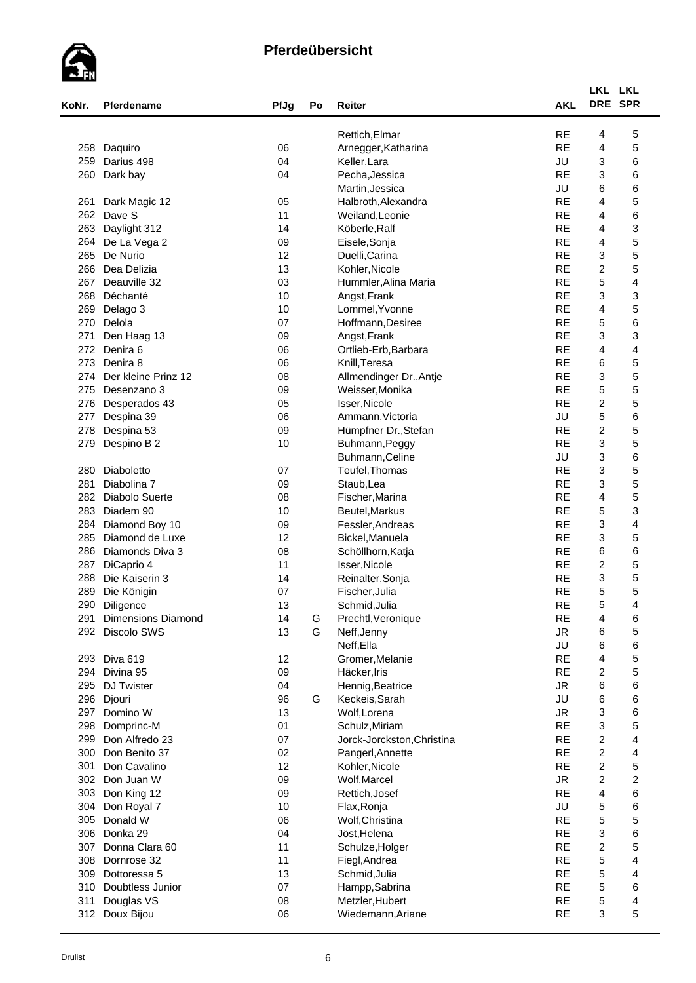

| KoNr. | Pferdename                | PfJg | Po | Reiter                     | <b>AKL</b> | LKL LKL<br>DRE SPR        |                         |  |
|-------|---------------------------|------|----|----------------------------|------------|---------------------------|-------------------------|--|
|       |                           |      |    | Rettich, Elmar             | <b>RE</b>  | 4                         | 5                       |  |
| 258   | Daquiro                   | 06   |    | Arnegger, Katharina        | <b>RE</b>  | 4                         | 5                       |  |
| 259   | Darius 498                | 04   |    | Keller, Lara               | JU         | 3                         | 6                       |  |
| 260   | Dark bay                  | 04   |    | Pecha, Jessica             | <b>RE</b>  | 3                         | 6                       |  |
|       |                           |      |    | Martin, Jessica            | JU         | 6                         | 6                       |  |
| 261   | Dark Magic 12             | 05   |    | Halbroth, Alexandra        | <b>RE</b>  | 4                         | 5                       |  |
| 262   | Dave S                    | 11   |    | Weiland, Leonie            | <b>RE</b>  | 4                         | 6                       |  |
| 263   | Daylight 312              | 14   |    | Köberle, Ralf              | <b>RE</b>  | 4                         | 3                       |  |
| 264   | De La Vega 2              | 09   |    | Eisele, Sonja              | <b>RE</b>  | 4                         | 5                       |  |
| 265   | De Nurio                  | 12   |    | Duelli, Carina             | <b>RE</b>  | 3                         | 5                       |  |
| 266   | Dea Delizia               | 13   |    | Kohler, Nicole             | <b>RE</b>  | $\boldsymbol{2}$          | 5                       |  |
| 267   | Deauville 32              | 03   |    | Hummler, Alina Maria       | <b>RE</b>  | 5                         | 4                       |  |
| 268   | Déchanté                  | 10   |    | Angst, Frank               | <b>RE</b>  | $\ensuremath{\mathsf{3}}$ | 3                       |  |
| 269   | Delago 3                  | 10   |    | Lommel, Yvonne             | <b>RE</b>  | 4                         | 5                       |  |
| 270   | Delola                    | 07   |    | Hoffmann, Desiree          | <b>RE</b>  | 5                         | 6                       |  |
| 271   | Den Haag 13               | 09   |    | Angst, Frank               | <b>RE</b>  | 3                         | 3                       |  |
| 272   | Denira 6                  | 06   |    | Ortlieb-Erb, Barbara       | <b>RE</b>  | 4                         | 4                       |  |
| 273   | Denira 8                  | 06   |    | Knill, Teresa              | <b>RE</b>  | 6                         | 5                       |  |
| 274   | Der kleine Prinz 12       | 08   |    | Allmendinger Dr., Antje    | <b>RE</b>  | 3                         | 5                       |  |
| 275   | Desenzano 3               | 09   |    | Weisser, Monika            | <b>RE</b>  | 5                         | 5                       |  |
| 276   | Desperados 43             | 05   |    | Isser, Nicole              | <b>RE</b>  | $\overline{c}$            | 5                       |  |
| 277   |                           | 06   |    |                            | JU         | 5                         | 6                       |  |
| 278   | Despina 39                | 09   |    | Ammann, Victoria           | <b>RE</b>  | $\overline{c}$            | 5                       |  |
| 279   | Despina 53                | 10   |    | Hümpfner Dr., Stefan       | <b>RE</b>  | $\ensuremath{\mathsf{3}}$ | 5                       |  |
|       | Despino B 2               |      |    | Buhmann, Peggy             | JU         | $\ensuremath{\mathsf{3}}$ |                         |  |
|       |                           |      |    | Buhmann, Celine            | <b>RE</b>  | 3                         | 6                       |  |
| 280   | Diaboletto                | 07   |    | Teufel, Thomas             | <b>RE</b>  |                           | 5                       |  |
| 281   | Diabolina 7               | 09   |    | Staub, Lea                 | <b>RE</b>  | 3                         | 5                       |  |
| 282   | <b>Diabolo Suerte</b>     | 08   |    | Fischer, Marina            |            | 4                         | 5                       |  |
| 283   | Diadem 90                 | 10   |    | Beutel, Markus             | <b>RE</b>  | 5                         | 3                       |  |
| 284   | Diamond Boy 10            | 09   |    | Fessler, Andreas           | <b>RE</b>  | 3                         | 4                       |  |
| 285   | Diamond de Luxe           | 12   |    | Bickel, Manuela            | <b>RE</b>  | 3                         | 5                       |  |
| 286   | Diamonds Diva 3           | 08   |    | Schöllhorn, Katja          | <b>RE</b>  | 6                         | 6                       |  |
| 287   | DiCaprio 4                | 11   |    | Isser, Nicole              | <b>RE</b>  | $\boldsymbol{2}$          | 5                       |  |
| 288   | Die Kaiserin 3            | 14   |    | Reinalter, Sonja           | <b>RE</b>  | $\ensuremath{\mathsf{3}}$ | 5                       |  |
| 289   | Die Königin               | 07   |    | Fischer, Julia             | <b>RE</b>  | 5                         | 5                       |  |
| 290   | Diligence                 | 13   |    | Schmid, Julia              | <b>RE</b>  | 5                         | 4                       |  |
| 291   | <b>Dimensions Diamond</b> | 14   | G  | Prechtl, Veronique         | <b>RE</b>  | 4                         | 6                       |  |
| 292   | Discolo SWS               | 13   | G  | Neff, Jenny                | <b>JR</b>  | 6                         | 5                       |  |
|       |                           |      |    | Neff, Ella                 | JU         | 6                         | 6                       |  |
|       | 293 Diva 619              | 12   |    | Gromer, Melanie            | <b>RE</b>  | 4                         | 5                       |  |
| 294   | Divina 95                 | 09   |    | Häcker, Iris               | <b>RE</b>  | $\overline{c}$            | 5                       |  |
| 295   | DJ Twister                | 04   |    | Hennig, Beatrice           | <b>JR</b>  | 6                         | 6                       |  |
| 296   | Djouri                    | 96   | G  | Keckeis, Sarah             | JU         | 6                         | 6                       |  |
| 297   | Domino W                  | 13   |    | Wolf, Lorena               | <b>JR</b>  | 3                         | 6                       |  |
| 298   | Domprinc-M                | 01   |    | Schulz, Miriam             | <b>RE</b>  | 3                         | 5                       |  |
| 299   | Don Alfredo 23            | 07   |    | Jorck-Jorckston, Christina | <b>RE</b>  | $\boldsymbol{2}$          | $\overline{\mathbf{4}}$ |  |
| 300   | Don Benito 37             | 02   |    | Pangerl, Annette           | <b>RE</b>  | $\boldsymbol{2}$          | 4                       |  |
| 301   | Don Cavalino              | 12   |    | Kohler, Nicole             | <b>RE</b>  | $\overline{c}$            | 5                       |  |
|       | 302 Don Juan W            | 09   |    | Wolf, Marcel               | <b>JR</b>  | $\overline{c}$            | $\overline{\mathbf{c}}$ |  |
| 303   | Don King 12               | 09   |    | Rettich, Josef             | <b>RE</b>  | 4                         | 6                       |  |
| 304   | Don Royal 7               | 10   |    | Flax, Ronja                | JU         | 5                         | 6                       |  |
| 305   | Donald W                  | 06   |    | Wolf, Christina            | <b>RE</b>  | 5                         | 5                       |  |
| 306   | Donka 29                  | 04   |    | Jöst, Helena               | <b>RE</b>  | 3                         | 6                       |  |
| 307   | Donna Clara 60            | 11   |    | Schulze, Holger            | <b>RE</b>  | $\boldsymbol{2}$          | 5                       |  |
| 308   | Dornrose 32               | 11   |    | Fiegl, Andrea              | <b>RE</b>  | $\mathbf 5$               | 4                       |  |
| 309   | Dottoressa 5              | 13   |    | Schmid, Julia              | <b>RE</b>  | 5                         | 4                       |  |
| 310   | Doubtless Junior          | 07   |    | Hampp, Sabrina             | <b>RE</b>  | 5                         | 6                       |  |
| 311   | Douglas VS                | 08   |    | Metzler, Hubert            | <b>RE</b>  | $\mathbf 5$               | $\overline{\mathbf{4}}$ |  |
|       | 312 Doux Bijou            | 06   |    | Wiedemann, Ariane          | <b>RE</b>  | 3                         | 5                       |  |
|       |                           |      |    |                            |            |                           |                         |  |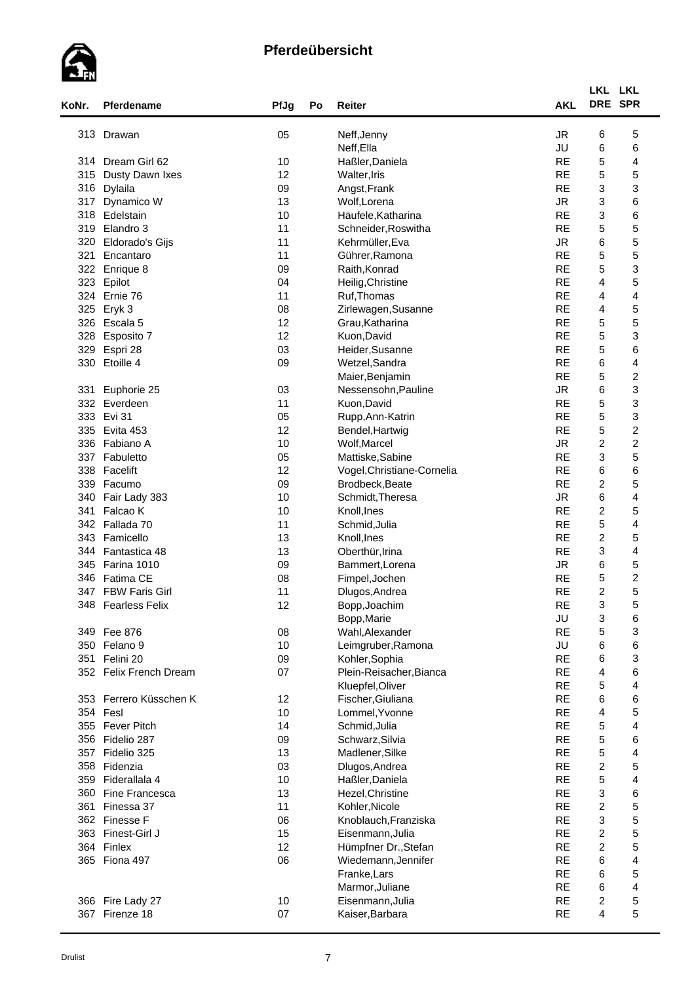

|       |                        |      |    |                            |            | LKL LKL                   |                         |
|-------|------------------------|------|----|----------------------------|------------|---------------------------|-------------------------|
| KoNr. | Pferdename             | PfJg | Po | Reiter                     | <b>AKL</b> |                           | DRE SPR                 |
|       | 313 Drawan             | 05   |    | Neff, Jenny                | <b>JR</b>  | 6                         | 5                       |
|       |                        |      |    | Neff, Ella                 | JU         | 6                         | 6                       |
|       | 314 Dream Girl 62      | 10   |    | Haßler, Daniela            | <b>RE</b>  | 5                         | 4                       |
| 315   | Dusty Dawn Ixes        | 12   |    | Walter, Iris               | <b>RE</b>  | 5                         | 5                       |
| 316   | Dylaila                | 09   |    | Angst, Frank               | <b>RE</b>  | 3                         | 3                       |
| 317   | Dynamico W             | 13   |    | Wolf, Lorena               | <b>JR</b>  | 3                         | 6                       |
|       | 318 Edelstain          | 10   |    | Häufele, Katharina         | <b>RE</b>  | 3                         | 6                       |
|       | 319 Elandro 3          | 11   |    | Schneider, Roswitha        | <b>RE</b>  | 5                         | 5                       |
| 320   | Eldorado's Gijs        | 11   |    | Kehrmüller, Eva            | <b>JR</b>  | 6                         | 5                       |
| 321   | Encantaro              | 11   |    | Gührer, Ramona             | <b>RE</b>  | $\mathbf 5$               | 5                       |
|       | 322 Enrique 8          | 09   |    | Raith, Konrad              | <b>RE</b>  | 5                         | 3                       |
|       | 323 Epilot             | 04   |    | Heilig, Christine          | <b>RE</b>  | $\overline{4}$            | 5                       |
|       | 324 Ernie 76           | 11   |    | Ruf, Thomas                | <b>RE</b>  | 4                         | 4                       |
| 325   | Eryk 3                 | 08   |    | Zirlewagen, Susanne        | <b>RE</b>  | 4                         | 5                       |
|       | 326 Escala 5           | 12   |    | Grau, Katharina            | <b>RE</b>  | 5                         | 5                       |
| 328   |                        | 12   |    | Kuon, David                | <b>RE</b>  | 5                         | 3                       |
| 329   | Esposito 7<br>Espri 28 | 03   |    |                            | <b>RE</b>  | 5                         | 6                       |
|       |                        | 09   |    | Heider, Susanne            | <b>RE</b>  | 6                         |                         |
| 330   | Etoille 4              |      |    | Wetzel, Sandra             |            |                           | 4                       |
|       |                        |      |    | Maier, Benjamin            | <b>RE</b>  | 5                         | $\boldsymbol{2}$        |
| 331   | Euphorie 25            | 03   |    | Nessensohn, Pauline        | <b>JR</b>  | 6                         | 3                       |
|       | 332 Everdeen           | 11   |    | Kuon, David                | <b>RE</b>  | 5                         | 3                       |
|       | 333 Evi 31             | 05   |    | Rupp, Ann-Katrin           | <b>RE</b>  | 5                         | 3                       |
|       | 335 Evita 453          | 12   |    | Bendel, Hartwig            | <b>RE</b>  | 5                         | $\overline{\mathbf{c}}$ |
|       | 336 Fabiano A          | 10   |    | Wolf, Marcel               | <b>JR</b>  | $\overline{c}$            | $\overline{\mathbf{c}}$ |
|       | 337 Fabuletto          | 05   |    | Mattiske, Sabine           | <b>RE</b>  | 3                         | 5                       |
|       | 338 Facelift           | 12   |    | Vogel, Christiane-Cornelia | <b>RE</b>  | 6                         | 6                       |
|       | 339 Facumo             | 09   |    | Brodbeck, Beate            | <b>RE</b>  | $\overline{c}$            | 5                       |
| 340   | Fair Lady 383          | 10   |    | Schmidt, Theresa           | <b>JR</b>  | 6                         | 4                       |
| 341   | Falcao K               | 10   |    | Knoll, Ines                | <b>RE</b>  | $\overline{c}$            | 5                       |
|       | 342 Fallada 70         | 11   |    | Schmid, Julia              | <b>RE</b>  | 5                         | $\overline{4}$          |
|       | 343 Famicello          | 13   |    | Knoll, Ines                | <b>RE</b>  | $\boldsymbol{2}$          | 5                       |
| 344   | Fantastica 48          | 13   |    | Oberthür, Irina            | <b>RE</b>  | 3                         | 4                       |
|       | 345 Farina 1010        | 09   |    | Bammert, Lorena            | <b>JR</b>  | 6                         | 5                       |
|       | 346 Fatima CE          | 08   |    | Fimpel, Jochen             | <b>RE</b>  | $\mathbf 5$               | $\overline{\mathbf{c}}$ |
|       | 347 FBW Faris Girl     | 11   |    | Dlugos, Andrea             | <b>RE</b>  | $\overline{2}$            | 5                       |
|       | 348 Fearless Felix     | 12   |    | Bopp, Joachim              | <b>RE</b>  | 3                         | д                       |
|       |                        |      |    | Bopp, Marie                | JU         | 3                         | 6                       |
|       | 349 Fee 876            | 08   |    | Wahl, Alexander            | <b>RE</b>  | 5                         | 3                       |
|       | 350 Felano 9           | 10   |    | Leimgruber, Ramona         | JU         | 6                         | 6                       |
|       | 351 Felini 20          | 09   |    | Kohler, Sophia             | <b>RE</b>  | 6                         | 3                       |
|       | 352 Felix French Dream | 07   |    | Plein-Reisacher, Bianca    | <b>RE</b>  | 4                         | 6                       |
|       |                        |      |    | Kluepfel, Oliver           | <b>RE</b>  | 5                         | 4                       |
|       | 353 Ferrero Küsschen K | 12   |    | Fischer, Giuliana          | <b>RE</b>  | 6                         | 6                       |
|       | 354 Fesl               | 10   |    | Lommel, Yvonne             | <b>RE</b>  | 4                         | 5                       |
|       | 355 Fever Pitch        | 14   |    | Schmid, Julia              | <b>RE</b>  | 5                         | 4                       |
|       | 356 Fidelio 287        | 09   |    | Schwarz, Silvia            | <b>RE</b>  | $\mathbf 5$               | 6                       |
|       | 357 Fidelio 325        | 13   |    | Madlener, Silke            | <b>RE</b>  | 5                         | 4                       |
|       | 358 Fidenzia           | 03   |    | Dlugos, Andrea             | <b>RE</b>  | $\overline{c}$            | 5                       |
| 359   | Fiderallala 4          | 10   |    | Haßler, Daniela            | <b>RE</b>  | 5                         | 4                       |
|       | 360 Fine Francesca     | 13   |    | Hezel, Christine           | <b>RE</b>  | $\ensuremath{\mathsf{3}}$ | 6                       |
| 361   | Finessa 37             | 11   |    | Kohler, Nicole             | <b>RE</b>  | $\overline{c}$            | 5                       |
|       | 362 Finesse F          | 06   |    | Knoblauch, Franziska       | <b>RE</b>  | 3                         | 5                       |
|       | 363 Finest-Girl J      | 15   |    | Eisenmann, Julia           | <b>RE</b>  | $\overline{c}$            | 5                       |
|       | 364 Finlex             | 12   |    | Hümpfner Dr., Stefan       | <b>RE</b>  | $\overline{c}$            | 5                       |
|       | 365 Fiona 497          | 06   |    | Wiedemann, Jennifer        | <b>RE</b>  | 6                         | $\overline{\mathbf{4}}$ |
|       |                        |      |    | Franke, Lars               | <b>RE</b>  | 6                         | 5                       |
|       |                        |      |    | Marmor, Juliane            | <b>RE</b>  | 6                         | 4                       |
|       | 366 Fire Lady 27       | 10   |    | Eisenmann, Julia           | <b>RE</b>  | $\overline{c}$            | 5                       |
|       | 367 Firenze 18         |      |    |                            |            | 4                         | 5                       |
|       |                        | 07   |    | Kaiser, Barbara            | <b>RE</b>  |                           |                         |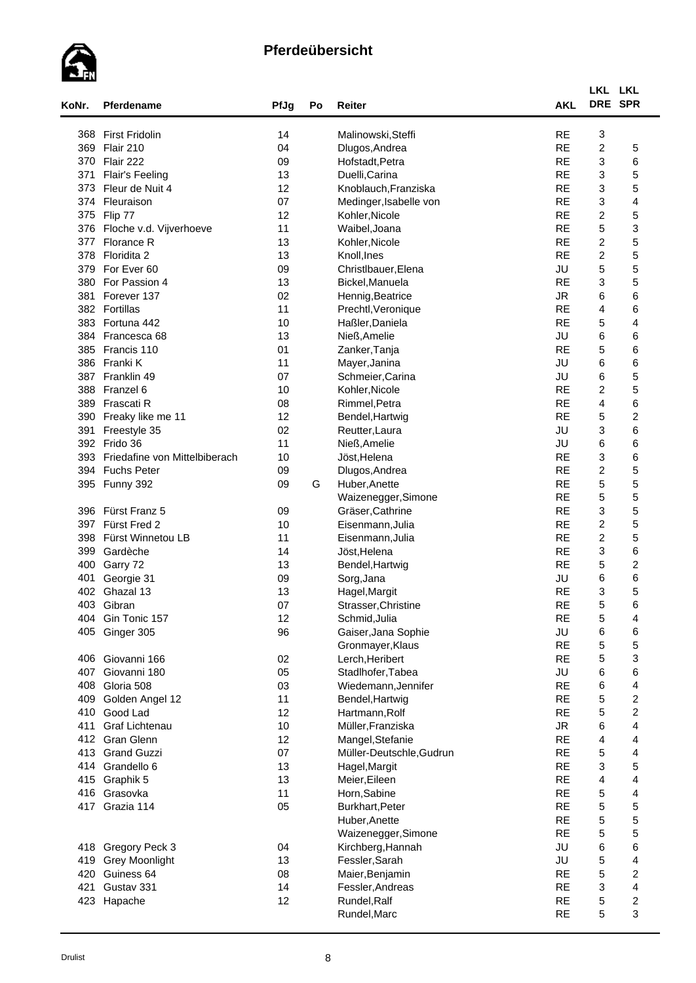

| KoNr.      | Pferdename                    | PfJg     | Po | Reiter                           | <b>AKL</b>             | LKL LKL<br>DRE SPR             |                              |  |
|------------|-------------------------------|----------|----|----------------------------------|------------------------|--------------------------------|------------------------------|--|
|            | 368 First Fridolin            | 14       |    | Malinowski, Steffi               | <b>RE</b>              | 3                              |                              |  |
| 369        | Flair 210                     | 04       |    | Dlugos, Andrea                   | <b>RE</b>              | $\overline{c}$                 | 5                            |  |
|            | 370 Flair 222                 | 09       |    | Hofstadt, Petra                  | <b>RE</b>              | $\ensuremath{\mathsf{3}}$      | 6                            |  |
| 371        | <b>Flair's Feeling</b>        | 13       |    | Duelli, Carina                   | <b>RE</b>              | 3                              | 5                            |  |
| 373        | Fleur de Nuit 4               | 12       |    | Knoblauch, Franziska             | <b>RE</b>              | 3                              | 5                            |  |
|            | 374 Fleuraison                | 07       |    | Medinger, Isabelle von           | <b>RE</b>              | 3                              | 4                            |  |
|            | 375 Flip 77                   | 12       |    | Kohler.Nicole                    | <b>RE</b>              | $\overline{c}$                 | 5                            |  |
|            | 376 Floche v.d. Vijverhoeve   | 11       |    | Waibel, Joana                    | <b>RE</b>              | 5                              | 3                            |  |
| 377        | Florance R                    | 13       |    | Kohler, Nicole                   | <b>RE</b>              | $\overline{c}$                 | 5                            |  |
| 378        | Floridita 2                   | 13       |    | Knoll, Ines                      | <b>RE</b>              | $\overline{c}$                 | 5                            |  |
| 379        | For Ever 60                   | 09       |    | Christlbauer, Elena              | JU                     | 5                              | 5                            |  |
| 380        | For Passion 4                 | 13       |    | Bickel, Manuela                  | <b>RE</b>              | $\ensuremath{\mathsf{3}}$      | 5                            |  |
| 381        | Forever 137                   | 02       |    | Hennig, Beatrice                 | <b>JR</b>              | 6                              | 6                            |  |
|            | 382 Fortillas                 | 11       |    | Prechtl, Veronique               | <b>RE</b>              | 4                              | 6                            |  |
| 383        | Fortuna 442                   | 10       |    | Haßler, Daniela                  | <b>RE</b>              | $\mathbf 5$                    | 4                            |  |
|            | 384 Francesca 68              | 13       |    | Nieß, Amelie                     | JU                     | 6                              | 6                            |  |
|            | 385 Francis 110               | 01       |    | Zanker, Tanja                    | <b>RE</b>              | 5                              | 6                            |  |
|            | 386 Franki K                  | 11       |    | Mayer, Janina                    | JU                     | 6                              | 6                            |  |
|            | 387 Franklin 49               | 07       |    | Schmeier, Carina                 | JU                     | 6                              | 5                            |  |
| 388        | Franzel 6                     | 10       |    | Kohler, Nicole                   | <b>RE</b><br><b>RE</b> | $\overline{c}$                 | 5                            |  |
| 390        | 389 Frascati R                | 08<br>12 |    | Rimmel, Petra<br>Bendel, Hartwig | <b>RE</b>              | 4<br>5                         | 6<br>$\boldsymbol{2}$        |  |
| 391        | Freaky like me 11             | 02       |    |                                  | JU                     | 3                              | 6                            |  |
|            | Freestyle 35<br>392 Frido 36  | 11       |    | Reutter, Laura<br>Nieß, Amelie   | JU                     | 6                              | 6                            |  |
| 393        | Friedafine von Mittelbiberach | 10       |    | Jöst, Helena                     | <b>RE</b>              | $\ensuremath{\mathsf{3}}$      | 6                            |  |
| 394        | <b>Fuchs Peter</b>            | 09       |    | Dlugos, Andrea                   | <b>RE</b>              | $\boldsymbol{2}$               | 5                            |  |
| 395        | Funny 392                     | 09       | G  | Huber, Anette                    | <b>RE</b>              | 5                              | 5                            |  |
|            |                               |          |    | Waizenegger, Simone              | <b>RE</b>              | 5                              | 5                            |  |
| 396        | Fürst Franz 5                 | 09       |    | Gräser, Cathrine                 | <b>RE</b>              | 3                              | 5                            |  |
| 397        | Fürst Fred 2                  | 10       |    | Eisenmann, Julia                 | <b>RE</b>              | $\boldsymbol{2}$               | 5                            |  |
| 398        | Fürst Winnetou LB             | 11       |    | Eisenmann, Julia                 | <b>RE</b>              | $\overline{c}$                 | 5                            |  |
| 399        | Gardèche                      | 14       |    | Jöst, Helena                     | <b>RE</b>              | 3                              | 6                            |  |
| 400        | Garry 72                      | 13       |    | Bendel, Hartwig                  | <b>RE</b>              | 5                              | $\overline{\mathbf{c}}$      |  |
| 401        | Georgie 31                    | 09       |    | Sorg, Jana                       | JU                     | 6                              | 6                            |  |
| 402        | Ghazal 13                     | 13       |    | Hagel, Margit                    | <b>RE</b>              | 3                              | 5                            |  |
| 403        | Gibran                        | 07       |    | Strasser, Christine              | <b>RE</b>              | 5                              | 6                            |  |
| 404        | Gin Tonic 157                 | 12       |    | Schmid, Julia                    | <b>RE</b>              | $\mathbf 5$                    | 4                            |  |
| 405        | Ginger 305                    | 96       |    | Gaiser, Jana Sophie              | JU                     | 6                              | 6                            |  |
|            |                               |          |    | Gronmayer, Klaus                 | <b>RE</b>              | $\mathbf 5$                    | 5                            |  |
| 406        | Giovanni 166                  | 02       |    | Lerch, Heribert                  | <b>RE</b>              | 5                              | 3                            |  |
| 407        | Giovanni 180                  | 05       |    | Stadlhofer, Tabea                | JU                     | 6                              | 6                            |  |
| 408        | Gloria 508                    | 03       |    | Wiedemann, Jennifer              | <b>RE</b>              | 6                              | 4                            |  |
| 409        | Golden Angel 12               | 11       |    | Bendel, Hartwig                  | <b>RE</b>              | 5                              | $\overline{\mathbf{c}}$      |  |
| 410        | Good Lad                      | 12       |    | Hartmann, Rolf                   | <b>RE</b>              | 5                              | $\boldsymbol{2}$             |  |
| 411        | Graf Lichtenau                | 10       |    | Müller, Franziska                | <b>JR</b>              | 6                              | 4                            |  |
| 412        | <b>Gran Glenn</b>             | 12       |    | Mangel, Stefanie                 | <b>RE</b>              | 4                              | 4<br>$\overline{\mathbf{4}}$ |  |
| 413        | <b>Grand Guzzi</b>            | 07       |    | Müller-Deutschle, Gudrun         | <b>RE</b><br><b>RE</b> | 5<br>$\ensuremath{\mathsf{3}}$ | 5                            |  |
| 414        | Grandello 6                   | 13<br>13 |    | Hagel, Margit                    | <b>RE</b>              | 4                              | 4                            |  |
| 415<br>416 | Graphik 5<br>Grasovka         | 11       |    | Meier, Eileen<br>Horn, Sabine    | <b>RE</b>              | $\mathbf 5$                    | 4                            |  |
|            | 417 Grazia 114                | 05       |    | Burkhart, Peter                  | <b>RE</b>              | 5                              | 5                            |  |
|            |                               |          |    | Huber, Anette                    | <b>RE</b>              | 5                              | 5                            |  |
|            |                               |          |    | Waizenegger, Simone              | <b>RE</b>              | 5                              | 5                            |  |
| 418        | Gregory Peck 3                | 04       |    | Kirchberg, Hannah                | JU                     | 6                              | 6                            |  |
| 419        | <b>Grey Moonlight</b>         | 13       |    | Fessler, Sarah                   | JU                     | 5                              | 4                            |  |
| 420        | Guiness 64                    | 08       |    | Maier, Benjamin                  | <b>RE</b>              | 5                              | $\overline{\mathbf{c}}$      |  |
| 421        | Gustav 331                    | 14       |    | Fessler, Andreas                 | <b>RE</b>              | $\ensuremath{\mathsf{3}}$      | 4                            |  |
| 423        | Hapache                       | 12       |    | Rundel, Ralf                     | <b>RE</b>              | $\mathbf 5$                    | $\overline{\mathbf{c}}$      |  |
|            |                               |          |    | Rundel, Marc                     | <b>RE</b>              | 5                              | 3                            |  |
|            |                               |          |    |                                  |                        |                                |                              |  |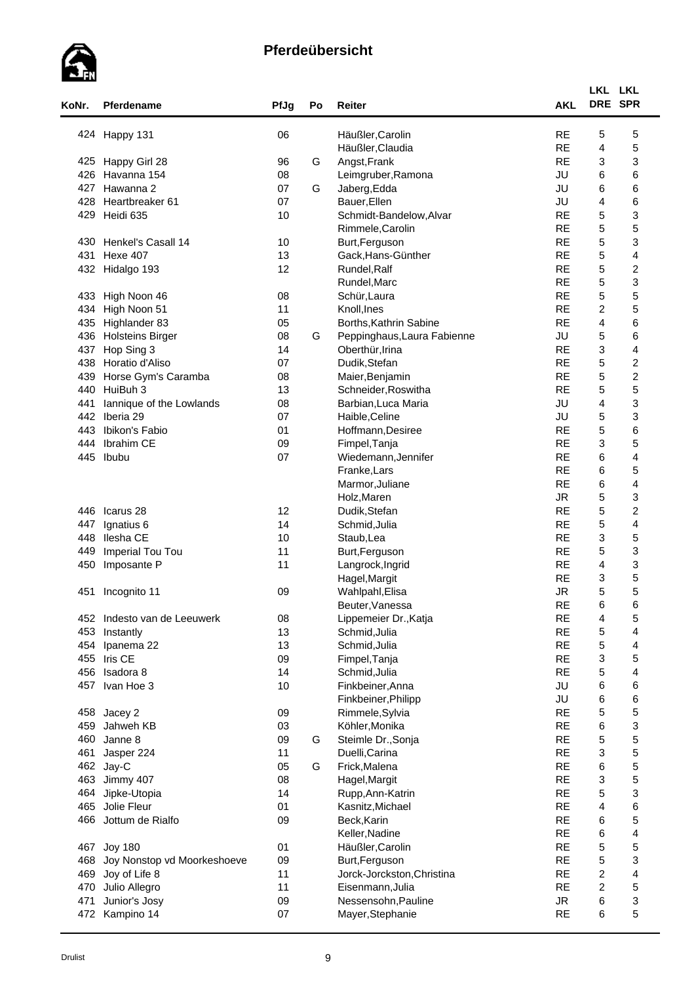

| <b>RE</b><br>5<br>424 Happy 131<br>06<br>Häußler, Carolin<br><b>RE</b><br>4<br>Häußler, Claudia<br><b>RE</b><br>3<br>Angst, Frank<br>425 Happy Girl 28<br>96<br>G<br>6<br>426<br>Havanna 154<br>JU<br>08<br>Leimgruber, Ramona<br>6<br>427<br>Hawanna 2<br>07<br>G<br>Jaberg, Edda<br>JU<br>JU<br>4<br>Heartbreaker 61<br>07<br>Bauer, Ellen<br>428<br>5<br><b>RE</b><br>429<br>Heidi 635<br>10<br>Schmidt-Bandelow, Alvar<br>5<br>Rimmele, Carolin<br><b>RE</b><br>5<br><b>RE</b><br>Henkel's Casall 14<br>430<br>10<br>Burt, Ferguson<br><b>RE</b><br>$\mathbf 5$<br>431<br><b>Hexe 407</b><br>13<br>Gack, Hans-Günther<br><b>RE</b><br>5<br>432 Hidalgo 193<br>12<br>Rundel, Ralf<br>5<br><b>RE</b><br>Rundel, Marc<br>5<br><b>RE</b><br>433 High Noon 46<br>Schür, Laura<br>08<br>$\overline{c}$<br><b>RE</b><br>434 High Noon 51<br>11<br>Knoll, Ines<br>$\overline{\mathbf{4}}$<br><b>RE</b><br>435 Highlander 83<br>05<br>Borths, Kathrin Sabine<br>5<br>436<br>JU<br><b>Holsteins Birger</b><br>08<br>G<br>Peppinghaus, Laura Fabienne<br><b>RE</b><br>3<br>437<br>Hop Sing 3<br>14<br>Oberthür, Irina<br><b>RE</b><br>5<br>438<br>07<br>Dudik, Stefan<br>Horatio d'Aliso<br>5<br><b>RE</b><br>439<br>Horse Gym's Caramba<br>08<br>Maier, Benjamin<br>5<br><b>RE</b><br>440<br>HuiBuh 3<br>13<br>Schneider, Roswitha<br>$\overline{4}$<br>08<br>JU<br>441<br>lannique of the Lowlands<br>Barbian, Luca Maria<br>$\mathbf 5$<br>442<br>JU<br>Iberia 29<br>07<br>Haible, Celine<br>5<br>443<br><b>RE</b><br>Ibikon's Fabio<br>01<br>Hoffmann, Desiree<br>$\ensuremath{\mathsf{3}}$<br><b>RE</b><br>Ibrahim CE<br>09<br>444<br>Fimpel, Tanja<br>6<br>445<br>07<br><b>RE</b><br>Ibubu<br>Wiedemann, Jennifer<br>6<br><b>RE</b><br>Franke, Lars<br><b>RE</b><br>6<br>Marmor, Juliane<br>$\mathbf 5$<br><b>JR</b><br>Holz, Maren<br>5<br><b>RE</b><br>446<br>Icarus 28<br>12<br>Dudik, Stefan<br>5<br><b>RE</b><br>14<br>447<br>Ignatius 6<br>Schmid, Julia<br><b>RE</b><br>3<br>Ilesha CE<br>448<br>10<br>Staub, Lea<br>5<br><b>RE</b><br>449<br>Imperial Tou Tou<br>11<br>Burt, Ferguson<br>$\overline{4}$<br>11<br><b>RE</b><br>450<br>Imposante P<br>Langrock, Ingrid<br><b>RE</b><br>3<br>Hagel, Margit<br>5<br><b>JR</b><br>09<br>Wahlpahl, Elisa<br>451<br>Incognito 11<br><b>RE</b><br>6<br>Beuter, Vanessa<br>08<br><b>RE</b><br>Indesto van de Leeuwerk<br>Lippemeier Dr., Katja<br>4<br>452<br>$\mathbf 5$<br>453<br>13<br><b>RE</b><br>Schmid, Julia<br>Instantly<br>$\mathbf 5$<br><b>RE</b><br>13<br>Schmid, Julia<br>454<br>Ipanema 22<br><b>RE</b><br>3<br>Iris CE<br>455<br>09<br>Fimpel, Tanja<br><b>RE</b><br>5<br>456<br>14<br>Isadora 8<br>Schmid, Julia | 5<br>5<br>3<br>6<br>6<br>6<br>3<br>5<br>3<br>4<br>$\boldsymbol{2}$<br>3<br>5<br>5<br>6<br>6<br>4<br>$\overline{\mathbf{c}}$<br>$\boldsymbol{2}$<br>5<br>3<br>3<br>6<br>5 |
|---------------------------------------------------------------------------------------------------------------------------------------------------------------------------------------------------------------------------------------------------------------------------------------------------------------------------------------------------------------------------------------------------------------------------------------------------------------------------------------------------------------------------------------------------------------------------------------------------------------------------------------------------------------------------------------------------------------------------------------------------------------------------------------------------------------------------------------------------------------------------------------------------------------------------------------------------------------------------------------------------------------------------------------------------------------------------------------------------------------------------------------------------------------------------------------------------------------------------------------------------------------------------------------------------------------------------------------------------------------------------------------------------------------------------------------------------------------------------------------------------------------------------------------------------------------------------------------------------------------------------------------------------------------------------------------------------------------------------------------------------------------------------------------------------------------------------------------------------------------------------------------------------------------------------------------------------------------------------------------------------------------------------------------------------------------------------------------------------------------------------------------------------------------------------------------------------------------------------------------------------------------------------------------------------------------------------------------------------------------------------------------------------------------------------------------------------------------------------------------------------------------------------------------------------------------------------------------------------------------------------------------------------------------------------------|--------------------------------------------------------------------------------------------------------------------------------------------------------------------------|
|                                                                                                                                                                                                                                                                                                                                                                                                                                                                                                                                                                                                                                                                                                                                                                                                                                                                                                                                                                                                                                                                                                                                                                                                                                                                                                                                                                                                                                                                                                                                                                                                                                                                                                                                                                                                                                                                                                                                                                                                                                                                                                                                                                                                                                                                                                                                                                                                                                                                                                                                                                                                                                                                                 |                                                                                                                                                                          |
|                                                                                                                                                                                                                                                                                                                                                                                                                                                                                                                                                                                                                                                                                                                                                                                                                                                                                                                                                                                                                                                                                                                                                                                                                                                                                                                                                                                                                                                                                                                                                                                                                                                                                                                                                                                                                                                                                                                                                                                                                                                                                                                                                                                                                                                                                                                                                                                                                                                                                                                                                                                                                                                                                 |                                                                                                                                                                          |
|                                                                                                                                                                                                                                                                                                                                                                                                                                                                                                                                                                                                                                                                                                                                                                                                                                                                                                                                                                                                                                                                                                                                                                                                                                                                                                                                                                                                                                                                                                                                                                                                                                                                                                                                                                                                                                                                                                                                                                                                                                                                                                                                                                                                                                                                                                                                                                                                                                                                                                                                                                                                                                                                                 |                                                                                                                                                                          |
|                                                                                                                                                                                                                                                                                                                                                                                                                                                                                                                                                                                                                                                                                                                                                                                                                                                                                                                                                                                                                                                                                                                                                                                                                                                                                                                                                                                                                                                                                                                                                                                                                                                                                                                                                                                                                                                                                                                                                                                                                                                                                                                                                                                                                                                                                                                                                                                                                                                                                                                                                                                                                                                                                 |                                                                                                                                                                          |
|                                                                                                                                                                                                                                                                                                                                                                                                                                                                                                                                                                                                                                                                                                                                                                                                                                                                                                                                                                                                                                                                                                                                                                                                                                                                                                                                                                                                                                                                                                                                                                                                                                                                                                                                                                                                                                                                                                                                                                                                                                                                                                                                                                                                                                                                                                                                                                                                                                                                                                                                                                                                                                                                                 |                                                                                                                                                                          |
|                                                                                                                                                                                                                                                                                                                                                                                                                                                                                                                                                                                                                                                                                                                                                                                                                                                                                                                                                                                                                                                                                                                                                                                                                                                                                                                                                                                                                                                                                                                                                                                                                                                                                                                                                                                                                                                                                                                                                                                                                                                                                                                                                                                                                                                                                                                                                                                                                                                                                                                                                                                                                                                                                 |                                                                                                                                                                          |
|                                                                                                                                                                                                                                                                                                                                                                                                                                                                                                                                                                                                                                                                                                                                                                                                                                                                                                                                                                                                                                                                                                                                                                                                                                                                                                                                                                                                                                                                                                                                                                                                                                                                                                                                                                                                                                                                                                                                                                                                                                                                                                                                                                                                                                                                                                                                                                                                                                                                                                                                                                                                                                                                                 |                                                                                                                                                                          |
|                                                                                                                                                                                                                                                                                                                                                                                                                                                                                                                                                                                                                                                                                                                                                                                                                                                                                                                                                                                                                                                                                                                                                                                                                                                                                                                                                                                                                                                                                                                                                                                                                                                                                                                                                                                                                                                                                                                                                                                                                                                                                                                                                                                                                                                                                                                                                                                                                                                                                                                                                                                                                                                                                 |                                                                                                                                                                          |
|                                                                                                                                                                                                                                                                                                                                                                                                                                                                                                                                                                                                                                                                                                                                                                                                                                                                                                                                                                                                                                                                                                                                                                                                                                                                                                                                                                                                                                                                                                                                                                                                                                                                                                                                                                                                                                                                                                                                                                                                                                                                                                                                                                                                                                                                                                                                                                                                                                                                                                                                                                                                                                                                                 |                                                                                                                                                                          |
|                                                                                                                                                                                                                                                                                                                                                                                                                                                                                                                                                                                                                                                                                                                                                                                                                                                                                                                                                                                                                                                                                                                                                                                                                                                                                                                                                                                                                                                                                                                                                                                                                                                                                                                                                                                                                                                                                                                                                                                                                                                                                                                                                                                                                                                                                                                                                                                                                                                                                                                                                                                                                                                                                 |                                                                                                                                                                          |
|                                                                                                                                                                                                                                                                                                                                                                                                                                                                                                                                                                                                                                                                                                                                                                                                                                                                                                                                                                                                                                                                                                                                                                                                                                                                                                                                                                                                                                                                                                                                                                                                                                                                                                                                                                                                                                                                                                                                                                                                                                                                                                                                                                                                                                                                                                                                                                                                                                                                                                                                                                                                                                                                                 |                                                                                                                                                                          |
|                                                                                                                                                                                                                                                                                                                                                                                                                                                                                                                                                                                                                                                                                                                                                                                                                                                                                                                                                                                                                                                                                                                                                                                                                                                                                                                                                                                                                                                                                                                                                                                                                                                                                                                                                                                                                                                                                                                                                                                                                                                                                                                                                                                                                                                                                                                                                                                                                                                                                                                                                                                                                                                                                 |                                                                                                                                                                          |
|                                                                                                                                                                                                                                                                                                                                                                                                                                                                                                                                                                                                                                                                                                                                                                                                                                                                                                                                                                                                                                                                                                                                                                                                                                                                                                                                                                                                                                                                                                                                                                                                                                                                                                                                                                                                                                                                                                                                                                                                                                                                                                                                                                                                                                                                                                                                                                                                                                                                                                                                                                                                                                                                                 |                                                                                                                                                                          |
|                                                                                                                                                                                                                                                                                                                                                                                                                                                                                                                                                                                                                                                                                                                                                                                                                                                                                                                                                                                                                                                                                                                                                                                                                                                                                                                                                                                                                                                                                                                                                                                                                                                                                                                                                                                                                                                                                                                                                                                                                                                                                                                                                                                                                                                                                                                                                                                                                                                                                                                                                                                                                                                                                 |                                                                                                                                                                          |
|                                                                                                                                                                                                                                                                                                                                                                                                                                                                                                                                                                                                                                                                                                                                                                                                                                                                                                                                                                                                                                                                                                                                                                                                                                                                                                                                                                                                                                                                                                                                                                                                                                                                                                                                                                                                                                                                                                                                                                                                                                                                                                                                                                                                                                                                                                                                                                                                                                                                                                                                                                                                                                                                                 |                                                                                                                                                                          |
|                                                                                                                                                                                                                                                                                                                                                                                                                                                                                                                                                                                                                                                                                                                                                                                                                                                                                                                                                                                                                                                                                                                                                                                                                                                                                                                                                                                                                                                                                                                                                                                                                                                                                                                                                                                                                                                                                                                                                                                                                                                                                                                                                                                                                                                                                                                                                                                                                                                                                                                                                                                                                                                                                 |                                                                                                                                                                          |
|                                                                                                                                                                                                                                                                                                                                                                                                                                                                                                                                                                                                                                                                                                                                                                                                                                                                                                                                                                                                                                                                                                                                                                                                                                                                                                                                                                                                                                                                                                                                                                                                                                                                                                                                                                                                                                                                                                                                                                                                                                                                                                                                                                                                                                                                                                                                                                                                                                                                                                                                                                                                                                                                                 |                                                                                                                                                                          |
|                                                                                                                                                                                                                                                                                                                                                                                                                                                                                                                                                                                                                                                                                                                                                                                                                                                                                                                                                                                                                                                                                                                                                                                                                                                                                                                                                                                                                                                                                                                                                                                                                                                                                                                                                                                                                                                                                                                                                                                                                                                                                                                                                                                                                                                                                                                                                                                                                                                                                                                                                                                                                                                                                 |                                                                                                                                                                          |
|                                                                                                                                                                                                                                                                                                                                                                                                                                                                                                                                                                                                                                                                                                                                                                                                                                                                                                                                                                                                                                                                                                                                                                                                                                                                                                                                                                                                                                                                                                                                                                                                                                                                                                                                                                                                                                                                                                                                                                                                                                                                                                                                                                                                                                                                                                                                                                                                                                                                                                                                                                                                                                                                                 |                                                                                                                                                                          |
|                                                                                                                                                                                                                                                                                                                                                                                                                                                                                                                                                                                                                                                                                                                                                                                                                                                                                                                                                                                                                                                                                                                                                                                                                                                                                                                                                                                                                                                                                                                                                                                                                                                                                                                                                                                                                                                                                                                                                                                                                                                                                                                                                                                                                                                                                                                                                                                                                                                                                                                                                                                                                                                                                 |                                                                                                                                                                          |
|                                                                                                                                                                                                                                                                                                                                                                                                                                                                                                                                                                                                                                                                                                                                                                                                                                                                                                                                                                                                                                                                                                                                                                                                                                                                                                                                                                                                                                                                                                                                                                                                                                                                                                                                                                                                                                                                                                                                                                                                                                                                                                                                                                                                                                                                                                                                                                                                                                                                                                                                                                                                                                                                                 |                                                                                                                                                                          |
|                                                                                                                                                                                                                                                                                                                                                                                                                                                                                                                                                                                                                                                                                                                                                                                                                                                                                                                                                                                                                                                                                                                                                                                                                                                                                                                                                                                                                                                                                                                                                                                                                                                                                                                                                                                                                                                                                                                                                                                                                                                                                                                                                                                                                                                                                                                                                                                                                                                                                                                                                                                                                                                                                 |                                                                                                                                                                          |
|                                                                                                                                                                                                                                                                                                                                                                                                                                                                                                                                                                                                                                                                                                                                                                                                                                                                                                                                                                                                                                                                                                                                                                                                                                                                                                                                                                                                                                                                                                                                                                                                                                                                                                                                                                                                                                                                                                                                                                                                                                                                                                                                                                                                                                                                                                                                                                                                                                                                                                                                                                                                                                                                                 |                                                                                                                                                                          |
|                                                                                                                                                                                                                                                                                                                                                                                                                                                                                                                                                                                                                                                                                                                                                                                                                                                                                                                                                                                                                                                                                                                                                                                                                                                                                                                                                                                                                                                                                                                                                                                                                                                                                                                                                                                                                                                                                                                                                                                                                                                                                                                                                                                                                                                                                                                                                                                                                                                                                                                                                                                                                                                                                 |                                                                                                                                                                          |
|                                                                                                                                                                                                                                                                                                                                                                                                                                                                                                                                                                                                                                                                                                                                                                                                                                                                                                                                                                                                                                                                                                                                                                                                                                                                                                                                                                                                                                                                                                                                                                                                                                                                                                                                                                                                                                                                                                                                                                                                                                                                                                                                                                                                                                                                                                                                                                                                                                                                                                                                                                                                                                                                                 |                                                                                                                                                                          |
|                                                                                                                                                                                                                                                                                                                                                                                                                                                                                                                                                                                                                                                                                                                                                                                                                                                                                                                                                                                                                                                                                                                                                                                                                                                                                                                                                                                                                                                                                                                                                                                                                                                                                                                                                                                                                                                                                                                                                                                                                                                                                                                                                                                                                                                                                                                                                                                                                                                                                                                                                                                                                                                                                 | 4                                                                                                                                                                        |
|                                                                                                                                                                                                                                                                                                                                                                                                                                                                                                                                                                                                                                                                                                                                                                                                                                                                                                                                                                                                                                                                                                                                                                                                                                                                                                                                                                                                                                                                                                                                                                                                                                                                                                                                                                                                                                                                                                                                                                                                                                                                                                                                                                                                                                                                                                                                                                                                                                                                                                                                                                                                                                                                                 | 5                                                                                                                                                                        |
|                                                                                                                                                                                                                                                                                                                                                                                                                                                                                                                                                                                                                                                                                                                                                                                                                                                                                                                                                                                                                                                                                                                                                                                                                                                                                                                                                                                                                                                                                                                                                                                                                                                                                                                                                                                                                                                                                                                                                                                                                                                                                                                                                                                                                                                                                                                                                                                                                                                                                                                                                                                                                                                                                 | 4                                                                                                                                                                        |
|                                                                                                                                                                                                                                                                                                                                                                                                                                                                                                                                                                                                                                                                                                                                                                                                                                                                                                                                                                                                                                                                                                                                                                                                                                                                                                                                                                                                                                                                                                                                                                                                                                                                                                                                                                                                                                                                                                                                                                                                                                                                                                                                                                                                                                                                                                                                                                                                                                                                                                                                                                                                                                                                                 | 3                                                                                                                                                                        |
|                                                                                                                                                                                                                                                                                                                                                                                                                                                                                                                                                                                                                                                                                                                                                                                                                                                                                                                                                                                                                                                                                                                                                                                                                                                                                                                                                                                                                                                                                                                                                                                                                                                                                                                                                                                                                                                                                                                                                                                                                                                                                                                                                                                                                                                                                                                                                                                                                                                                                                                                                                                                                                                                                 | $\overline{\mathbf{c}}$                                                                                                                                                  |
|                                                                                                                                                                                                                                                                                                                                                                                                                                                                                                                                                                                                                                                                                                                                                                                                                                                                                                                                                                                                                                                                                                                                                                                                                                                                                                                                                                                                                                                                                                                                                                                                                                                                                                                                                                                                                                                                                                                                                                                                                                                                                                                                                                                                                                                                                                                                                                                                                                                                                                                                                                                                                                                                                 | 4                                                                                                                                                                        |
|                                                                                                                                                                                                                                                                                                                                                                                                                                                                                                                                                                                                                                                                                                                                                                                                                                                                                                                                                                                                                                                                                                                                                                                                                                                                                                                                                                                                                                                                                                                                                                                                                                                                                                                                                                                                                                                                                                                                                                                                                                                                                                                                                                                                                                                                                                                                                                                                                                                                                                                                                                                                                                                                                 | 5                                                                                                                                                                        |
|                                                                                                                                                                                                                                                                                                                                                                                                                                                                                                                                                                                                                                                                                                                                                                                                                                                                                                                                                                                                                                                                                                                                                                                                                                                                                                                                                                                                                                                                                                                                                                                                                                                                                                                                                                                                                                                                                                                                                                                                                                                                                                                                                                                                                                                                                                                                                                                                                                                                                                                                                                                                                                                                                 | 3                                                                                                                                                                        |
|                                                                                                                                                                                                                                                                                                                                                                                                                                                                                                                                                                                                                                                                                                                                                                                                                                                                                                                                                                                                                                                                                                                                                                                                                                                                                                                                                                                                                                                                                                                                                                                                                                                                                                                                                                                                                                                                                                                                                                                                                                                                                                                                                                                                                                                                                                                                                                                                                                                                                                                                                                                                                                                                                 | 3                                                                                                                                                                        |
|                                                                                                                                                                                                                                                                                                                                                                                                                                                                                                                                                                                                                                                                                                                                                                                                                                                                                                                                                                                                                                                                                                                                                                                                                                                                                                                                                                                                                                                                                                                                                                                                                                                                                                                                                                                                                                                                                                                                                                                                                                                                                                                                                                                                                                                                                                                                                                                                                                                                                                                                                                                                                                                                                 | 5                                                                                                                                                                        |
|                                                                                                                                                                                                                                                                                                                                                                                                                                                                                                                                                                                                                                                                                                                                                                                                                                                                                                                                                                                                                                                                                                                                                                                                                                                                                                                                                                                                                                                                                                                                                                                                                                                                                                                                                                                                                                                                                                                                                                                                                                                                                                                                                                                                                                                                                                                                                                                                                                                                                                                                                                                                                                                                                 | 5                                                                                                                                                                        |
|                                                                                                                                                                                                                                                                                                                                                                                                                                                                                                                                                                                                                                                                                                                                                                                                                                                                                                                                                                                                                                                                                                                                                                                                                                                                                                                                                                                                                                                                                                                                                                                                                                                                                                                                                                                                                                                                                                                                                                                                                                                                                                                                                                                                                                                                                                                                                                                                                                                                                                                                                                                                                                                                                 | 6                                                                                                                                                                        |
|                                                                                                                                                                                                                                                                                                                                                                                                                                                                                                                                                                                                                                                                                                                                                                                                                                                                                                                                                                                                                                                                                                                                                                                                                                                                                                                                                                                                                                                                                                                                                                                                                                                                                                                                                                                                                                                                                                                                                                                                                                                                                                                                                                                                                                                                                                                                                                                                                                                                                                                                                                                                                                                                                 | 5                                                                                                                                                                        |
|                                                                                                                                                                                                                                                                                                                                                                                                                                                                                                                                                                                                                                                                                                                                                                                                                                                                                                                                                                                                                                                                                                                                                                                                                                                                                                                                                                                                                                                                                                                                                                                                                                                                                                                                                                                                                                                                                                                                                                                                                                                                                                                                                                                                                                                                                                                                                                                                                                                                                                                                                                                                                                                                                 | 4                                                                                                                                                                        |
|                                                                                                                                                                                                                                                                                                                                                                                                                                                                                                                                                                                                                                                                                                                                                                                                                                                                                                                                                                                                                                                                                                                                                                                                                                                                                                                                                                                                                                                                                                                                                                                                                                                                                                                                                                                                                                                                                                                                                                                                                                                                                                                                                                                                                                                                                                                                                                                                                                                                                                                                                                                                                                                                                 | 4                                                                                                                                                                        |
|                                                                                                                                                                                                                                                                                                                                                                                                                                                                                                                                                                                                                                                                                                                                                                                                                                                                                                                                                                                                                                                                                                                                                                                                                                                                                                                                                                                                                                                                                                                                                                                                                                                                                                                                                                                                                                                                                                                                                                                                                                                                                                                                                                                                                                                                                                                                                                                                                                                                                                                                                                                                                                                                                 | 5                                                                                                                                                                        |
|                                                                                                                                                                                                                                                                                                                                                                                                                                                                                                                                                                                                                                                                                                                                                                                                                                                                                                                                                                                                                                                                                                                                                                                                                                                                                                                                                                                                                                                                                                                                                                                                                                                                                                                                                                                                                                                                                                                                                                                                                                                                                                                                                                                                                                                                                                                                                                                                                                                                                                                                                                                                                                                                                 | 4                                                                                                                                                                        |
| JU<br>6<br>457<br>Ivan Hoe 3<br>10<br>Finkbeiner, Anna                                                                                                                                                                                                                                                                                                                                                                                                                                                                                                                                                                                                                                                                                                                                                                                                                                                                                                                                                                                                                                                                                                                                                                                                                                                                                                                                                                                                                                                                                                                                                                                                                                                                                                                                                                                                                                                                                                                                                                                                                                                                                                                                                                                                                                                                                                                                                                                                                                                                                                                                                                                                                          | 6                                                                                                                                                                        |
| 6<br>JU<br>Finkbeiner, Philipp                                                                                                                                                                                                                                                                                                                                                                                                                                                                                                                                                                                                                                                                                                                                                                                                                                                                                                                                                                                                                                                                                                                                                                                                                                                                                                                                                                                                                                                                                                                                                                                                                                                                                                                                                                                                                                                                                                                                                                                                                                                                                                                                                                                                                                                                                                                                                                                                                                                                                                                                                                                                                                                  | 6                                                                                                                                                                        |
| 5<br><b>RE</b><br>458 Jacey 2<br>09<br>Rimmele, Sylvia                                                                                                                                                                                                                                                                                                                                                                                                                                                                                                                                                                                                                                                                                                                                                                                                                                                                                                                                                                                                                                                                                                                                                                                                                                                                                                                                                                                                                                                                                                                                                                                                                                                                                                                                                                                                                                                                                                                                                                                                                                                                                                                                                                                                                                                                                                                                                                                                                                                                                                                                                                                                                          | 5                                                                                                                                                                        |
| <b>RE</b><br>6<br>Jahweh KB<br>03<br>Köhler, Monika<br>459                                                                                                                                                                                                                                                                                                                                                                                                                                                                                                                                                                                                                                                                                                                                                                                                                                                                                                                                                                                                                                                                                                                                                                                                                                                                                                                                                                                                                                                                                                                                                                                                                                                                                                                                                                                                                                                                                                                                                                                                                                                                                                                                                                                                                                                                                                                                                                                                                                                                                                                                                                                                                      | 3                                                                                                                                                                        |
| <b>RE</b><br>$\mathbf 5$<br>Janne 8<br>Steimle Dr., Sonja<br>460<br>09<br>G                                                                                                                                                                                                                                                                                                                                                                                                                                                                                                                                                                                                                                                                                                                                                                                                                                                                                                                                                                                                                                                                                                                                                                                                                                                                                                                                                                                                                                                                                                                                                                                                                                                                                                                                                                                                                                                                                                                                                                                                                                                                                                                                                                                                                                                                                                                                                                                                                                                                                                                                                                                                     | 5                                                                                                                                                                        |
| 3<br><b>RE</b><br>461<br>Duelli, Carina<br>Jasper 224<br>11                                                                                                                                                                                                                                                                                                                                                                                                                                                                                                                                                                                                                                                                                                                                                                                                                                                                                                                                                                                                                                                                                                                                                                                                                                                                                                                                                                                                                                                                                                                                                                                                                                                                                                                                                                                                                                                                                                                                                                                                                                                                                                                                                                                                                                                                                                                                                                                                                                                                                                                                                                                                                     | 5                                                                                                                                                                        |
| <b>RE</b><br>6<br>462<br>05<br>Frick, Malena<br>Jay-C<br>G                                                                                                                                                                                                                                                                                                                                                                                                                                                                                                                                                                                                                                                                                                                                                                                                                                                                                                                                                                                                                                                                                                                                                                                                                                                                                                                                                                                                                                                                                                                                                                                                                                                                                                                                                                                                                                                                                                                                                                                                                                                                                                                                                                                                                                                                                                                                                                                                                                                                                                                                                                                                                      | 5                                                                                                                                                                        |
| 3<br><b>RE</b><br>463<br>Jimmy 407<br>08<br>Hagel, Margit                                                                                                                                                                                                                                                                                                                                                                                                                                                                                                                                                                                                                                                                                                                                                                                                                                                                                                                                                                                                                                                                                                                                                                                                                                                                                                                                                                                                                                                                                                                                                                                                                                                                                                                                                                                                                                                                                                                                                                                                                                                                                                                                                                                                                                                                                                                                                                                                                                                                                                                                                                                                                       | 5                                                                                                                                                                        |
| $\mathbf 5$<br><b>RE</b><br>464<br>Jipke-Utopia<br>14<br>Rupp, Ann-Katrin                                                                                                                                                                                                                                                                                                                                                                                                                                                                                                                                                                                                                                                                                                                                                                                                                                                                                                                                                                                                                                                                                                                                                                                                                                                                                                                                                                                                                                                                                                                                                                                                                                                                                                                                                                                                                                                                                                                                                                                                                                                                                                                                                                                                                                                                                                                                                                                                                                                                                                                                                                                                       | 3                                                                                                                                                                        |
| $\overline{\mathbf{4}}$<br><b>RE</b><br>465<br>Jolie Fleur<br>01<br>Kasnitz, Michael                                                                                                                                                                                                                                                                                                                                                                                                                                                                                                                                                                                                                                                                                                                                                                                                                                                                                                                                                                                                                                                                                                                                                                                                                                                                                                                                                                                                                                                                                                                                                                                                                                                                                                                                                                                                                                                                                                                                                                                                                                                                                                                                                                                                                                                                                                                                                                                                                                                                                                                                                                                            | 6                                                                                                                                                                        |
| <b>RE</b><br>6<br>466<br>09<br>Beck, Karin<br>Jottum de Rialfo                                                                                                                                                                                                                                                                                                                                                                                                                                                                                                                                                                                                                                                                                                                                                                                                                                                                                                                                                                                                                                                                                                                                                                                                                                                                                                                                                                                                                                                                                                                                                                                                                                                                                                                                                                                                                                                                                                                                                                                                                                                                                                                                                                                                                                                                                                                                                                                                                                                                                                                                                                                                                  | 5                                                                                                                                                                        |
| <b>RE</b><br>6<br>Keller, Nadine                                                                                                                                                                                                                                                                                                                                                                                                                                                                                                                                                                                                                                                                                                                                                                                                                                                                                                                                                                                                                                                                                                                                                                                                                                                                                                                                                                                                                                                                                                                                                                                                                                                                                                                                                                                                                                                                                                                                                                                                                                                                                                                                                                                                                                                                                                                                                                                                                                                                                                                                                                                                                                                | 4                                                                                                                                                                        |
| <b>RE</b><br>5<br>01<br>467<br><b>Joy 180</b><br>Häußler, Carolin                                                                                                                                                                                                                                                                                                                                                                                                                                                                                                                                                                                                                                                                                                                                                                                                                                                                                                                                                                                                                                                                                                                                                                                                                                                                                                                                                                                                                                                                                                                                                                                                                                                                                                                                                                                                                                                                                                                                                                                                                                                                                                                                                                                                                                                                                                                                                                                                                                                                                                                                                                                                               | 5                                                                                                                                                                        |
| 5<br><b>RE</b><br>09<br>Burt, Ferguson<br>468<br>Joy Nonstop vd Moorkeshoeve                                                                                                                                                                                                                                                                                                                                                                                                                                                                                                                                                                                                                                                                                                                                                                                                                                                                                                                                                                                                                                                                                                                                                                                                                                                                                                                                                                                                                                                                                                                                                                                                                                                                                                                                                                                                                                                                                                                                                                                                                                                                                                                                                                                                                                                                                                                                                                                                                                                                                                                                                                                                    | 3                                                                                                                                                                        |
| $\boldsymbol{2}$<br><b>RE</b><br>469<br>Joy of Life 8<br>11<br>Jorck-Jorckston, Christina                                                                                                                                                                                                                                                                                                                                                                                                                                                                                                                                                                                                                                                                                                                                                                                                                                                                                                                                                                                                                                                                                                                                                                                                                                                                                                                                                                                                                                                                                                                                                                                                                                                                                                                                                                                                                                                                                                                                                                                                                                                                                                                                                                                                                                                                                                                                                                                                                                                                                                                                                                                       | 4                                                                                                                                                                        |
| <b>RE</b><br>$\overline{c}$<br>11<br>Eisenmann, Julia<br>470<br>Julio Allegro                                                                                                                                                                                                                                                                                                                                                                                                                                                                                                                                                                                                                                                                                                                                                                                                                                                                                                                                                                                                                                                                                                                                                                                                                                                                                                                                                                                                                                                                                                                                                                                                                                                                                                                                                                                                                                                                                                                                                                                                                                                                                                                                                                                                                                                                                                                                                                                                                                                                                                                                                                                                   | 5                                                                                                                                                                        |
| 6<br>Junior's Josy<br>09<br>Nessensohn, Pauline<br>JR.<br>471                                                                                                                                                                                                                                                                                                                                                                                                                                                                                                                                                                                                                                                                                                                                                                                                                                                                                                                                                                                                                                                                                                                                                                                                                                                                                                                                                                                                                                                                                                                                                                                                                                                                                                                                                                                                                                                                                                                                                                                                                                                                                                                                                                                                                                                                                                                                                                                                                                                                                                                                                                                                                   | 3                                                                                                                                                                        |
| <b>RE</b><br>6<br>Kampino 14<br>472<br>07<br>Mayer, Stephanie                                                                                                                                                                                                                                                                                                                                                                                                                                                                                                                                                                                                                                                                                                                                                                                                                                                                                                                                                                                                                                                                                                                                                                                                                                                                                                                                                                                                                                                                                                                                                                                                                                                                                                                                                                                                                                                                                                                                                                                                                                                                                                                                                                                                                                                                                                                                                                                                                                                                                                                                                                                                                   | 5                                                                                                                                                                        |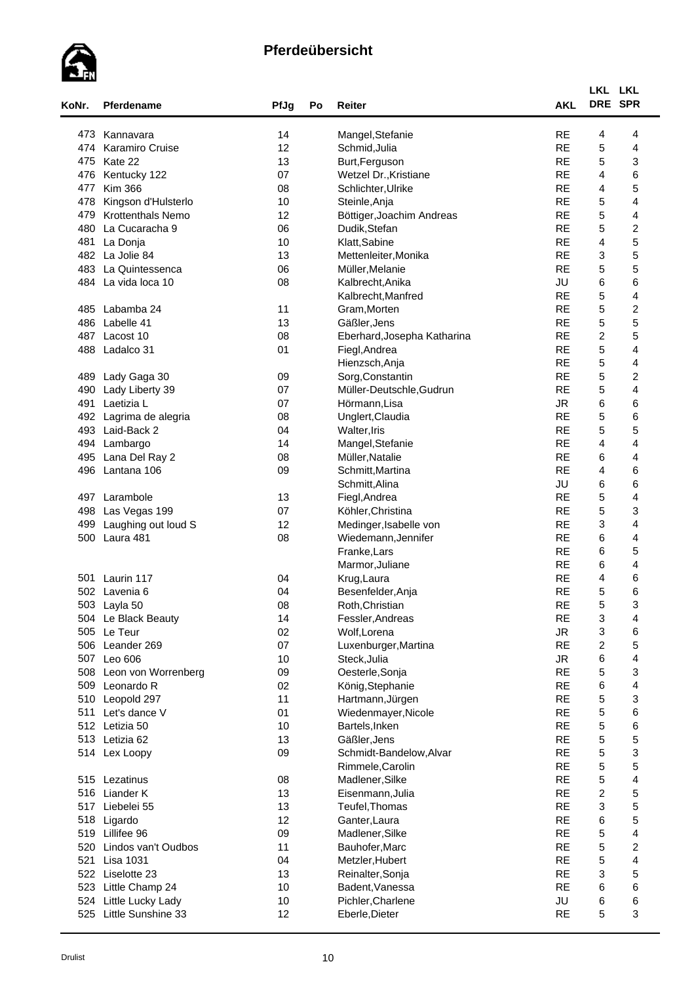

| KoNr. | Pferdename               | PfJg   | Po | Reiter                      | <b>AKL</b> | LKL LKL<br>DRE SPR      |                         |  |
|-------|--------------------------|--------|----|-----------------------------|------------|-------------------------|-------------------------|--|
| 473   | Kannavara                | 14     |    | Mangel, Stefanie            | <b>RE</b>  | 4                       | 4                       |  |
| 474   | Karamiro Cruise          | 12     |    | Schmid, Julia               | <b>RE</b>  | 5                       | 4                       |  |
| 475   | Kate 22                  | 13     |    | Burt, Ferguson              | <b>RE</b>  | 5                       | 3                       |  |
| 476   | Kentucky 122             | 07     |    | Wetzel Dr., Kristiane       | <b>RE</b>  | 4                       | 6                       |  |
| 477   | <b>Kim 366</b>           | 08     |    | Schlichter, Ulrike          | <b>RE</b>  | 4                       | 5                       |  |
| 478   | Kingson d'Hulsterlo      | 10     |    | Steinle, Anja               | <b>RE</b>  | 5                       | 4                       |  |
| 479   | <b>Krottenthals Nemo</b> | 12     |    | Böttiger, Joachim Andreas   | <b>RE</b>  | 5                       | 4                       |  |
| 480   | La Cucaracha 9           | 06     |    | Dudik, Stefan               | <b>RE</b>  | 5                       | $\overline{c}$          |  |
| 481   | La Donja                 | 10     |    | Klatt, Sabine               | <b>RE</b>  | $\overline{4}$          | 5                       |  |
|       | 482 La Jolie 84          | 13     |    | Mettenleiter, Monika        | <b>RE</b>  | 3                       | 5                       |  |
| 483   | La Quintessenca          | 06     |    | Müller, Melanie             | <b>RE</b>  | 5                       | 5                       |  |
|       | 484 La vida loca 10      | 08     |    | Kalbrecht, Anika            | JU         | 6                       | 6                       |  |
|       |                          |        |    | Kalbrecht, Manfred          | <b>RE</b>  | 5                       | 4                       |  |
| 485   | Labamba 24               | 11     |    | Gram, Morten                | <b>RE</b>  | 5                       | $\overline{\mathbf{c}}$ |  |
| 486   | Labelle 41               | 13     |    | Gäßler, Jens                | <b>RE</b>  | 5                       | 5                       |  |
| 487   | Lacost 10                | 08     |    | Eberhard, Josepha Katharina | <b>RE</b>  | $\overline{c}$          | 5                       |  |
| 488   | Ladalco 31               | 01     |    |                             | <b>RE</b>  | 5                       | 4                       |  |
|       |                          |        |    | Fiegl, Andrea               | <b>RE</b>  | 5                       | 4                       |  |
|       |                          |        |    | Hienzsch, Anja              |            |                         |                         |  |
| 489   | Lady Gaga 30             | 09     |    | Sorg, Constantin            | <b>RE</b>  | 5                       | $\overline{\mathbf{c}}$ |  |
| 490   | Lady Liberty 39          | 07     |    | Müller-Deutschle, Gudrun    | <b>RE</b>  | 5                       | $\overline{\mathbf{4}}$ |  |
| 491   | Laetizia L               | 07     |    | Hörmann, Lisa               | <b>JR</b>  | 6                       | 6                       |  |
| 492   | Lagrima de alegria       | 08     |    | Unglert, Claudia            | <b>RE</b>  | 5                       | 6                       |  |
| 493   | Laid-Back 2              | 04     |    | Walter, Iris                | <b>RE</b>  | 5                       | 5                       |  |
| 494   | Lambargo                 | 14     |    | Mangel, Stefanie            | <b>RE</b>  | $\overline{\mathbf{4}}$ | 4                       |  |
| 495   | Lana Del Ray 2           | 08     |    | Müller, Natalie             | <b>RE</b>  | 6                       | 4                       |  |
| 496   | Lantana 106              | 09     |    | Schmitt, Martina            | <b>RE</b>  | 4                       | 6                       |  |
|       |                          |        |    | Schmitt, Alina              | JU         | 6                       | 6                       |  |
| 497   | Larambole                | 13     |    | Fiegl, Andrea               | <b>RE</b>  | 5                       | 4                       |  |
| 498   | Las Vegas 199            | 07     |    | Köhler, Christina           | <b>RE</b>  | 5                       | 3                       |  |
| 499   | Laughing out loud S      | 12     |    | Medinger, Isabelle von      | <b>RE</b>  | 3                       | 4                       |  |
| 500   | Laura 481                | 08     |    | Wiedemann, Jennifer         | <b>RE</b>  | 6                       | 4                       |  |
|       |                          |        |    | Franke, Lars                | <b>RE</b>  | 6                       | 5                       |  |
|       |                          |        |    | Marmor, Juliane             | <b>RE</b>  | 6                       | 4                       |  |
| 501   | Laurin 117               | 04     |    | Krug, Laura                 | <b>RE</b>  | 4                       | 6                       |  |
|       | 502 Lavenia 6            | 04     |    | Besenfelder, Anja           | <b>RE</b>  | 5                       | 6                       |  |
|       | 503 Layla 50             | 08     |    | Roth, Christian             | <b>RE</b>  | 5                       | 3                       |  |
|       | 504 Le Black Beauty      | 14     |    | Fessler, Andreas            | <b>RE</b>  | 3                       | 4                       |  |
|       | 505 Le Teur              | 02     |    | Wolf, Lorena                | JR.        | 3                       | 6                       |  |
|       | 506 Leander 269          | 07     |    | Luxenburger, Martina        | <b>RE</b>  | $\overline{c}$          | 5                       |  |
|       | 507 Leo 606              | 10     |    | Steck, Julia                | ${\sf JR}$ | 6                       | 4                       |  |
| 508   | Leon von Worrenberg      | 09     |    | Oesterle, Sonja             | <b>RE</b>  | 5                       | 3                       |  |
| 509   | Leonardo R               | 02     |    | König, Stephanie            | <b>RE</b>  | 6                       | 4                       |  |
| 510   | Leopold 297              | 11     |    | Hartmann, Jürgen            | <b>RE</b>  | $\mathbf 5$             | 3                       |  |
| 511   | Let's dance V            | 01     |    | Wiedenmayer, Nicole         | <b>RE</b>  | 5                       | 6                       |  |
| 512   | Letizia 50               | 10     |    | Bartels, Inken              | <b>RE</b>  | 5                       | 6                       |  |
|       | 513 Letizia 62           | 13     |    | Gäßler, Jens                | <b>RE</b>  | 5                       | 5                       |  |
|       | 514 Lex Loopy            | 09     |    | Schmidt-Bandelow, Alvar     | <b>RE</b>  | $\mathbf 5$             | 3                       |  |
|       |                          |        |    | Rimmele, Carolin            | <b>RE</b>  | $\mathbf 5$             | 5                       |  |
|       | 515 Lezatinus            | $08\,$ |    | Madlener, Silke             | <b>RE</b>  | $\mathbf 5$             | $\overline{\mathbf{4}}$ |  |
|       | 516 Liander K            | 13     |    | Eisenmann, Julia            | <b>RE</b>  | $\overline{c}$          | 5                       |  |
| 517   | Liebelei 55              | 13     |    | Teufel, Thomas              | <b>RE</b>  | 3                       | 5                       |  |
| 518   | Ligardo                  | 12     |    | Ganter, Laura               | <b>RE</b>  | 6                       | 5                       |  |
|       | 519 Lillifee 96          | 09     |    | Madlener, Silke             | <b>RE</b>  | $\mathbf 5$             | 4                       |  |
| 520   | Lindos van't Oudbos      | 11     |    | Bauhofer, Marc              | <b>RE</b>  | 5                       | $\overline{\mathbf{c}}$ |  |
| 521   | <b>Lisa 1031</b>         | 04     |    | Metzler, Hubert             | <b>RE</b>  | 5                       | $\overline{\mathbf{4}}$ |  |
|       | 522 Liselotte 23         | 13     |    | Reinalter, Sonja            | <b>RE</b>  | 3                       | 5                       |  |
| 523   | Little Champ 24          | 10     |    | Badent, Vanessa             | <b>RE</b>  | 6                       | 6                       |  |
|       | 524 Little Lucky Lady    | 10     |    | Pichler, Charlene           | JU         | 6                       | 6                       |  |
| 525   | Little Sunshine 33       | 12     |    | Eberle, Dieter              | <b>RE</b>  | 5                       | 3                       |  |
|       |                          |        |    |                             |            |                         |                         |  |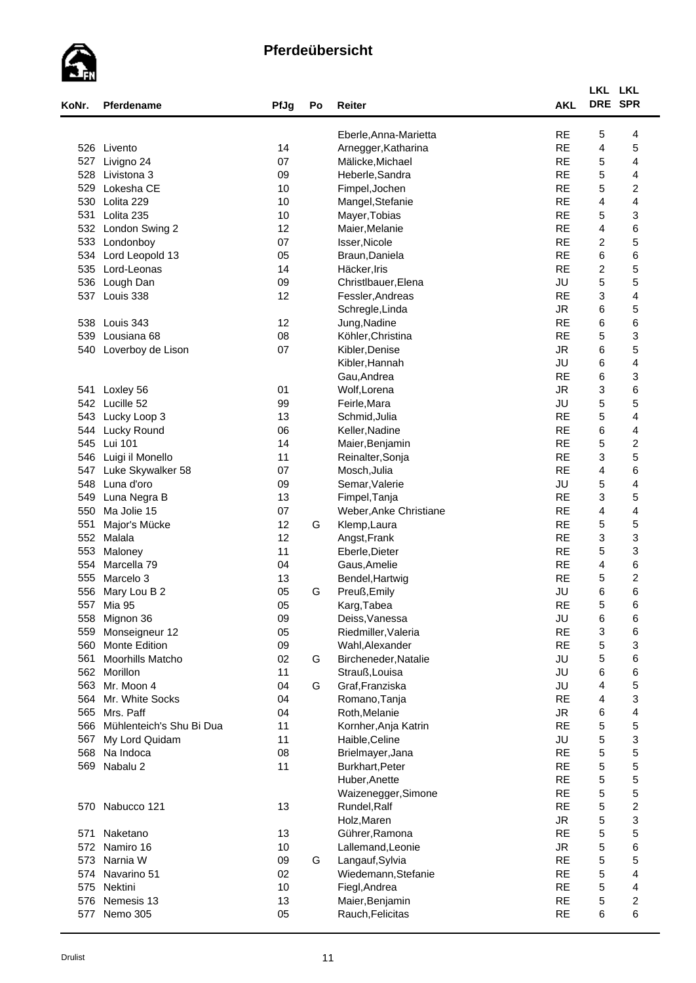

| KoNr. | Pferdename                   | PfJg | Po | Reiter                 | <b>AKL</b> | LKL LKL                   | DRE SPR                 |
|-------|------------------------------|------|----|------------------------|------------|---------------------------|-------------------------|
|       |                              |      |    |                        |            |                           |                         |
|       |                              |      |    | Eberle, Anna-Marietta  | <b>RE</b>  | 5                         | 4                       |
|       | 526 Livento                  | 14   |    | Arnegger, Katharina    | <b>RE</b>  | 4                         | 5                       |
| 527   | Livigno 24                   | 07   |    | Mälicke, Michael       | <b>RE</b>  | 5                         | 4                       |
| 528   | Livistona 3                  | 09   |    | Heberle, Sandra        | <b>RE</b>  | 5                         | 4                       |
| 529   | Lokesha CE                   | 10   |    | Fimpel, Jochen         | <b>RE</b>  | 5                         | $\overline{\mathbf{c}}$ |
| 530   | Lolita 229                   | 10   |    | Mangel, Stefanie       | <b>RE</b>  | 4                         | $\overline{\mathbf{4}}$ |
| 531   | Lolita 235                   | 10   |    | Mayer, Tobias          | <b>RE</b>  | 5                         | 3                       |
| 532   | London Swing 2               | 12   |    | Maier, Melanie         | <b>RE</b>  | 4                         | 6                       |
| 533   | Londonboy                    | 07   |    | Isser, Nicole          | <b>RE</b>  | $\overline{c}$            | 5                       |
| 534   | Lord Leopold 13              | 05   |    | Braun, Daniela         | <b>RE</b>  | 6                         | 6                       |
| 535   | Lord-Leonas                  | 14   |    | Häcker, Iris           | <b>RE</b>  | $\overline{c}$            | 5                       |
| 536   | Lough Dan                    | 09   |    | Christlbauer, Elena    | JU         | 5                         | 5                       |
| 537   | Louis 338                    | 12   |    | Fessler, Andreas       | <b>RE</b>  | $\ensuremath{\mathsf{3}}$ | 4                       |
|       |                              |      |    | Schregle, Linda        | <b>JR</b>  | 6                         | 5                       |
| 538   | Louis 343                    | 12   |    | Jung, Nadine           | <b>RE</b>  | 6                         | 6                       |
| 539   | Lousiana 68                  | 08   |    | Köhler, Christina      | <b>RE</b>  | 5                         | 3                       |
| 540   | Loverboy de Lison            | 07   |    | Kibler, Denise         | <b>JR</b>  | 6                         | 5                       |
|       |                              |      |    | Kibler, Hannah         | JU         | 6                         | 4                       |
|       |                              |      |    | Gau, Andrea            | <b>RE</b>  | 6                         | 3                       |
| 541   | Loxley 56                    | 01   |    | Wolf, Lorena           | <b>JR</b>  | 3                         | 6                       |
| 542   | Lucille 52                   | 99   |    | Feirle, Mara           | JU         | 5                         | 5                       |
| 543   | Lucky Loop 3                 | 13   |    | Schmid, Julia          | <b>RE</b>  | 5                         | 4                       |
| 544   | Lucky Round                  | 06   |    | Keller, Nadine         | <b>RE</b>  | 6                         | 4                       |
| 545   | Lui 101                      | 14   |    | Maier, Benjamin        | <b>RE</b>  | 5                         | $\boldsymbol{2}$        |
| 546   | Luigi il Monello             | 11   |    | Reinalter, Sonja       | <b>RE</b>  | 3                         | 5                       |
| 547   | Luke Skywalker 58            | 07   |    | Mosch, Julia           | <b>RE</b>  | 4                         | 6                       |
| 548   | Luna d'oro                   | 09   |    | Semar, Valerie         | JU         | 5                         | $\overline{\mathbf{4}}$ |
| 549   | Luna Negra B                 | 13   |    | Fimpel, Tanja          | <b>RE</b>  | 3                         | 5                       |
| 550   | Ma Jolie 15                  | 07   |    | Weber, Anke Christiane | <b>RE</b>  | 4                         | 4                       |
| 551   | Major's Mücke                | 12   | G  | Klemp, Laura           | <b>RE</b>  | 5                         | 5                       |
|       | 552 Malala                   | 12   |    | Angst, Frank           | <b>RE</b>  | $\ensuremath{\mathsf{3}}$ | 3                       |
| 553   | Maloney                      | 11   |    | Eberle, Dieter         | <b>RE</b>  | 5                         | 3                       |
| 554   | Marcella 79                  | 04   |    | Gaus, Amelie           | <b>RE</b>  | 4                         | 6                       |
| 555   | Marcelo 3                    | 13   |    | Bendel, Hartwig        | <b>RE</b>  | 5                         | 2                       |
| 556   |                              | 05   | G  |                        | JU         | 6                         | 6                       |
|       | Mary Lou B 2<br>557 Mia 95   | 05   |    | Preuß, Emily           | <b>RE</b>  | 5                         | 6                       |
|       |                              | 09   |    | Karg,Tabea             | JU         |                           |                         |
|       | 558 Mignon 36                |      |    | Deiss, Vanessa         | <b>RE</b>  | 6                         | 6<br>6                  |
| 559   | Monseigneur 12               | 05   |    | Riedmiller, Valeria    |            | 3                         |                         |
| 560   | <b>Monte Edition</b>         | 09   |    | Wahl, Alexander        | <b>RE</b>  | 5                         | 3                       |
| 561   | Moorhills Matcho             | 02   | G  | Bircheneder, Natalie   | JU         | 5                         | 6                       |
|       | 562 Morillon                 | 11   |    | Strauß, Louisa         | JU         | 6                         | 6                       |
|       | 563 Mr. Moon 4               | 04   | G  | Graf, Franziska        | JU         | 4                         | 5                       |
|       | 564 Mr. White Socks          | 04   |    | Romano, Tanja          | <b>RE</b>  | 4                         | 3                       |
| 565   | Mrs. Paff                    | 04   |    | Roth, Melanie          | <b>JR</b>  | 6                         | 4                       |
|       | 566 Mühlenteich's Shu Bi Dua | 11   |    | Kornher, Anja Katrin   | <b>RE</b>  | 5                         | 5                       |
| 567   | My Lord Quidam               | 11   |    | Haible, Celine         | JU         | 5                         | 3                       |
|       | 568 Na Indoca                | 08   |    | Brielmayer, Jana       | <b>RE</b>  | 5                         | 5                       |
| 569   | Nabalu 2                     | 11   |    | Burkhart, Peter        | <b>RE</b>  | 5                         | 5                       |
|       |                              |      |    | Huber, Anette          | <b>RE</b>  | 5                         | 5                       |
|       |                              |      |    | Waizenegger, Simone    | <b>RE</b>  | 5                         | 5                       |
|       | 570 Nabucco 121              | 13   |    | Rundel, Ralf           | <b>RE</b>  | 5                         | $\overline{\mathbf{c}}$ |
|       |                              |      |    | Holz, Maren            | ${\sf JR}$ | 5                         | 3                       |
| 571   | Naketano                     | 13   |    | Gührer, Ramona         | <b>RE</b>  | $\mathbf 5$               | 5                       |
|       | 572 Namiro 16                | 10   |    | Lallemand, Leonie      | JR.        | 5                         | 6                       |
|       | 573 Narnia W                 | 09   | G  | Langauf, Sylvia        | <b>RE</b>  | $\mathbf 5$               | 5                       |
|       | 574 Navarino 51              | 02   |    | Wiedemann, Stefanie    | <b>RE</b>  | $\mathbf 5$               | 4                       |
|       | 575 Nektini                  | 10   |    | Fiegl, Andrea          | <b>RE</b>  | 5                         | 4                       |
|       | 576 Nemesis 13               | 13   |    | Maier, Benjamin        | <b>RE</b>  | 5                         | $\overline{\mathbf{c}}$ |
|       | 577 Nemo 305                 | 05   |    | Rauch, Felicitas       | <b>RE</b>  | 6                         | 6                       |
|       |                              |      |    |                        |            |                           |                         |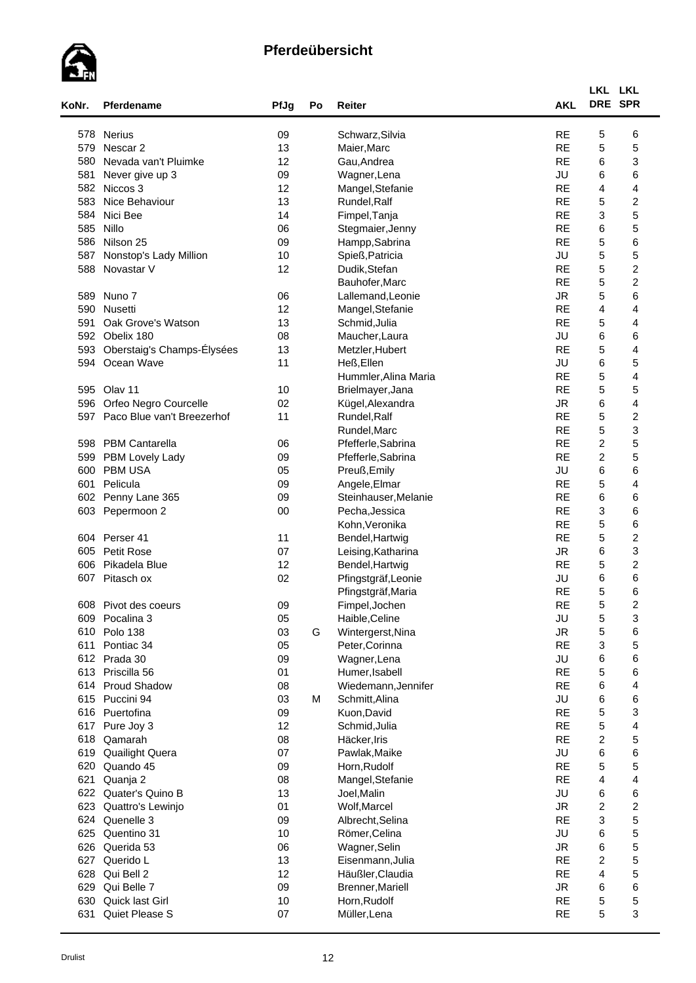

| KoNr. | <b>Pferdename</b>          | PfJg | Po | Reiter               | <b>AKL</b> | LKL LKL<br>DRE SPR |                         |  |
|-------|----------------------------|------|----|----------------------|------------|--------------------|-------------------------|--|
|       | 578 Nerius                 | 09   |    | Schwarz, Silvia      | <b>RE</b>  | 5                  | 6                       |  |
|       | 579 Nescar 2               | 13   |    | Maier, Marc          | <b>RE</b>  | 5                  | 5                       |  |
| 580   | Nevada van't Pluimke       | 12   |    | Gau, Andrea          | <b>RE</b>  | 6                  | 3                       |  |
| 581   | Never give up 3            | 09   |    | Wagner, Lena         | JU         | 6                  | 6                       |  |
| 582   | Niccos 3                   | 12   |    | Mangel, Stefanie     | <b>RE</b>  | 4                  | 4                       |  |
| 583   | Nice Behaviour             | 13   |    | Rundel, Ralf         | <b>RE</b>  | 5                  | 2                       |  |
| 584   | Nici Bee                   | 14   |    | Fimpel, Tanja        | <b>RE</b>  | 3                  | 5                       |  |
|       | 585 Nillo                  | 06   |    | Stegmaier, Jenny     | <b>RE</b>  | 6                  | 5                       |  |
| 586   | Nilson 25                  | 09   |    | Hampp, Sabrina       | <b>RE</b>  | 5                  | 6                       |  |
| 587   | Nonstop's Lady Million     | 10   |    | Spieß, Patricia      | JU         | $\mathbf 5$        | 5                       |  |
| 588   | Novastar V                 | 12   |    | Dudik, Stefan        | <b>RE</b>  | 5                  | $\boldsymbol{2}$        |  |
|       |                            |      |    | Bauhofer, Marc       | <b>RE</b>  | 5                  | $\boldsymbol{2}$        |  |
|       | 589 Nuno 7                 | 06   |    | Lallemand, Leonie    | <b>JR</b>  | $\mathbf 5$        | 6                       |  |
|       | 590 Nusetti                | 12   |    | Mangel, Stefanie     | <b>RE</b>  | 4                  | 4                       |  |
| 591   | Oak Grove's Watson         | 13   |    | Schmid, Julia        | <b>RE</b>  | 5                  | 4                       |  |
| 592   |                            |      |    |                      | JU         |                    |                         |  |
| 593   | Obelix 180                 | 08   |    | Maucher, Laura       | <b>RE</b>  | 6<br>5             | 6                       |  |
|       | Oberstaig's Champs-Élysées | 13   |    | Metzler, Hubert      |            |                    | 4                       |  |
| 594   | Ocean Wave                 | 11   |    | Heß, Ellen           | JU         | 6                  | 5                       |  |
|       |                            |      |    | Hummler, Alina Maria | <b>RE</b>  | 5                  | 4                       |  |
|       | 595 Olav 11                | 10   |    | Brielmayer, Jana     | <b>RE</b>  | 5                  | 5                       |  |
| 596   | Orfeo Negro Courcelle      | 02   |    | Kügel, Alexandra     | <b>JR</b>  | 6                  | 4                       |  |
| 597   | Paco Blue van't Breezerhof | 11   |    | Rundel, Ralf         | <b>RE</b>  | 5                  | $\overline{\mathbf{c}}$ |  |
|       |                            |      |    | Rundel, Marc         | <b>RE</b>  | 5                  | 3                       |  |
|       | 598 PBM Cantarella         | 06   |    | Pfefferle, Sabrina   | <b>RE</b>  | $\boldsymbol{2}$   | 5                       |  |
| 599   | PBM Lovely Lady            | 09   |    | Pfefferle, Sabrina   | <b>RE</b>  | $\boldsymbol{2}$   | 5                       |  |
| 600   | <b>PBM USA</b>             | 05   |    | Preuß, Emily         | JU         | 6                  | 6                       |  |
| 601   | Pelicula                   | 09   |    | Angele, Elmar        | <b>RE</b>  | $\mathbf 5$        | 4                       |  |
| 602   | Penny Lane 365             | 09   |    | Steinhauser, Melanie | <b>RE</b>  | 6                  | 6                       |  |
|       | 603 Pepermoon 2            | 00   |    | Pecha, Jessica       | <b>RE</b>  | 3                  | 6                       |  |
|       |                            |      |    | Kohn, Veronika       | <b>RE</b>  | 5                  | 6                       |  |
|       | 604 Perser 41              | 11   |    | Bendel, Hartwig      | <b>RE</b>  | 5                  | $\overline{\mathbf{c}}$ |  |
| 605   | <b>Petit Rose</b>          | 07   |    | Leising, Katharina   | <b>JR</b>  | 6                  | 3                       |  |
| 606   | Pikadela Blue              | 12   |    | Bendel, Hartwig      | <b>RE</b>  | 5                  | $\overline{\mathbf{c}}$ |  |
|       | 607 Pitasch ox             | 02   |    | Pfingstgräf, Leonie  | JU         | 6                  | 6                       |  |
|       |                            |      |    | Pfingstgräf, Maria   | <b>RE</b>  | 5                  | 6                       |  |
| 608   | Pivot des coeurs           | 09   |    | Fimpel, Jochen       | <b>RE</b>  | 5                  | $\overline{2}$          |  |
| 609   | Pocalina 3                 | 05   |    | Haible, Celine       | JU         | $\mathbf 5$        | 3                       |  |
|       | 610 Polo 138               | 03   | G  | Wintergerst, Nina    | ${\sf JR}$ | $\mathbf 5$        | 6                       |  |
| 611   | Pontiac 34                 | 05   |    | Peter, Corinna       | <b>RE</b>  | 3                  | 5                       |  |
|       | 612 Prada 30               | 09   |    | Wagner, Lena         | JU         | 6                  | 6                       |  |
| 613   | Priscilla 56               | 01   |    | Humer, Isabell       | <b>RE</b>  | 5                  | 6                       |  |
|       | 614 Proud Shadow           | 08   |    | Wiedemann, Jennifer  | <b>RE</b>  | 6                  | 4                       |  |
|       | 615 Puccini 94             | 03   | М  | Schmitt, Alina       | JU         | 6                  | 6                       |  |
|       | 616 Puertofina             | 09   |    | Kuon, David          | <b>RE</b>  | $\mathbf 5$        | 3                       |  |
| 617   | Pure Joy 3                 | 12   |    | Schmid, Julia        | <b>RE</b>  | $\mathbf 5$        | 4                       |  |
| 618   | Qamarah                    | 08   |    | Häcker, Iris         | <b>RE</b>  | $\overline{c}$     | 5                       |  |
| 619   | <b>Quailight Quera</b>     | 07   |    | Pawlak, Maike        | JU         | 6                  | 6                       |  |
| 620   | Quando 45                  | 09   |    | Horn, Rudolf         | <b>RE</b>  | 5                  | 5                       |  |
| 621   | Quanja 2                   | 08   |    | Mangel, Stefanie     | <b>RE</b>  | 4                  | $\overline{\mathbf{4}}$ |  |
|       | 622 Quater's Quino B       | 13   |    | Joel, Malin          | JU         | 6                  | 6                       |  |
| 623   | Quattro's Lewinjo          | 01   |    | Wolf, Marcel         | <b>JR</b>  | $\boldsymbol{2}$   | $\overline{\mathbf{c}}$ |  |
| 624   | Quenelle 3                 | 09   |    | Albrecht, Selina     | <b>RE</b>  | 3                  | 5                       |  |
| 625   | Quentino 31                | 10   |    | Römer, Celina        | JU         | 6                  | 5                       |  |
| 626   | Querida 53                 | 06   |    | Wagner, Selin        | ${\sf JR}$ | 6                  | 5                       |  |
| 627   | Querido L                  | 13   |    | Eisenmann, Julia     | <b>RE</b>  | $\overline{c}$     | 5                       |  |
| 628   | Qui Bell 2                 | 12   |    | Häußler, Claudia     | <b>RE</b>  | 4                  | 5                       |  |
| 629   | Qui Belle 7                | 09   |    | Brenner, Mariell     | <b>JR</b>  | 6                  | 6                       |  |
| 630   | Quick last Girl            | 10   |    | Horn, Rudolf         | <b>RE</b>  | $\mathbf 5$        | 5                       |  |
| 631   | Quiet Please S             | 07   |    | Müller, Lena         | <b>RE</b>  | 5                  | 3                       |  |
|       |                            |      |    |                      |            |                    |                         |  |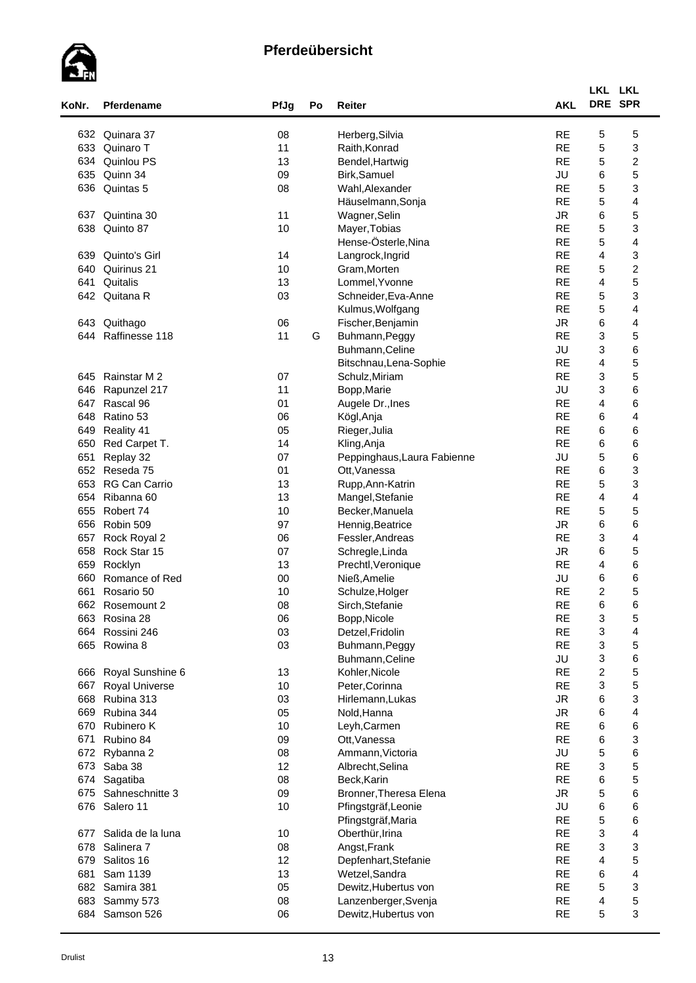

| KoNr. | Pferdename            | PfJg | Po | Reiter                                    | <b>AKL</b>      | LKL LKL<br>DRE SPR        |                         |  |
|-------|-----------------------|------|----|-------------------------------------------|-----------------|---------------------------|-------------------------|--|
| 632   | Quinara 37            | 08   |    | Herberg, Silvia                           | <b>RE</b>       | 5                         | 5                       |  |
| 633   | Quinaro T             | 11   |    | Raith, Konrad                             | <b>RE</b>       | 5                         | 3                       |  |
| 634   | Quinlou PS            | 13   |    | Bendel, Hartwig                           | <b>RE</b>       | 5                         | $\overline{\mathbf{c}}$ |  |
| 635   | Quinn 34              | 09   |    | Birk, Samuel                              | JU              | 6                         | 5                       |  |
| 636   | Quintas 5             | 08   |    | Wahl, Alexander                           | <b>RE</b>       | 5                         | 3                       |  |
|       |                       |      |    | Häuselmann, Sonja                         | <b>RE</b>       | 5                         | 4                       |  |
| 637   | Quintina 30           | 11   |    | Wagner, Selin                             | <b>JR</b>       | 6                         | 5                       |  |
| 638   | Quinto 87             | 10   |    | Mayer, Tobias                             | <b>RE</b>       | 5                         | 3                       |  |
|       |                       |      |    | Hense-Österle, Nina                       | <b>RE</b>       | 5                         | 4                       |  |
| 639   | Quinto's Girl         | 14   |    | Langrock, Ingrid                          | <b>RE</b>       | $\overline{\mathbf{4}}$   | 3                       |  |
| 640   | Quirinus 21           | 10   |    | Gram, Morten                              | <b>RE</b>       | 5                         | $\boldsymbol{2}$        |  |
| 641   | Quitalis              | 13   |    | Lommel, Yvonne                            | <b>RE</b>       | 4                         | 5                       |  |
| 642   | Quitana R             | 03   |    | Schneider, Eva-Anne                       | <b>RE</b>       | 5                         | 3                       |  |
|       |                       |      |    |                                           | <b>RE</b>       | 5                         | 4                       |  |
|       |                       |      |    | Kulmus, Wolfgang                          | <b>JR</b>       |                           |                         |  |
| 643   | Quithago              | 06   |    | Fischer, Benjamin                         |                 | 6                         | 4                       |  |
| 644   | Raffinesse 118        | 11   | G  | Buhmann, Peggy                            | <b>RE</b>       | 3                         | 5                       |  |
|       |                       |      |    | Buhmann, Celine                           | JU              | 3                         | 6                       |  |
|       |                       |      |    | Bitschnau, Lena-Sophie                    | <b>RE</b>       | $\overline{4}$            | 5                       |  |
| 645   | Rainstar M 2          | 07   |    | Schulz, Miriam                            | <b>RE</b>       | 3                         | 5                       |  |
| 646   | Rapunzel 217          | 11   |    | Bopp, Marie                               | JU              | 3                         | 6                       |  |
| 647   | Rascal 96             | 01   |    | Augele Dr., Ines                          | <b>RE</b>       | $\overline{4}$            | 6                       |  |
| 648   | Ratino 53             | 06   |    | Kögl, Anja                                | <b>RE</b>       | 6                         | $\overline{\mathbf{4}}$ |  |
| 649   | Reality 41            | 05   |    | Rieger, Julia                             | <b>RE</b>       | 6                         | 6                       |  |
| 650   | Red Carpet T.         | 14   |    | Kling, Anja                               | <b>RE</b>       | 6                         | 6                       |  |
| 651   | Replay 32             | 07   |    | Peppinghaus, Laura Fabienne               | JU              | $\mathbf 5$               | 6                       |  |
| 652   | Reseda 75             | 01   |    | Ott, Vanessa                              | <b>RE</b>       | 6                         | 3                       |  |
| 653   | <b>RG Can Carrio</b>  | 13   |    | Rupp, Ann-Katrin                          | <b>RE</b>       | 5                         | 3                       |  |
| 654   | Ribanna 60            | 13   |    | Mangel, Stefanie                          | <b>RE</b>       | 4                         | 4                       |  |
| 655   | Robert 74             | 10   |    | Becker, Manuela                           | <b>RE</b>       | 5                         | 5                       |  |
| 656   | Robin 509             | 97   |    | Hennig, Beatrice                          | <b>JR</b>       | 6                         | 6                       |  |
| 657   | Rock Royal 2          | 06   |    | Fessler, Andreas                          | <b>RE</b>       | $\ensuremath{\mathsf{3}}$ | 4                       |  |
| 658   | Rock Star 15          | 07   |    | Schregle, Linda                           | <b>JR</b>       | 6                         | 5                       |  |
| 659   | Rocklyn               | 13   |    | Prechtl, Veronique                        | <b>RE</b>       | 4                         | 6                       |  |
| 660   | Romance of Red        | 00   |    | Nieß, Amelie                              | JU              | 6                         | 6                       |  |
| 661   | Rosario 50            | 10   |    | Schulze, Holger                           | <b>RE</b>       | $\overline{c}$            | 5                       |  |
| 662   | Rosemount 2           | 08   |    | Sirch, Stefanie                           | <b>RE</b>       | 6                         | 6                       |  |
| 663   | Rosina 28             | 06   |    | Bopp, Nicole                              | <b>RE</b>       | 3                         | 5                       |  |
| 664   | Rossini 246           | 03   |    | Detzel, Fridolin                          | <b>RE</b>       | 3                         | 4                       |  |
| 665   | Rowina 8              | 03   |    | Buhmann, Peggy                            | <b>RE</b>       | 3                         | 5                       |  |
|       |                       |      |    | Buhmann, Celine                           | JU              | $\ensuremath{\mathsf{3}}$ | 6                       |  |
| 666   | Royal Sunshine 6      | 13   |    | Kohler, Nicole                            | <b>RE</b>       | $\boldsymbol{2}$          | 5                       |  |
| 667   | <b>Royal Universe</b> | 10   |    | Peter, Corinna                            | <b>RE</b>       | $\ensuremath{\mathsf{3}}$ | 5                       |  |
| 668   | Rubina 313            | 03   |    | Hirlemann, Lukas                          | <b>JR</b>       | 6                         | 3                       |  |
| 669   | Rubina 344            | 05   |    | Nold, Hanna                               | <b>JR</b>       | 6                         | 4                       |  |
| 670   | Rubinero K            | 10   |    | Leyh, Carmen                              | <b>RE</b>       | 6                         | 6                       |  |
| 671   | Rubino 84             | 09   |    | Ott, Vanessa                              | <b>RE</b>       | 6                         | 3                       |  |
|       | 672 Rybanna 2         | 08   |    | Ammann, Victoria                          | JU              | $\mathbf 5$               | 6                       |  |
|       | 673 Saba 38           | 12   |    | Albrecht, Selina                          | <b>RE</b>       | 3                         | 5                       |  |
| 674   | Sagatiba              | 08   |    | Beck, Karin                               | <b>RE</b>       | 6                         | 5                       |  |
| 675   | Sahneschnitte 3       | 09   |    | Bronner, Theresa Elena                    | <b>JR</b>       | 5                         | 6                       |  |
|       | 676 Salero 11         | 10   |    | Pfingstgräf, Leonie<br>Pfingstgräf, Maria | JU<br><b>RE</b> | 6<br>5                    | 6<br>6                  |  |
| 677   | Salida de la luna     | 10   |    | Oberthür, Irina                           | <b>RE</b>       | 3                         | 4                       |  |
| 678   | Salinera 7            | 08   |    | Angst, Frank                              | <b>RE</b>       | 3                         | 3                       |  |
| 679   | Salitos 16            | 12   |    | Depfenhart, Stefanie                      | <b>RE</b>       | 4                         | 5                       |  |
| 681   | Sam 1139              | 13   |    | Wetzel, Sandra                            | <b>RE</b>       | 6                         | 4                       |  |
|       | 682 Samira 381        | 05   |    | Dewitz, Hubertus von                      | <b>RE</b>       | 5                         | 3                       |  |
| 683   | Sammy 573             | 08   |    | Lanzenberger, Svenja                      | <b>RE</b>       | 4                         | 5                       |  |
|       | 684 Samson 526        | 06   |    | Dewitz, Hubertus von                      | <b>RE</b>       | 5                         | 3                       |  |
|       |                       |      |    |                                           |                 |                           |                         |  |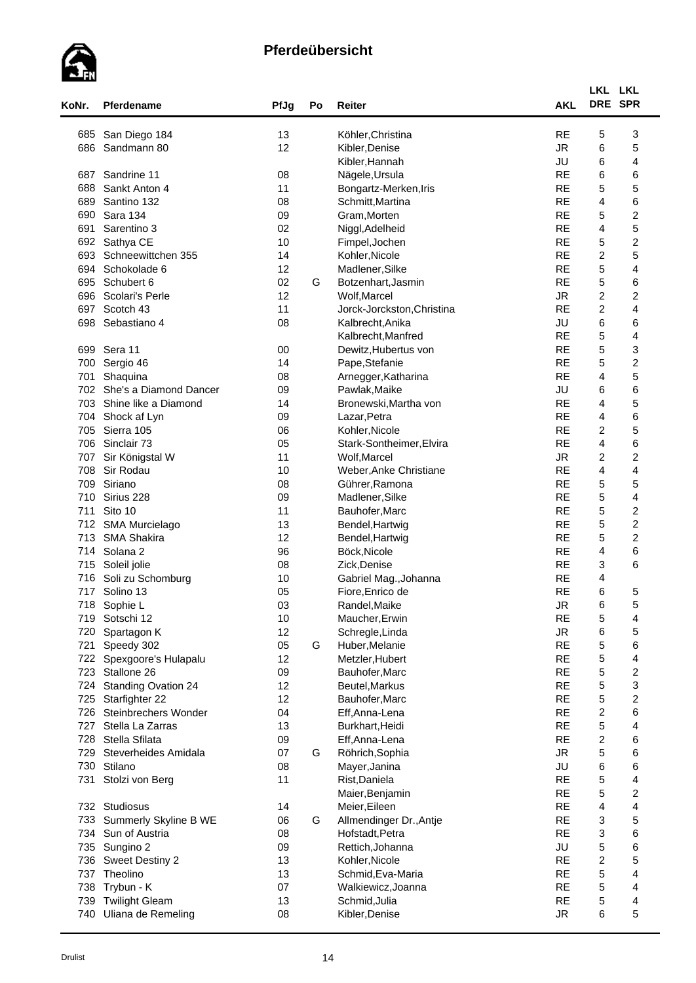

| KoNr.      | Pferdename                 | PfJg     | Po | Reiter                     | <b>AKL</b>             | LKL LKL<br>DRE SPR      |                              |
|------------|----------------------------|----------|----|----------------------------|------------------------|-------------------------|------------------------------|
| 685        | San Diego 184              | 13       |    | Köhler, Christina          | <b>RE</b>              | 5                       | 3                            |
| 686        | Sandmann 80                | 12       |    | Kibler, Denise             | <b>JR</b>              | 6                       | 5                            |
|            |                            |          |    | Kibler, Hannah             | JU                     | 6                       | 4                            |
| 687        | Sandrine 11                | 08       |    | Nägele, Ursula             | <b>RE</b>              | 6                       | 6                            |
| 688        | Sankt Anton 4              | 11       |    | Bongartz-Merken, Iris      | <b>RE</b>              | 5                       | 5                            |
| 689        | Santino 132                | 08       |    | Schmitt, Martina           | <b>RE</b>              | $\overline{4}$          | 6                            |
| 690        | Sara 134                   | 09       |    | Gram, Morten               | <b>RE</b>              | 5                       | $\overline{\mathbf{c}}$      |
| 691        | Sarentino 3                | 02       |    | Niggl, Adelheid            | <b>RE</b>              | $\overline{4}$          | 5                            |
| 692        | Sathya CE                  | 10       |    | Fimpel, Jochen             | <b>RE</b>              | 5                       | $\overline{c}$               |
| 693        | Schneewittchen 355         | 14       |    | Kohler, Nicole             | <b>RE</b>              | $\boldsymbol{2}$        | 5                            |
| 694        | Schokolade 6               | 12       |    | Madlener, Silke            | <b>RE</b>              | 5                       | 4                            |
| 695        | Schubert 6                 | 02       | G  | Botzenhart, Jasmin         | <b>RE</b>              | 5                       | 6                            |
| 696        | Scolari's Perle            | 12       |    | Wolf, Marcel               | <b>JR</b>              | $\overline{c}$          | $\overline{\mathbf{c}}$      |
| 697        | Scotch 43                  | 11       |    | Jorck-Jorckston, Christina | <b>RE</b>              | $\overline{c}$          | 4                            |
| 698        | Sebastiano 4               | 08       |    | Kalbrecht, Anika           | JU                     | 6                       | 6                            |
|            |                            |          |    |                            | <b>RE</b>              | 5                       |                              |
|            |                            |          |    | Kalbrecht, Manfred         |                        |                         | 4                            |
| 699<br>700 | Sera 11                    | 00<br>14 |    | Dewitz, Hubertus von       | <b>RE</b><br><b>RE</b> | 5<br>5                  | 3<br>$\overline{\mathbf{c}}$ |
| 701        | Sergio 46<br>Shaquina      | 08       |    | Pape, Stefanie             | <b>RE</b>              | $\overline{4}$          | 5                            |
|            |                            |          |    | Arnegger, Katharina        |                        |                         |                              |
| 702        | She's a Diamond Dancer     | 09       |    | Pawlak, Maike              | JU                     | 6                       | 6                            |
|            | 703 Shine like a Diamond   | 14       |    | Bronewski, Martha von      | <b>RE</b>              | 4                       | 5                            |
| 704        | Shock af Lyn               | 09       |    | Lazar, Petra               | <b>RE</b>              | $\overline{4}$          | 6                            |
| 705        | Sierra 105                 | 06       |    | Kohler, Nicole             | <b>RE</b>              | $\overline{c}$          | 5                            |
| 706        | Sinclair 73                | 05       |    | Stark-Sontheimer, Elvira   | <b>RE</b>              | $\overline{\mathbf{4}}$ | 6                            |
| 707        | Sir Königstal W            | 11       |    | Wolf, Marcel               | <b>JR</b>              | $\overline{c}$          | $\overline{\mathbf{c}}$      |
| 708        | Sir Rodau                  | 10       |    | Weber, Anke Christiane     | <b>RE</b>              | $\overline{4}$          | 4                            |
| 709        | Siriano                    | 08       |    | Gührer, Ramona             | <b>RE</b>              | 5                       | 5                            |
| 710        | Sirius 228                 | 09       |    | Madlener, Silke            | <b>RE</b>              | 5                       | 4                            |
| 711        | Sito 10                    | 11       |    | Bauhofer, Marc             | <b>RE</b>              | 5                       | $\overline{c}$               |
|            | 712 SMA Murcielago         | 13       |    | Bendel, Hartwig            | <b>RE</b>              | 5                       | $\overline{\mathbf{c}}$      |
| 713        | <b>SMA Shakira</b>         | 12       |    | Bendel, Hartwig            | <b>RE</b>              | 5                       | $\overline{\mathbf{c}}$      |
|            | 714 Solana 2               | 96       |    | Böck, Nicole               | <b>RE</b>              | $\overline{4}$          | 6                            |
|            | 715 Soleil jolie           | 08       |    | Zick, Denise               | <b>RE</b>              | 3                       | 6                            |
| 716        | Soli zu Schomburg          | 10       |    | Gabriel Mag., Johanna      | <b>RE</b>              | 4                       |                              |
| 717        | Solino 13                  | 05       |    | Fiore, Enrico de           | <b>RE</b>              | 6                       | 5                            |
| 718        | Sophie L                   | 03       |    | Randel, Maike              | <b>JR</b>              | 6                       | 5                            |
| 719        | Sotschi 12                 | 10       |    | Maucher, Erwin             | <b>RE</b>              | 5                       | 4                            |
| 720        | Spartagon K                | 12       |    | Schregle, Linda            | <b>JR</b>              | 6                       | 5                            |
| 721        | Speedy 302                 | 05       | G  | Huber, Melanie             | <b>RE</b>              | 5                       | 6                            |
| 722        | Spexgoore's Hulapalu       | 12       |    | Metzler, Hubert            | <b>RE</b>              | 5                       | 4                            |
| 723        | Stallone 26                | 09       |    | Bauhofer, Marc             | <b>RE</b>              | 5                       | $\overline{\mathbf{c}}$      |
| 724        | <b>Standing Ovation 24</b> | 12       |    | Beutel, Markus             | <b>RE</b>              | 5                       | 3                            |
| 725        | Starfighter 22             | 12       |    | Bauhofer, Marc             | <b>RE</b>              | 5                       | $\overline{\mathbf{c}}$      |
| 726        | Steinbrechers Wonder       | 04       |    | Eff, Anna-Lena             | <b>RE</b>              | $\overline{c}$          | 6                            |
| 727        | Stella La Zarras           | 13       |    | Burkhart, Heidi            | <b>RE</b>              | 5                       | 4                            |
| 728        | Stella Sfilata             | 09       |    | Eff, Anna-Lena             | <b>RE</b>              | $\boldsymbol{2}$        | 6                            |
| 729        | Steverheides Amidala       | 07       | G  | Röhrich, Sophia            | ${\sf JR}$             | 5                       | 6                            |
| 730        | Stilano                    | 08       |    | Mayer, Janina              | JU                     | 6                       | 6                            |
| 731        | Stolzi von Berg            | 11       |    | Rist, Daniela              | <b>RE</b>              | $\mathbf 5$             | 4                            |
|            |                            |          |    | Maier, Benjamin            | <b>RE</b>              | 5                       | $\boldsymbol{2}$             |
|            | 732 Studiosus              | 14       |    | Meier, Eileen              | <b>RE</b>              | 4                       | 4                            |
| 733        | Summerly Skyline B WE      | 06       | G  | Allmendinger Dr., Antje    | <b>RE</b>              | 3                       | 5                            |
| 734        | Sun of Austria             | 08       |    | Hofstadt, Petra            | <b>RE</b>              | 3                       | 6                            |
| 735        | Sungino 2                  | 09       |    | Rettich, Johanna           | JU                     | 5                       | 6                            |
| 736        | <b>Sweet Destiny 2</b>     | 13       |    | Kohler, Nicole             | <b>RE</b>              | $\overline{c}$          | 5                            |
|            | 737 Theolino               | 13       |    | Schmid, Eva-Maria          | <b>RE</b>              | 5                       | 4                            |
| 738        | Trybun - K                 | 07       |    | Walkiewicz, Joanna         | <b>RE</b>              | 5                       | 4                            |
| 739        | <b>Twilight Gleam</b>      | 13       |    | Schmid, Julia              | <b>RE</b>              | 5                       | 4                            |
| 740        | Uliana de Remeling         | 08       |    | Kibler, Denise             | <b>JR</b>              | 6                       | 5                            |
|            |                            |          |    |                            |                        |                         |                              |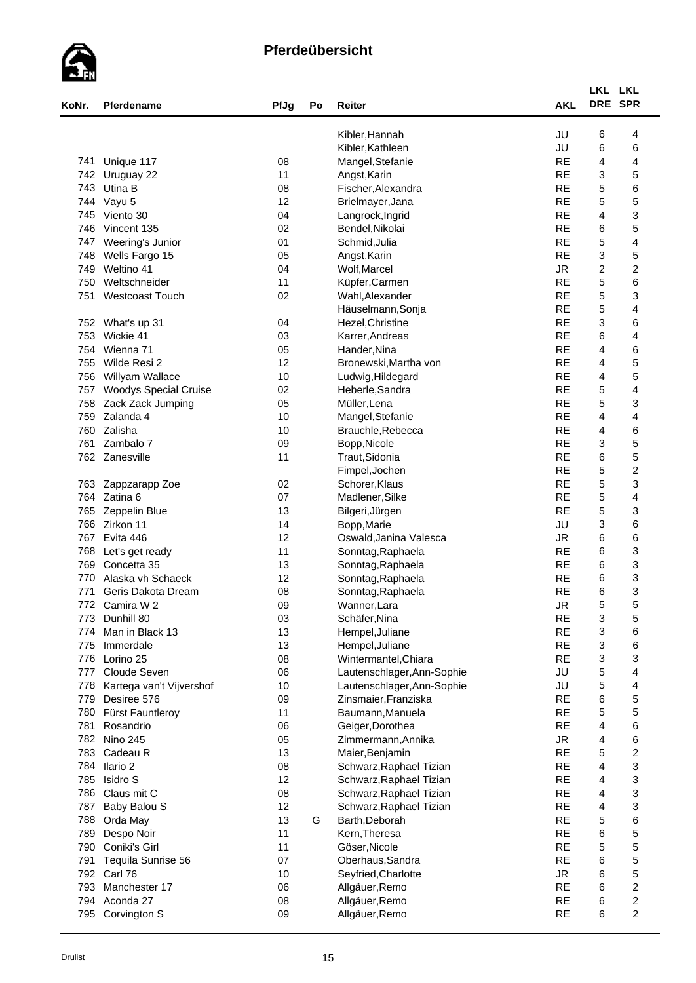

| KoNr. | Pferdename                   | PfJg     | Po | Reiter                     | <b>AKL</b> | LKL LKL<br>DRE SPR        |                                    |  |
|-------|------------------------------|----------|----|----------------------------|------------|---------------------------|------------------------------------|--|
|       |                              |          |    | Kibler, Hannah             | JU         | 6                         | 4                                  |  |
|       |                              |          |    | Kibler, Kathleen           | JU         | 6                         | 6                                  |  |
| 741   | Unique 117                   | 08       |    | Mangel, Stefanie           | <b>RE</b>  | 4                         | 4                                  |  |
| 742   | Uruguay 22                   | 11       |    | Angst, Karin               | <b>RE</b>  | 3                         | 5                                  |  |
| 743   | Utina B                      | 08       |    | Fischer, Alexandra         | <b>RE</b>  | 5                         | 6                                  |  |
| 744   | Vayu 5                       | 12       |    | Brielmayer, Jana           | <b>RE</b>  | 5                         | 5                                  |  |
| 745   | Viento 30                    | 04       |    | Langrock, Ingrid           | <b>RE</b>  | 4                         | 3                                  |  |
| 746   | Vincent 135                  | 02       |    | Bendel, Nikolai            | <b>RE</b>  | 6                         | 5                                  |  |
| 747   | Weering's Junior             | 01       |    | Schmid, Julia              | <b>RE</b>  | 5                         | $\overline{4}$                     |  |
| 748   | Wells Fargo 15               | 05       |    | Angst, Karin               | <b>RE</b>  | $\ensuremath{\mathsf{3}}$ | 5                                  |  |
| 749   | Weltino 41                   | 04       |    | Wolf, Marcel               | <b>JR</b>  | $\boldsymbol{2}$          | $\boldsymbol{2}$                   |  |
| 750   | Weltschneider                | 11       |    | Küpfer, Carmen             | <b>RE</b>  | 5                         | 6                                  |  |
| 751   | <b>Westcoast Touch</b>       | 02       |    | Wahl, Alexander            | <b>RE</b>  | 5                         | 3                                  |  |
|       |                              |          |    | Häuselmann, Sonja          | <b>RE</b>  | 5                         | 4                                  |  |
| 752   | What's up 31                 | 04       |    | Hezel, Christine           | <b>RE</b>  | 3                         | 6                                  |  |
| 753   | Wickie 41                    | 03       |    | Karrer, Andreas            | <b>RE</b>  | 6                         | 4                                  |  |
| 754   | Wienna 71                    |          |    |                            | <b>RE</b>  | 4                         | 6                                  |  |
|       |                              | 05<br>12 |    | Hander, Nina               |            |                           |                                    |  |
| 755   | Wilde Resi 2                 |          |    | Bronewski, Martha von      | <b>RE</b>  | 4                         | 5                                  |  |
| 756   | Willyam Wallace              | 10       |    | Ludwig, Hildegard          | <b>RE</b>  | 4                         | 5                                  |  |
| 757   | <b>Woodys Special Cruise</b> | 02       |    | Heberle, Sandra            | <b>RE</b>  | 5                         | 4                                  |  |
| 758   | Zack Zack Jumping            | 05       |    | Müller, Lena               | <b>RE</b>  | 5                         | 3                                  |  |
| 759   | Zalanda 4                    | 10       |    | Mangel, Stefanie           | <b>RE</b>  | 4                         | $\overline{\mathbf{4}}$            |  |
| 760   | Zalisha                      | 10       |    | Brauchle, Rebecca          | <b>RE</b>  | 4                         | 6                                  |  |
| 761   | Zambalo 7                    | 09       |    | Bopp, Nicole               | <b>RE</b>  | 3                         | 5                                  |  |
|       | 762 Zanesville               | 11       |    | Traut, Sidonia             | <b>RE</b>  | 6                         | 5                                  |  |
|       |                              |          |    | Fimpel, Jochen             | <b>RE</b>  | 5                         | $\overline{\mathbf{c}}$            |  |
| 763   | Zappzarapp Zoe               | 02       |    | Schorer, Klaus             | <b>RE</b>  | 5                         | 3                                  |  |
|       | 764 Zatina 6                 | 07       |    | Madlener, Silke            | <b>RE</b>  | 5                         | 4                                  |  |
| 765   | Zeppelin Blue                | 13       |    | Bilgeri, Jürgen            | <b>RE</b>  | 5                         | 3                                  |  |
|       | 766 Zirkon 11                | 14       |    | Bopp, Marie                | JU         | 3                         | 6                                  |  |
|       | 767 Evita 446                | 12       |    | Oswald, Janina Valesca     | <b>JR</b>  | 6                         | 6                                  |  |
| 768   | Let's get ready              | 11       |    | Sonntag, Raphaela          | <b>RE</b>  | 6                         | 3                                  |  |
| 769   | Concetta 35                  | 13       |    | Sonntag, Raphaela          | <b>RE</b>  | 6                         | 3                                  |  |
| 770   | Alaska vh Schaeck            | 12       |    | Sonntag, Raphaela          | <b>RE</b>  | 6                         | 3                                  |  |
| 771   | Geris Dakota Dream           | 08       |    | Sonntag, Raphaela          | <b>RE</b>  | 6                         | 3                                  |  |
| 772   | Camira W 2                   | 09       |    | Wanner, Lara               | <b>JR</b>  | 5                         | 5                                  |  |
| 773   | Dunhill 80                   | 03       |    | Schäfer, Nina              | <b>RE</b>  | 3                         | 5                                  |  |
| 774   | Man in Black 13              | 13       |    | Hempel, Juliane            | <b>RE</b>  | 3                         | 6                                  |  |
| 775   | Immerdale                    | 13       |    | Hempel, Juliane            | <b>RE</b>  | 3                         | 6                                  |  |
| 776   | Lorino 25                    | 08       |    | Wintermantel, Chiara       | <b>RE</b>  | 3                         | 3                                  |  |
| 777   | Cloude Seven                 | 06       |    | Lautenschlager, Ann-Sophie | JU         | 5                         | 4                                  |  |
| 778   | Kartega van't Vijvershof     | 10       |    | Lautenschlager, Ann-Sophie | JU         | 5                         | 4                                  |  |
| 779   | Desiree 576                  | 09       |    | Zinsmaier, Franziska       | <b>RE</b>  | 6                         | 5                                  |  |
| 780   | Fürst Fauntleroy             | 11       |    | Baumann, Manuela           | <b>RE</b>  | 5                         | 5                                  |  |
| 781   | Rosandrio                    | 06       |    | Geiger, Dorothea           | <b>RE</b>  | 4                         | 6                                  |  |
|       | 782 Nino 245                 | 05       |    | Zimmermann, Annika         | ${\sf JR}$ | 4                         | 6                                  |  |
| 783   | Cadeau R                     | 13       |    | Maier, Benjamin            | <b>RE</b>  | 5                         | $\boldsymbol{2}$                   |  |
|       | 784 Ilario 2                 | 08       |    | Schwarz, Raphael Tizian    | <b>RE</b>  | 4                         | 3                                  |  |
| 785   | Isidro S                     | 12       |    | Schwarz, Raphael Tizian    | <b>RE</b>  | 4                         | 3                                  |  |
| 786   | Claus mit C                  | 08       |    | Schwarz, Raphael Tizian    | <b>RE</b>  | 4                         | 3                                  |  |
| 787   | Baby Balou S                 | 12       |    | Schwarz, Raphael Tizian    | <b>RE</b>  | 4                         | 3                                  |  |
| 788   | Orda May                     | 13       | G  | Barth, Deborah             | <b>RE</b>  | 5                         | 6                                  |  |
| 789   | Despo Noir                   | 11       |    | Kern, Theresa              | <b>RE</b>  | 6                         | 5                                  |  |
| 790   | Coniki's Girl                | 11       |    | Göser, Nicole              | <b>RE</b>  | 5                         | 5                                  |  |
| 791   | Tequila Sunrise 56           | 07       |    | Oberhaus, Sandra           | <b>RE</b>  | 6                         | 5                                  |  |
|       | 792 Carl 76                  |          |    |                            | <b>JR</b>  | 6                         | 5                                  |  |
|       | 793 Manchester 17            | 10<br>06 |    | Seyfried, Charlotte        | <b>RE</b>  | 6                         | $\boldsymbol{2}$                   |  |
|       |                              |          |    | Allgäuer, Remo             | <b>RE</b>  |                           |                                    |  |
|       | 794 Aconda 27                | 08       |    | Allgäuer, Remo             |            | 6                         | $\boldsymbol{2}$<br>$\overline{c}$ |  |
|       | 795 Corvington S             | 09       |    | Allgäuer, Remo             | <b>RE</b>  | 6                         |                                    |  |